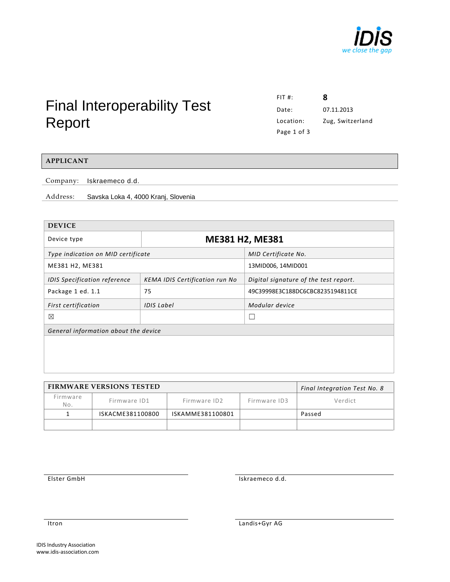

# Final Interoperability Test Report

FIT #: **8** Date: 07.11.2013 Location: Zug, Switzerland Page 1 of 3

## **APPLICANT**

Company: Iskraemeco d.d.

Address: Savska Loka 4, 4000 Kranj, Slovenia

| <b>DEVICE</b>                        |                                       |                                       |  |  |  |
|--------------------------------------|---------------------------------------|---------------------------------------|--|--|--|
| Device type                          | ME381 H2, ME381                       |                                       |  |  |  |
| Type indication on MID certificate   |                                       | MID Certificate No.                   |  |  |  |
| ME381 H2, ME381                      |                                       | 13MID006, 14MID001                    |  |  |  |
| <b>IDIS Specification reference</b>  | <b>KEMA IDIS Certification run No</b> | Digital signature of the test report. |  |  |  |
| Package 1 ed. 1.1                    | 75                                    | 49C39998E3C188DC6CBC8235194811CE      |  |  |  |
| First certification                  | <b>IDIS Label</b>                     | Modular device                        |  |  |  |
| ⊠                                    |                                       | L                                     |  |  |  |
| General information about the device |                                       |                                       |  |  |  |
|                                      |                                       |                                       |  |  |  |
|                                      |                                       |                                       |  |  |  |
|                                      |                                       |                                       |  |  |  |
|                                      |                                       |                                       |  |  |  |

|                 | <b>FIRMWARE VERSIONS TESTED</b> | Final Integration Test No. 8 |              |         |
|-----------------|---------------------------------|------------------------------|--------------|---------|
| Firmware<br>No. | Firmware ID1                    | Firmware ID2                 | Firmware ID3 | Verdict |
|                 | ISKACME381100800                | ISKAMME381100801             |              | Passed  |
|                 |                                 |                              |              |         |

Elster GmbH Iskraemeco d.d.

Itron Landis+Gyr AG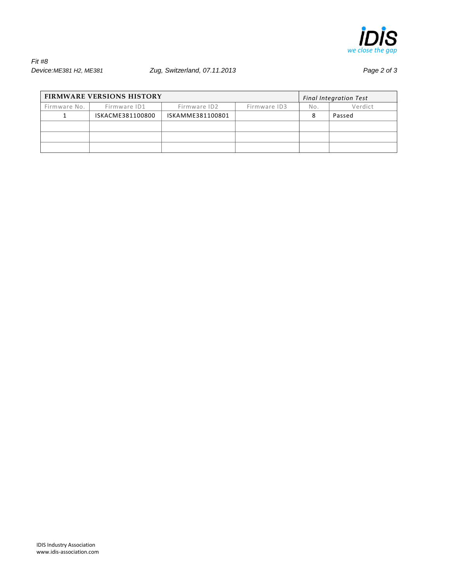

## *Fit #8 Device:ME381 H2, ME381 Zug, Switzerland, 07.11.2013 Page 2 of 3*

| <b>FIRMWARE VERSIONS HISTORY</b> |                  |                  |              | <b>Final Integration Test</b> |         |
|----------------------------------|------------------|------------------|--------------|-------------------------------|---------|
| Firmware No.                     | Firmware ID1     | Firmware ID2     | Firmware ID3 | No.                           | Verdict |
|                                  | ISKACME381100800 | ISKAMME381100801 |              |                               | Passed  |
|                                  |                  |                  |              |                               |         |
|                                  |                  |                  |              |                               |         |
|                                  |                  |                  |              |                               |         |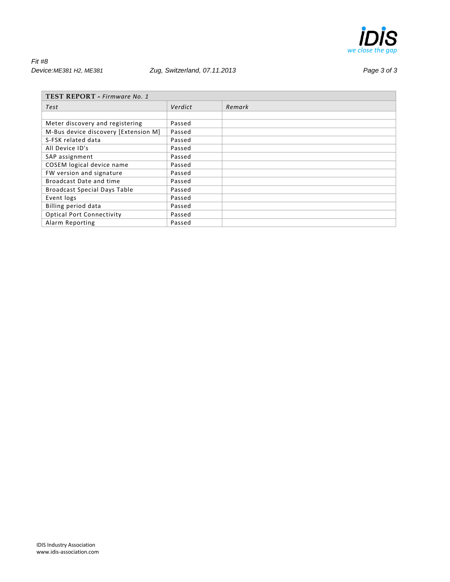

*Fit #8 Device:ME381 H2, ME381 Zug, Switzerland, 07.11.2013 Page 3 of 3*

| TEST REPORT - Firmware No. 1         |         |        |  |  |
|--------------------------------------|---------|--------|--|--|
| Test                                 | Verdict | Remark |  |  |
|                                      |         |        |  |  |
| Meter discovery and registering      | Passed  |        |  |  |
| M-Bus device discovery [Extension M] | Passed  |        |  |  |
| S-FSK related data                   | Passed  |        |  |  |
| All Device ID's                      | Passed  |        |  |  |
| SAP assignment                       | Passed  |        |  |  |
| COSEM logical device name            | Passed  |        |  |  |
| FW version and signature             | Passed  |        |  |  |
| Broadcast Date and time              | Passed  |        |  |  |
| <b>Broadcast Special Days Table</b>  | Passed  |        |  |  |
| Event logs                           | Passed  |        |  |  |
| Billing period data                  | Passed  |        |  |  |
| <b>Optical Port Connectivity</b>     | Passed  |        |  |  |
| Alarm Reporting                      | Passed  |        |  |  |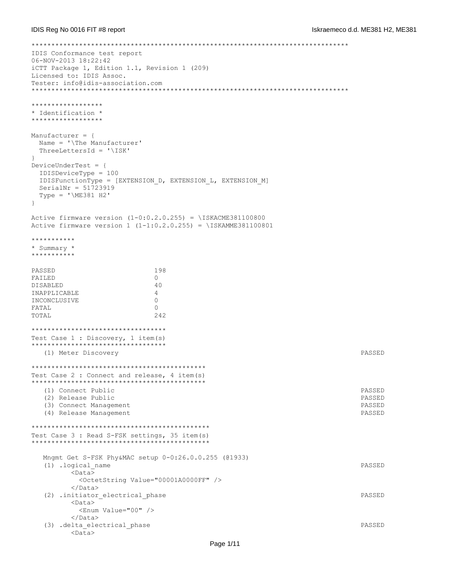```
********************************************************************************
IDIS Conformance test report
06-NOV-2013 18:22:42
iCTT Package 1, Edition 1.1, Revision 1 (209)
Licensed to: IDIS Assoc.
Tester: info@idis-association.com
********************************************************************************
******************
* Identification *
****************
Manufacturer = {
  Name = '\The Manufacturer'
  ThreeLettersId = '\ISK'
\mathfrak{r}DeviceUnderTest = {
  IDISDeviceType = 100
  IDISFunctionType = [EXTENSION_D, EXTENSION_L, EXTENSION_M]
  SerialNr = 51723919
 Type = 'ME381 H2'}
Active firmware version (1-0:0.2.0.255) = \ISKACME381100800
Active firmware version 1 (1-1:0.2.0.255) = \ISKAMME381100801
***********
* Summary *
**********
PASSED 198
FAILED 0
DISABLED 40
INAPPLICABLE 4
INCONCLUSIVE 0
FATAL 0
TOTAL 242
**********************************
Test Case 1 : Discovery, 1 item(s)
**********************************
   (1) Meter Discovery PASSED
********************************************
Test Case 2 : Connect and release, 4 item(s)
   ********************************************
   (1) Connect Public PASSED
   (2) Release Public PASSED
   (3) Connect Management PASSED
   (4) Release Management PASSED
*********************************************
Test Case 3 : Read S-FSK settings, 35 item(s)
*********************************************
   Mngmt Get S-FSK Phy&MAC setup 0-0:26.0.0.255 (@1933)
   (1) .logical_name PASSED
        <Data>
          <OctetString Value="00001A0000FF" />
        </Data>
   (2) .initiator_electrical_phase PASSED
        <Data>
         <Enum Value="00" />
        </Data>
   (3) .delta_electrical_phase PASSED
        <Data>
```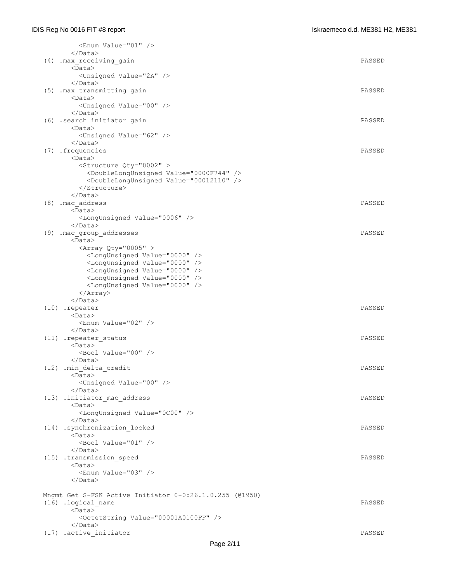| <enum value="01"></enum>                                       |        |
|----------------------------------------------------------------|--------|
| $\langle$ /Data>                                               |        |
| (4) .max_receiving_gain<br>$<$ Data $>$                        | PASSED |
| <unsigned value="2A"></unsigned>                               |        |
|                                                                |        |
| (5) .max transmitting gain                                     | PASSED |
| $<$ Data>                                                      |        |
| <unsigned value="00"></unsigned>                               |        |
| $\langle$ /Data>                                               | PASSED |
| (6) .search initiator gain<br><data></data>                    |        |
| <unsigned value="62"></unsigned>                               |        |
| $\langle$ Data>                                                |        |
| (7) .frequencies                                               | PASSED |
| <data></data>                                                  |        |
| <structure qty="0002"></structure>                             |        |
| <doublelongunsigned value="0000F744"></doublelongunsigned>     |        |
| <doublelongunsigned value="00012110"></doublelongunsigned><br> |        |
| $\langle$ /Data>                                               |        |
| (8) .mac address                                               | PASSED |
| <data></data>                                                  |        |
| <longunsigned value="0006"></longunsigned>                     |        |
|                                                                |        |
| (9) .mac_group_addresses                                       | PASSED |
| $<$ Data $>$<br><array qty="0005"></array>                     |        |
| <longunsigned value="0000"></longunsigned>                     |        |
| <longunsigned value="0000"></longunsigned>                     |        |
| <longunsigned value="0000"></longunsigned>                     |        |
| <longunsigned value="0000"></longunsigned>                     |        |
| <longunsigned value="0000"></longunsigned>                     |        |
| $\langle$ Array>                                               |        |
| $\langle$ /Data>                                               |        |
| (10) .repeater<br><data></data>                                | PASSED |
| <enum value="02"></enum>                                       |        |
| $\langle$ /Data>                                               |        |
| (11) .repeater_status                                          | PASSED |
| $<$ Data $>$                                                   |        |
| <bool value="00"></bool>                                       |        |
| $\langle$ /Data>                                               | PASSED |
| (12) .min delta credit<br><data></data>                        |        |
| <unsigned value="00"></unsigned>                               |        |
|                                                                |        |
| (13) .initiator mac address                                    | PASSED |
| $<$ Data $>$                                                   |        |
| <longunsigned value="0C00"></longunsigned>                     |        |
| $\langle$ /Data>                                               |        |
| (14) .synchronization locked<br>$<$ Data $>$                   | PASSED |
| <bool value="01"></bool>                                       |        |
| $\langle$ /Data>                                               |        |
| (15) .transmission speed                                       | PASSED |
| $<$ Data $>$                                                   |        |
| <enum value="03"></enum>                                       |        |
|                                                                |        |
| Mngmt Get S-FSK Active Initiator 0-0:26.1.0.255 (@1950)        |        |
| (16) .logical name                                             | PASSED |
| $<$ Data $>$                                                   |        |
| <octetstring value="00001A0100FF"></octetstring>               |        |
| $\langle$ /Data>                                               |        |
| (17) .active initiator                                         | PASSED |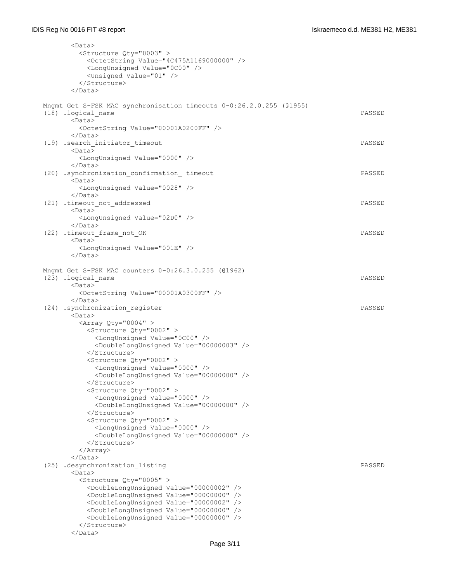| <data></data>                                                                                                            |        |
|--------------------------------------------------------------------------------------------------------------------------|--------|
| <structure qty="0003"></structure>                                                                                       |        |
| <octetstring value="4C475A1169000000"></octetstring>                                                                     |        |
| <longunsigned value="0C00"></longunsigned>                                                                               |        |
| <unsigned value="01"></unsigned>                                                                                         |        |
|                                                                                                                          |        |
| $\langle$ /Data>                                                                                                         |        |
| Mngmt Get S-FSK MAC synchronisation timeouts 0-0:26.2.0.255 (01955)                                                      |        |
| (18) .logical name                                                                                                       | PASSED |
| <data></data>                                                                                                            |        |
| <octetstring value="00001A0200FF"></octetstring>                                                                         |        |
|                                                                                                                          |        |
| (19) .search initiator timeout                                                                                           | PASSED |
| $<$ Data $>$                                                                                                             |        |
| <longunsigned value="0000"></longunsigned>                                                                               |        |
| $\langle$ Data>                                                                                                          |        |
| (20) .synchronization confirmation timeout                                                                               | PASSED |
| $<$ Data $>$                                                                                                             |        |
| <longunsigned value="0028"></longunsigned>                                                                               |        |
| $\langle$ /Data>                                                                                                         |        |
| (21) .timeout not addressed<br>$<$ Data $>$                                                                              | PASSED |
| <longunsigned value="02D0"></longunsigned>                                                                               |        |
| $\langle$ /Data>                                                                                                         |        |
| (22) .timeout_frame_not_OK                                                                                               | PASSED |
| $<$ Data $>$                                                                                                             |        |
| <longunsigned value="001E"></longunsigned>                                                                               |        |
| $\langle$ /Data>                                                                                                         |        |
|                                                                                                                          |        |
| Mngmt Get S-FSK MAC counters 0-0:26.3.0.255 (@1962)                                                                      |        |
| (23) .logical name                                                                                                       | PASSED |
| <data></data>                                                                                                            |        |
| <octetstring value="00001A0300FF"></octetstring>                                                                         |        |
| $\langle$ /Data>                                                                                                         | PASSED |
| (24) .synchronization register<br>$<$ Data $>$                                                                           |        |
| <array qty="0004"></array>                                                                                               |        |
| <structure qty="0002"></structure>                                                                                       |        |
| <longunsigned value="0C00"></longunsigned>                                                                               |        |
| <doublelongunsigned value="00000003"></doublelongunsigned>                                                               |        |
|                                                                                                                          |        |
| <structure qty="0002"></structure>                                                                                       |        |
| <longunsigned value="0000"></longunsigned>                                                                               |        |
| <doublelongunsigned value="00000000"></doublelongunsigned>                                                               |        |
|                                                                                                                          |        |
| <structure qty="0002"></structure>                                                                                       |        |
| <longunsigned value="0000"></longunsigned><br><doublelongunsigned value="00000000"></doublelongunsigned>                 |        |
|                                                                                                                          |        |
| <structure qty="0002"></structure>                                                                                       |        |
| <longunsigned value="0000"></longunsigned>                                                                               |        |
| <doublelongunsigned value="00000000"></doublelongunsigned>                                                               |        |
|                                                                                                                          |        |
| $\langle$ Array>                                                                                                         |        |
| $\langle$ /Data>                                                                                                         |        |
| (25) .desynchronization listing                                                                                          | PASSED |
| <data></data>                                                                                                            |        |
| <structure qty="0005"></structure>                                                                                       |        |
| <doublelongunsigned value="00000002"></doublelongunsigned><br><doublelongunsigned value="00000000"></doublelongunsigned> |        |
| <doublelongunsigned value="00000002"></doublelongunsigned>                                                               |        |
| <doublelongunsigned value="00000000"></doublelongunsigned>                                                               |        |
| <doublelongunsigned value="00000000"></doublelongunsigned>                                                               |        |
|                                                                                                                          |        |
|                                                                                                                          |        |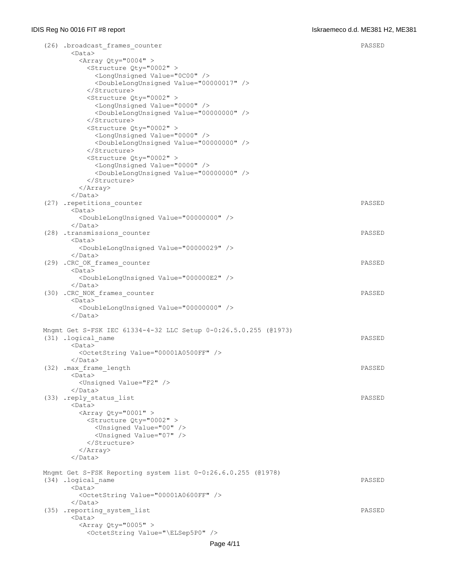| (26) .broadcast frames counter<br>$<$ Data $>$                  | PASSED |
|-----------------------------------------------------------------|--------|
| <array qty="0004"></array>                                      |        |
| <structure qty="0002"></structure>                              |        |
| <longunsigned value="0C00"></longunsigned>                      |        |
| <doublelongunsigned value="00000017"></doublelongunsigned>      |        |
|                                                                 |        |
|                                                                 |        |
| <structure qty="0002"></structure>                              |        |
| <longunsigned value="0000"></longunsigned>                      |        |
| <doublelongunsigned value="00000000"></doublelongunsigned>      |        |
|                                                                 |        |
| <structure qty="0002"></structure>                              |        |
| <longunsigned value="0000"></longunsigned>                      |        |
| <doublelongunsigned value="00000000"></doublelongunsigned><br>  |        |
| <structure qty="0002"></structure>                              |        |
|                                                                 |        |
| <longunsigned value="0000"></longunsigned>                      |        |
| <doublelongunsigned value="00000000"></doublelongunsigned><br>  |        |
| $\langle$ Array>                                                |        |
| $\langle$ /Data>                                                |        |
| (27) .repetitions counter                                       | PASSED |
| <data></data>                                                   |        |
| <doublelongunsigned value="00000000"></doublelongunsigned>      |        |
| $\langle$ /Data>                                                |        |
|                                                                 | PASSED |
| (28) .transmissions counter<br><data></data>                    |        |
| <doublelongunsigned value="00000029"></doublelongunsigned>      |        |
| $\langle$ /Data>                                                |        |
| (29) . CRC OK frames counter                                    | PASSED |
| <data></data>                                                   |        |
| <doublelongunsigned value="000000E2"></doublelongunsigned>      |        |
|                                                                 |        |
| (30) . CRC NOK frames counter                                   | PASSED |
| $<$ Data $>$                                                    |        |
| <doublelongunsigned value="00000000"></doublelongunsigned>      |        |
| $\langle$ /Data>                                                |        |
|                                                                 |        |
| Mngmt Get S-FSK IEC 61334-4-32 LLC Setup 0-0:26.5.0.255 (01973) |        |
| (31) .logical name                                              | PASSED |
| $<$ Data $>$                                                    |        |
| <octetstring value="00001A0500FF"></octetstring>                |        |
| $\langle$ /Data>                                                |        |
| (32) .max frame length                                          | PASSED |
| $<$ Data $>$                                                    |        |
| <unsigned value="F2"></unsigned>                                |        |
| $\langle$ /Data>                                                |        |
| (33) .reply status list                                         | PASSED |
| $<$ Data $>$                                                    |        |
| <array qty="0001"></array>                                      |        |
| <structure qty="0002"></structure>                              |        |
| <unsigned value="00"></unsigned>                                |        |
| <unsigned value="07"></unsigned>                                |        |
|                                                                 |        |
| $\langle$ Array>                                                |        |
| $\langle$ /Data>                                                |        |
|                                                                 |        |
| Mngmt Get S-FSK Reporting system list 0-0:26.6.0.255 (@1978)    |        |
| (34) .logical name                                              | PASSED |
| <data></data>                                                   |        |
| <octetstring value="00001A0600FF"></octetstring>                |        |
|                                                                 |        |
| (35) .reporting system list                                     | PASSED |
| <data></data>                                                   |        |
| <array qty="0005"></array>                                      |        |
| <octetstring value="\ELSep5P0"></octetstring>                   |        |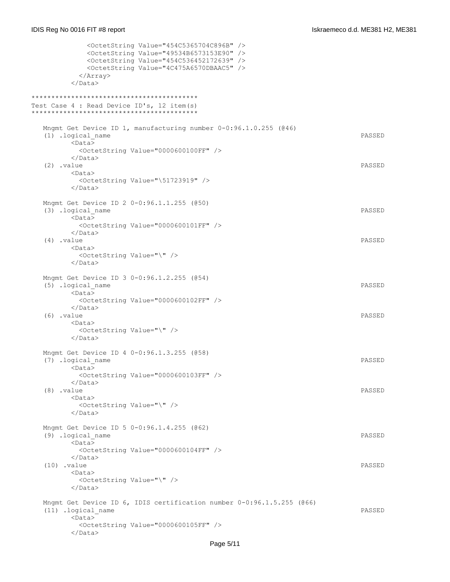| <octetstring value="454C5365704C896B"></octetstring><br><octetstring value="49534B6573153E90"></octetstring><br><octetstring value="454C536452172639"></octetstring><br><octetstring value="4C475A6570DBAAC5"></octetstring><br>$\langle$ Array><br> |        |
|------------------------------------------------------------------------------------------------------------------------------------------------------------------------------------------------------------------------------------------------------|--------|
| Test Case 4 : Read Device ID's, 12 item(s)                                                                                                                                                                                                           |        |
| Mngmt Get Device ID 1, manufacturing number 0-0:96.1.0.255 (046)<br>(1) .logical name<br>$<$ Data $>$                                                                                                                                                | PASSED |
| <octetstring value="0000600100FF"></octetstring><br>$\langle$ /Data><br>$(2)$ . value                                                                                                                                                                | PASSED |
| <data><br/><octetstring value="\51723919"></octetstring><br/><math>\langle</math>/Data&gt;</data>                                                                                                                                                    |        |
| Mngmt Get Device ID 2 0-0:96.1.1.255 (050)<br>(3) .logical name<br>$<$ Data $>$                                                                                                                                                                      | PASSED |
| <octetstring value="0000600101FF"></octetstring><br>$\langle$ /Data><br>$(4)$ . value                                                                                                                                                                | PASSED |
| <data><br/><octetstring value="\"></octetstring><br/><math>\langle</math>/Data&gt;</data>                                                                                                                                                            |        |
| Mngmt Get Device ID 3 0-0:96.1.2.255 (054)<br>(5) .logical name<br>$<$ Data $>$                                                                                                                                                                      | PASSED |
| <octetstring value="0000600102FF"></octetstring><br>$\langle$ /Data><br>$(6)$ . value<br><data></data>                                                                                                                                               | PASSED |
| <octetstring value="\"></octetstring><br>$\langle$ /Data>                                                                                                                                                                                            |        |
| Mngmt Get Device ID 4 0-0:96.1.3.255 (058)<br>(7) .logical name<br>$<$ Data $>$                                                                                                                                                                      | PASSED |
| <octetstring value="0000600103FF"></octetstring><br>$\langle$ /Data><br>$(8)$ . value                                                                                                                                                                | PASSED |
| $<$ Data $>$<br><octetstring value="\"></octetstring><br>$\langle$ /Data>                                                                                                                                                                            |        |
| Mngmt Get Device ID 5 0-0:96.1.4.255 (062)<br>(9) .logical name<br>$<$ Data $>$                                                                                                                                                                      | PASSED |
| <octetstring value="0000600104FF"></octetstring><br>$\langle$ /Data><br>$(10)$ .value                                                                                                                                                                | PASSED |
| <data><br/><octetstring value="\"></octetstring><br/></data>                                                                                                                                                                                         |        |
| Mngmt Get Device ID 6, IDIS certification number 0-0:96.1.5.255 (@66)<br>(11) .logical name<br>$<$ Data $>$                                                                                                                                          | PASSED |
| <octetstring value="0000600105FF"></octetstring><br>                                                                                                                                                                                                 |        |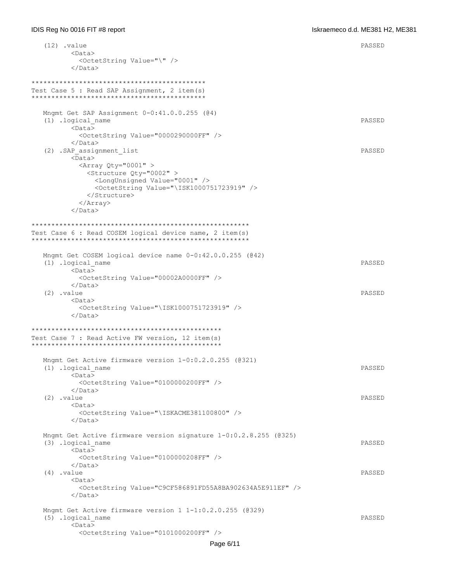```
 (12) .value PASSED
        <Data>
          <OctetString Value="\" />
       \langleData>
********************************************
Test Case 5 : Read SAP Assignment, 2 item(s)
********************************************
   Mngmt Get SAP Assignment 0-0:41.0.0.255 (@4)
   (1) .logical_name PASSED
        <Data>
          <OctetString Value="0000290000FF" />
        </Data>
  (2) .SAP assignment list PASSED
       <sub>Data</sub></sub>
         \langleArray Qty="0001" >
           <Structure Qty="0002" >
             <LongUnsigned Value="0001" />
             <OctetString Value="\ISK1000751723919" />
           </Structure>
          </Array>
        </Data>
*******************************************************
Test Case 6 : Read COSEM logical device name, 2 item(s)
*******************************************************
   Mngmt Get COSEM logical device name 0-0:42.0.0.255 (@42)
   (1) .logical_name PASSED
       <sub>Data</sub></sub>
          <OctetString Value="00002A0000FF" />
        </Data>
   (2) .value PASSED
        <Data>
          <OctetString Value="\ISK1000751723919" />
       \langleData>
************************************************
Test Case 7 : Read Active FW version, 12 item(s)
************************************************
   Mngmt Get Active firmware version 1-0:0.2.0.255 (@321)
   (1) .logical_name PASSED
        <Data>
          <OctetString Value="0100000200FF" />
        </Data>
 (2) .value PASSED
        <Data>
          <OctetString Value="\ISKACME381100800" />
        </Data>
   Mngmt Get Active firmware version signature 1-0:0.2.8.255 (@325)
   (3) .logical_name PASSED
        <Data>
          <OctetString Value="0100000208FF" />
        </Data>
   (4) .value PASSED
        <Data>
          <OctetString Value="C9CF586891FD55A8BA902634A5E911EF" />
        </Data>
   Mngmt Get Active firmware version 1 1-1:0.2.0.255 (@329)
   (5) .logical_name PASSED
        <Data>
          <OctetString Value="0101000200FF" />
```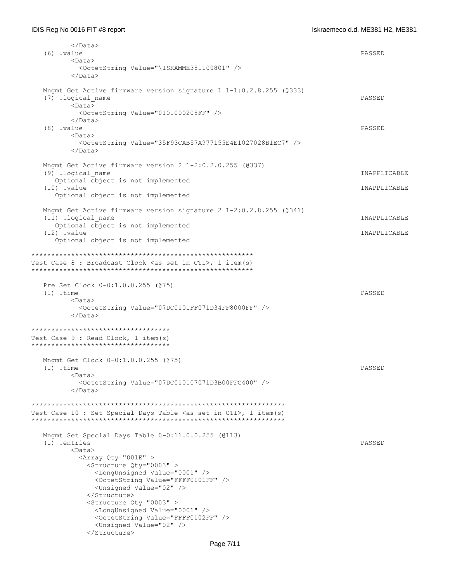| $(6)$ . value                                                              | PASSED       |
|----------------------------------------------------------------------------|--------------|
| $<$ Data $>$                                                               |              |
| <octetstring value="\ISKAMME381100801"></octetstring>                      |              |
|                                                                            |              |
| Mnqmt Get Active firmware version signature $1 \quad 1-1:0.2.8.255$ (@333) |              |
| (7) .logical name                                                          | PASSED       |
| $<$ Data $>$                                                               |              |
| <octetstring value="0101000208FF"></octetstring>                           |              |
|                                                                            |              |
| $(8)$ . value                                                              | PASSED       |
| <data></data>                                                              |              |
| <octetstring value="35F93CAB57A977155E4E1027028B1EC7"></octetstring><br>   |              |
| Mngmt Get Active firmware version $2 \t1-2:0.2.0.255$ (@337)               |              |
| (9) .logical name                                                          | INAPPLICABLE |
| Optional object is not implemented                                         |              |
| $(10)$ . value                                                             | INAPPLICABLE |
| Optional object is not implemented                                         |              |
| Mngmt Get Active firmware version signature 2 1-2:0.2.8.255 (@341)         |              |
| (11) .logical name                                                         | INAPPLICABLE |
| Optional object is not implemented                                         |              |
| $(12)$ . value                                                             | INAPPLICABLE |
| Optional object is not implemented                                         |              |
|                                                                            |              |
|                                                                            |              |
| Test Case 8 : Broadcast Clock <as cti="" in="" set="">, 1 item(s)</as>     |              |
|                                                                            |              |
|                                                                            |              |
| Pre Set Clock 0-0:1.0.0.255 (075)<br>$(1)$ .time                           | PASSED       |
| <data></data>                                                              |              |
| <octetstring value="07DC0101FF071D34FF8000FF"></octetstring>               |              |
| $\langle$ /Data>                                                           |              |
|                                                                            |              |
| ************************************                                       |              |
| Test Case 9 : Read Clock, 1 item(s)                                        |              |
| ************************************                                       |              |
|                                                                            |              |
| Mngmt Get Clock 0-0:1.0.0.255 (075)                                        |              |
| $(1)$ .time                                                                | PASSED       |
| <data></data>                                                              |              |
| <octetstring value="07DC010107071D3B00FFC400"></octetstring>               |              |
|                                                                            |              |
|                                                                            |              |
|                                                                            |              |
| Test Case 10 : Set Special Days Table $\langle$ as set in CTI>, 1 item(s)  |              |
| Mngmt Set Special Days Table $0-0:11.0.0.255$ (0113)                       |              |
| $(1)$ .entries                                                             | PASSED       |
| <data></data>                                                              |              |
| <array qty="001E"></array>                                                 |              |
| <structure qty="0003"></structure>                                         |              |
| <longunsigned value="0001"></longunsigned>                                 |              |
| <octetstring value="FFFF0101FF"></octetstring>                             |              |
| <unsigned value="02"></unsigned>                                           |              |
|                                                                            |              |
| <structure qty="0003"></structure>                                         |              |
| <longunsigned value="0001"></longunsigned>                                 |              |
| <octetstring value="FFFF0102FF"></octetstring>                             |              |
| <unsigned value="02"></unsigned>                                           |              |
|                                                                            |              |
|                                                                            |              |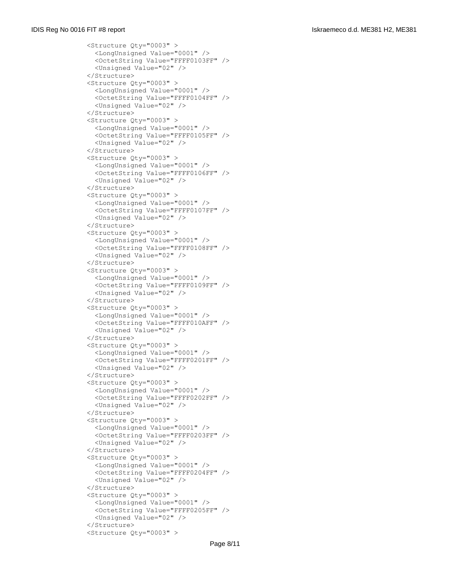<Structure Qty="0003" > <LongUnsigned Value="0001" /> <OctetString Value="FFFF0103FF" /> <Unsigned Value="02" /> </Structure> <Structure Qty="0003" > <LongUnsigned Value="0001" /> <OctetString Value="FFFF0104FF" /> <Unsigned Value="02" /> </Structure> <Structure Qty="0003" > <LongUnsigned Value="0001" /> <OctetString Value="FFFF0105FF" /> <Unsigned Value="02" /> </Structure> <Structure Qty="0003" > <LongUnsigned Value="0001" /> <OctetString Value="FFFF0106FF" /> <Unsigned Value="02" /> </Structure> <Structure Qty="0003" > <LongUnsigned Value="0001" /> <OctetString Value="FFFF0107FF" /> <Unsigned Value="02" /> </Structure> <Structure Qty="0003" > <LongUnsigned Value="0001" /> <OctetString Value="FFFF0108FF" /> <Unsigned Value="02" /> </Structure> <Structure Qty="0003" > <LongUnsigned Value="0001" /> <OctetString Value="FFFF0109FF" /> <Unsigned Value="02" /> </Structure> <Structure Qty="0003" > <LongUnsigned Value="0001" /> <OctetString Value="FFFF010AFF" /> <Unsigned Value="02" /> </Structure> <Structure Qty="0003" > <LongUnsigned Value="0001" /> <OctetString Value="FFFF0201FF" /> <Unsigned Value="02" /> </Structure> <Structure Qty="0003" > <LongUnsigned Value="0001" /> <OctetString Value="FFFF0202FF" /> <Unsigned Value="02" /> </Structure> <Structure Qty="0003" > <LongUnsigned Value="0001" /> <OctetString Value="FFFF0203FF" /> <Unsigned Value="02" /> </Structure> <Structure Qty="0003" > <LongUnsigned Value="0001" /> <OctetString Value="FFFF0204FF" /> <Unsigned Value="02" /> </Structure> <Structure Qty="0003" > <LongUnsigned Value="0001" /> <OctetString Value="FFFF0205FF" /> <Unsigned Value="02" /> </Structure> <Structure Qty="0003" >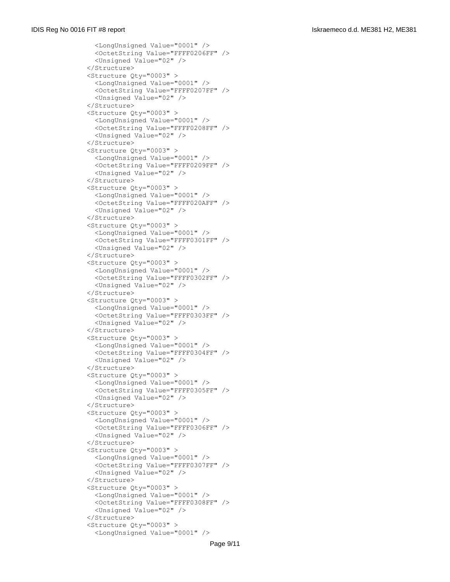<LongUnsigned Value="0001" /> <OctetString Value="FFFF0206FF" /> <Unsigned Value="02" /> </Structure> <Structure Qty="0003" > <LongUnsigned Value="0001" /> <OctetString Value="FFFF0207FF" /> <Unsigned Value="02" /> </Structure> <Structure Qty="0003" > <LongUnsigned Value="0001" /> <OctetString Value="FFFF0208FF" /> <Unsigned Value="02" /> </Structure> <Structure Qty="0003" > <LongUnsigned Value="0001" /> <OctetString Value="FFFF0209FF" /> <Unsigned Value="02" /> </Structure> <Structure Qty="0003" > <LongUnsigned Value="0001" /> <OctetString Value="FFFF020AFF" /> <Unsigned Value="02" /> </Structure> <Structure Qty="0003" > <LongUnsigned Value="0001" /> <OctetString Value="FFFF0301FF" /> <Unsigned Value="02" /> </Structure> <Structure Qty="0003" > <LongUnsigned Value="0001" /> <OctetString Value="FFFF0302FF" /> <Unsigned Value="02" /> </Structure> <Structure Qty="0003" > <LongUnsigned Value="0001" /> <OctetString Value="FFFF0303FF" /> <Unsigned Value="02" /> </Structure> <Structure Qty="0003" > <LongUnsigned Value="0001" /> <OctetString Value="FFFF0304FF" /> <Unsigned Value="02" /> </Structure> <Structure Qty="0003" > <LongUnsigned Value="0001" /> <OctetString Value="FFFF0305FF" /> <Unsigned Value="02" /> </Structure> <Structure Qty="0003" > <LongUnsigned Value="0001" /> <OctetString Value="FFFF0306FF" /> <Unsigned Value="02" /> </Structure> <Structure Qty="0003" > <LongUnsigned Value="0001" /> <OctetString Value="FFFF0307FF" /> <Unsigned Value="02" /> </Structure> <Structure Qty="0003" > <LongUnsigned Value="0001" /> <OctetString Value="FFFF0308FF" /> <Unsigned Value="02" /> </Structure> <Structure Qty="0003" > <LongUnsigned Value="0001" />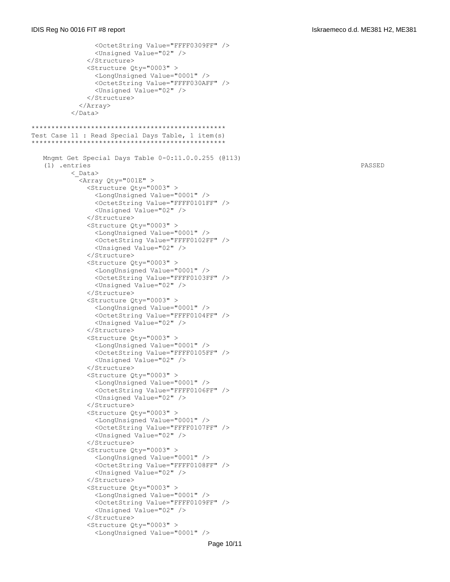```
 <OctetString Value="FFFF0309FF" />
                 <Unsigned Value="02" />
               </Structure>
               <Structure Qty="0003" >
                 <LongUnsigned Value="0001" />
                 <OctetString Value="FFFF030AFF" />
                 <Unsigned Value="02" />
               </Structure>
             </Array>
          \langle/Data>
*************************************************
Test Case 11 : Read Special Days Table, 1 item(s)
*************************************************
   Mngmt Get Special Days Table 0-0:11.0.0.255 (@113)
    (1) .entries PASSED
           <_Data>
             <Array Qty="001E" >
               <Structure Qty="0003" >
                 <LongUnsigned Value="0001" />
                 <OctetString Value="FFFF0101FF" />
                 <Unsigned Value="02" />
               </Structure>
               <Structure Qty="0003" >
                 <LongUnsigned Value="0001" />
                 <OctetString Value="FFFF0102FF" />
                 <Unsigned Value="02" />
               </Structure>
               <Structure Qty="0003" >
                 <LongUnsigned Value="0001" />
                 <OctetString Value="FFFF0103FF" />
                 <Unsigned Value="02" />
               </Structure>
               <Structure Qty="0003" >
                 <LongUnsigned Value="0001" />
                 <OctetString Value="FFFF0104FF" />
                 <Unsigned Value="02" />
               </Structure>
               <Structure Qty="0003" >
                 <LongUnsigned Value="0001" />
                <OctetString Value="FFFF0105FF" />
                 <Unsigned Value="02" />
               </Structure>
               <Structure Qty="0003" >
                 <LongUnsigned Value="0001" />
                 <OctetString Value="FFFF0106FF" />
                 <Unsigned Value="02" />
               </Structure>
               <Structure Qty="0003" >
                 <LongUnsigned Value="0001" />
                 <OctetString Value="FFFF0107FF" />
                 <Unsigned Value="02" />
               </Structure>
               <Structure Qty="0003" >
                 <LongUnsigned Value="0001" />
                 <OctetString Value="FFFF0108FF" />
                 <Unsigned Value="02" />
               </Structure>
               <Structure Qty="0003" >
                 <LongUnsigned Value="0001" />
                 <OctetString Value="FFFF0109FF" />
                 <Unsigned Value="02" />
               </Structure>
               <Structure Qty="0003" >
                 <LongUnsigned Value="0001" />
```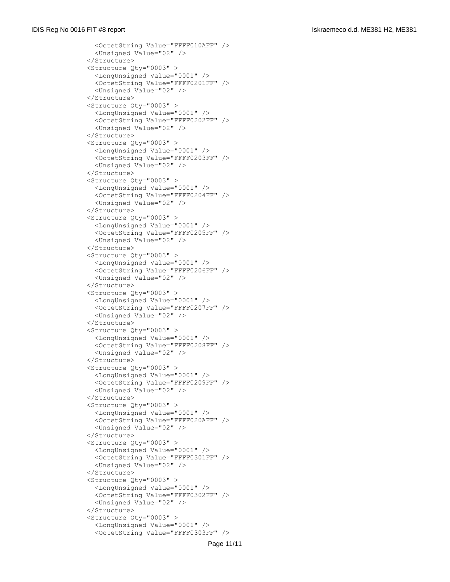<OctetString Value="FFFF010AFF" /> <Unsigned Value="02" /> </Structure> <Structure Qty="0003" > <LongUnsigned Value="0001" /> <OctetString Value="FFFF0201FF" /> <Unsigned Value="02" /> </Structure> <Structure Qty="0003" > <LongUnsigned Value="0001" /> <OctetString Value="FFFF0202FF" /> <Unsigned Value="02" /> </Structure> <Structure Qty="0003" > <LongUnsigned Value="0001" /> <OctetString Value="FFFF0203FF" /> <Unsigned Value="02" /> </Structure> <Structure Qty="0003" > <LongUnsigned Value="0001" /> <OctetString Value="FFFF0204FF" /> <Unsigned Value="02" /> </Structure> <Structure Qty="0003" > <LongUnsigned Value="0001" /> <OctetString Value="FFFF0205FF" /> <Unsigned Value="02" /> </Structure> <Structure Qty="0003" > <LongUnsigned Value="0001" /> <OctetString Value="FFFF0206FF" /> <Unsigned Value="02" /> </Structure> <Structure Qty="0003" > <LongUnsigned Value="0001" /> <OctetString Value="FFFF0207FF" /> <Unsigned Value="02" /> </Structure> <Structure Qty="0003" > <LongUnsigned Value="0001" /> <OctetString Value="FFFF0208FF" /> <Unsigned Value="02" /> </Structure> <Structure Qty="0003" > <LongUnsigned Value="0001" /> <OctetString Value="FFFF0209FF" /> <Unsigned Value="02" /> </Structure> <Structure Qty="0003" > <LongUnsigned Value="0001" /> <OctetString Value="FFFF020AFF" /> <Unsigned Value="02" /> </Structure> <Structure Qty="0003" > <LongUnsigned Value="0001" /> <OctetString Value="FFFF0301FF" /> <Unsigned Value="02" /> </Structure> <Structure Qty="0003" > <LongUnsigned Value="0001" /> <OctetString Value="FFFF0302FF" /> <Unsigned Value="02" /> </Structure> <Structure Qty="0003" > <LongUnsigned Value="0001" /> <OctetString Value="FFFF0303FF" />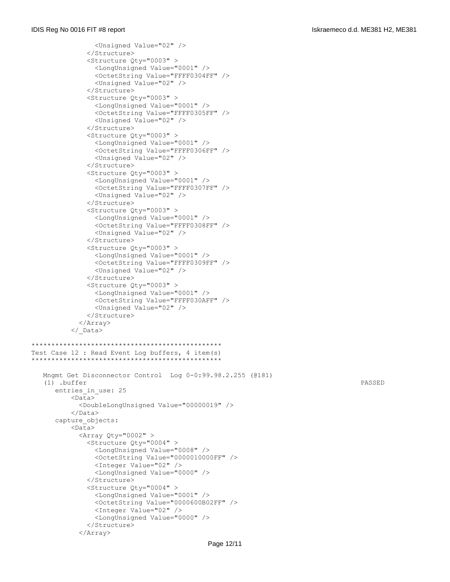```
 <Unsigned Value="02" />
               </Structure>
               <Structure Qty="0003" >
                 <LongUnsigned Value="0001" />
                 <OctetString Value="FFFF0304FF" />
                 <Unsigned Value="02" />
               </Structure>
               <Structure Qty="0003" >
                 <LongUnsigned Value="0001" />
                 <OctetString Value="FFFF0305FF" />
                 <Unsigned Value="02" />
               </Structure>
               <Structure Qty="0003" >
                 <LongUnsigned Value="0001" />
                 <OctetString Value="FFFF0306FF" />
                <Unsigned Value="02" />
               </Structure>
               <Structure Qty="0003" >
                 <LongUnsigned Value="0001" />
                 <OctetString Value="FFFF0307FF" />
                 <Unsigned Value="02" />
               </Structure>
               <Structure Qty="0003" >
                 <LongUnsigned Value="0001" />
                 <OctetString Value="FFFF0308FF" />
                 <Unsigned Value="02" />
               </Structure>
               <Structure Qty="0003" >
                 <LongUnsigned Value="0001" />
                 <OctetString Value="FFFF0309FF" />
                 <Unsigned Value="02" />
               </Structure>
               <Structure Qty="0003" >
                 <LongUnsigned Value="0001" />
                 <OctetString Value="FFFF030AFF" />
                 <Unsigned Value="02" />
               </Structure>
             </Array>
           </_Data>
************************************************
Test Case 12 : Read Event Log buffers, 4 item(s)
************************************************
   Mngmt Get Disconnector Control Log 0-0:99.98.2.255 (@181)
    (1) .buffer PASSED
     entries in use: 25
           <Data>
             <DoubleLongUnsigned Value="00000019" />
           </Data>
       capture_objects:
           <Data>
            \langleArray Qty="0002" >
               <Structure Qty="0004" >
                 <LongUnsigned Value="0008" />
                 <OctetString Value="0000010000FF" />
                 <Integer Value="02" />
                 <LongUnsigned Value="0000" />
               </Structure>
               <Structure Qty="0004" >
                 <LongUnsigned Value="0001" />
                 <OctetString Value="0000600B02FF" />
                 <Integer Value="02" />
                 <LongUnsigned Value="0000" />
               </Structure>
             </Array>
```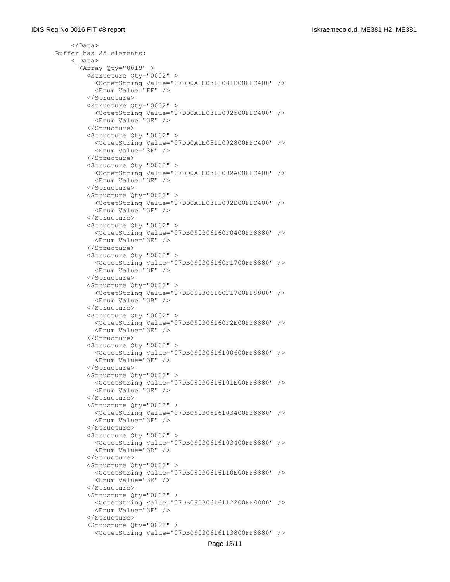```
\langle/Data>
 Buffer has 25 elements:
     <_Data>
       <Array Qty="0019" >
         <Structure Qty="0002" >
           <OctetString Value="07DD0A1E0311081D00FFC400" />
           <Enum Value="FF" />
         </Structure>
         <Structure Qty="0002" >
           <OctetString Value="07DD0A1E0311092500FFC400" />
           <Enum Value="3E" />
         </Structure>
         <Structure Qty="0002" >
           <OctetString Value="07DD0A1E0311092800FFC400" />
           <Enum Value="3F" />
         </Structure>
         <Structure Qty="0002" >
           <OctetString Value="07DD0A1E0311092A00FFC400" />
           <Enum Value="3E" />
         </Structure>
         <Structure Qty="0002" >
           <OctetString Value="07DD0A1E0311092D00FFC400" />
           <Enum Value="3F" />
         </Structure>
         <Structure Qty="0002" >
           <OctetString Value="07DB090306160F0400FF8880" />
           <Enum Value="3E" />
         </Structure>
         <Structure Qty="0002" >
           <OctetString Value="07DB090306160F1700FF8880" />
           <Enum Value="3F" />
         </Structure>
         <Structure Qty="0002" >
           <OctetString Value="07DB090306160F1700FF8880" />
           <Enum Value="3B" />
         </Structure>
         <Structure Qty="0002" >
           <OctetString Value="07DB090306160F2E00FF8880" />
           <Enum Value="3E" />
         </Structure>
         <Structure Qty="0002" >
           <OctetString Value="07DB09030616100600FF8880" />
           <Enum Value="3F" />
         </Structure>
         <Structure Qty="0002" >
           <OctetString Value="07DB09030616101E00FF8880" />
           <Enum Value="3E" />
         </Structure>
         <Structure Qty="0002" >
           <OctetString Value="07DB09030616103400FF8880" />
           <Enum Value="3F" />
         </Structure>
         <Structure Qty="0002" >
           <OctetString Value="07DB09030616103400FF8880" />
           <Enum Value="3B" />
         </Structure>
         <Structure Qty="0002" >
           <OctetString Value="07DB09030616110E00FF8880" />
           <Enum Value="3E" />
         </Structure>
         <Structure Qty="0002" >
           <OctetString Value="07DB09030616112200FF8880" />
           <Enum Value="3F" />
         </Structure>
         <Structure Qty="0002" >
           <OctetString Value="07DB09030616113800FF8880" />
```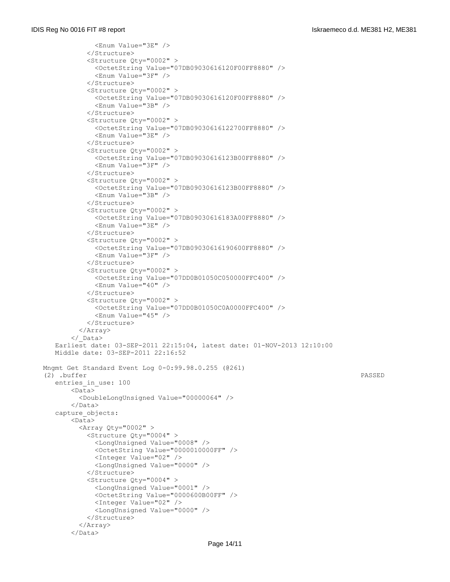```
 <Enum Value="3E" />
            </Structure>
            <Structure Qty="0002" >
              <OctetString Value="07DB09030616120F00FF8880" />
              <Enum Value="3F" />
            </Structure>
            <Structure Qty="0002" >
              <OctetString Value="07DB09030616120F00FF8880" />
              <Enum Value="3B" />
            </Structure>
            <Structure Qty="0002" >
              <OctetString Value="07DB09030616122700FF8880" />
              <Enum Value="3E" />
            </Structure>
            <Structure Qty="0002" >
              <OctetString Value="07DB09030616123B00FF8880" />
              <Enum Value="3F" />
            </Structure>
            <Structure Qty="0002" >
              <OctetString Value="07DB09030616123B00FF8880" />
              <Enum Value="3B" />
            </Structure>
            <Structure Qty="0002" >
              <OctetString Value="07DB09030616183A00FF8880" />
              <Enum Value="3E" />
            </Structure>
            <Structure Qty="0002" >
              <OctetString Value="07DB09030616190600FF8880" />
              <Enum Value="3F" />
            </Structure>
            <Structure Qty="0002" >
              <OctetString Value="07DD0B01050C050000FFC400" />
              <Enum Value="40" />
            </Structure>
            <Structure Qty="0002" >
              <OctetString Value="07DD0B01050C0A0000FFC400" />
              <Enum Value="45" />
            </Structure>
          </Array>
        </_Data>
   Earliest date: 03-SEP-2011 22:15:04, latest date: 01-NOV-2013 12:10:00
   Middle date: 03-SEP-2011 22:16:52
 Mngmt Get Standard Event Log 0-0:99.98.0.255 (@261)
 (2) .buffer PASSED
   entries_in_use: 100
        <Data>
          <DoubleLongUnsigned Value="00000064" />
        </Data>
    capture_objects:
        <Data>
         \langleArray Qty="0002" >
            <Structure Qty="0004" >
              <LongUnsigned Value="0008" />
              <OctetString Value="0000010000FF" />
              <Integer Value="02" />
              <LongUnsigned Value="0000" />
            </Structure>
            <Structure Qty="0004" >
              <LongUnsigned Value="0001" />
              <OctetString Value="0000600B00FF" />
              <Integer Value="02" />
              <LongUnsigned Value="0000" />
            </Structure>
          </Array>
       \langleData>
```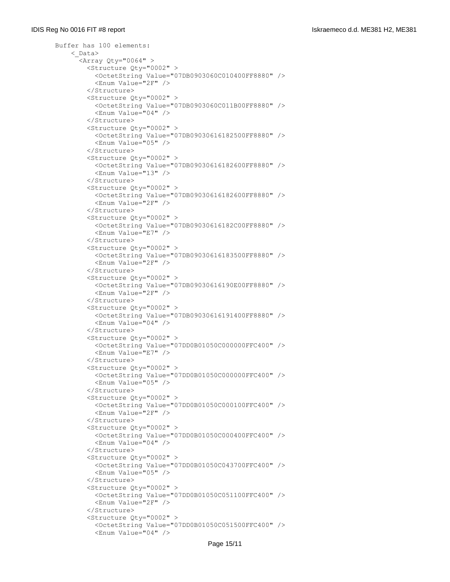```
 Buffer has 100 elements:
     <_Data>
      \langleArray Qty="0064" >
         <Structure Qty="0002" >
           <OctetString Value="07DB0903060C010400FF8880" />
           <Enum Value="2F" />
         </Structure>
         <Structure Qty="0002" >
           <OctetString Value="07DB0903060C011B00FF8880" />
           <Enum Value="04" />
         </Structure>
         <Structure Qty="0002" >
           <OctetString Value="07DB09030616182500FF8880" />
           <Enum Value="05" />
         </Structure>
         <Structure Qty="0002" >
           <OctetString Value="07DB09030616182600FF8880" />
           <Enum Value="13" />
         </Structure>
         <Structure Qty="0002" >
           <OctetString Value="07DB09030616182600FF8880" />
           <Enum Value="2F" />
         </Structure>
         <Structure Qty="0002" >
           <OctetString Value="07DB09030616182C00FF8880" />
           <Enum Value="E7" />
         </Structure>
         <Structure Qty="0002" >
           <OctetString Value="07DB09030616183500FF8880" />
           <Enum Value="2F" />
         </Structure>
         <Structure Qty="0002" >
           <OctetString Value="07DB09030616190E00FF8880" />
           <Enum Value="2F" />
         </Structure>
         <Structure Qty="0002" >
           <OctetString Value="07DB09030616191400FF8880" />
           <Enum Value="04" />
         </Structure>
         <Structure Qty="0002" >
           <OctetString Value="07DD0B01050C000000FFC400" />
          <Enum Value="E7" />
         </Structure>
         <Structure Qty="0002" >
           <OctetString Value="07DD0B01050C000000FFC400" />
           <Enum Value="05" />
         </Structure>
         <Structure Qty="0002" >
           <OctetString Value="07DD0B01050C000100FFC400" />
           <Enum Value="2F" />
         </Structure>
         <Structure Qty="0002" >
           <OctetString Value="07DD0B01050C000400FFC400" />
           <Enum Value="04" />
         </Structure>
         <Structure Qty="0002" >
           <OctetString Value="07DD0B01050C043700FFC400" />
           <Enum Value="05" />
         </Structure>
         <Structure Qty="0002" >
           <OctetString Value="07DD0B01050C051100FFC400" />
           <Enum Value="2F" />
         </Structure>
         <Structure Qty="0002" >
           <OctetString Value="07DD0B01050C051500FFC400" />
           <Enum Value="04" />
```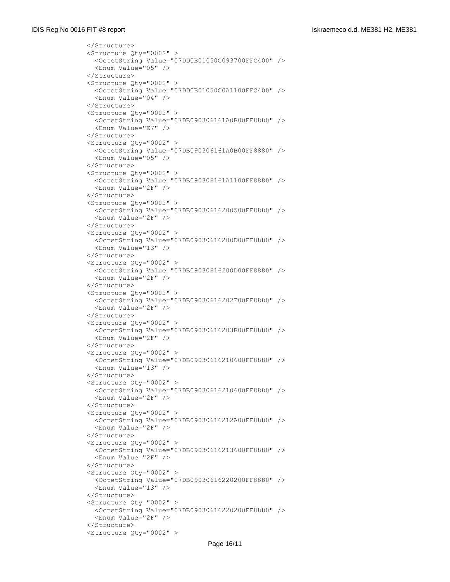```
 </Structure>
 <Structure Qty="0002" >
   <OctetString Value="07DD0B01050C093700FFC400" />
   <Enum Value="05" />
 </Structure>
 <Structure Qty="0002" >
   <OctetString Value="07DD0B01050C0A1100FFC400" />
   <Enum Value="04" />
 </Structure>
 <Structure Qty="0002" >
   <OctetString Value="07DB090306161A0B00FF8880" />
   <Enum Value="E7" />
 </Structure>
 <Structure Qty="0002" >
   <OctetString Value="07DB090306161A0B00FF8880" />
  <Enum Value="05" />
 </Structure>
 <Structure Qty="0002" >
   <OctetString Value="07DB090306161A1100FF8880" />
   <Enum Value="2F" />
 </Structure>
 <Structure Qty="0002" >
   <OctetString Value="07DB09030616200500FF8880" />
   <Enum Value="2F" />
 </Structure>
 <Structure Qty="0002" >
   <OctetString Value="07DB09030616200D00FF8880" />
   <Enum Value="13" />
 </Structure>
 <Structure Qty="0002" >
   <OctetString Value="07DB09030616200D00FF8880" />
   <Enum Value="2F" />
 </Structure>
 <Structure Qty="0002" >
   <OctetString Value="07DB09030616202F00FF8880" />
   <Enum Value="2F" />
 </Structure>
 <Structure Qty="0002" >
   <OctetString Value="07DB09030616203B00FF8880" />
   <Enum Value="2F" />
 </Structure>
 <Structure Qty="0002" >
   <OctetString Value="07DB09030616210600FF8880" />
   <Enum Value="13" />
 </Structure>
 <Structure Qty="0002" >
   <OctetString Value="07DB09030616210600FF8880" />
   <Enum Value="2F" />
 </Structure>
 <Structure Qty="0002" >
   <OctetString Value="07DB09030616212A00FF8880" />
   <Enum Value="2F" />
 </Structure>
 <Structure Qty="0002" >
   <OctetString Value="07DB09030616213600FF8880" />
   <Enum Value="2F" />
 </Structure>
 <Structure Qty="0002" >
   <OctetString Value="07DB09030616220200FF8880" />
   <Enum Value="13" />
 </Structure>
 <Structure Qty="0002" >
   <OctetString Value="07DB09030616220200FF8880" />
   <Enum Value="2F" />
 </Structure>
 <Structure Qty="0002" >
```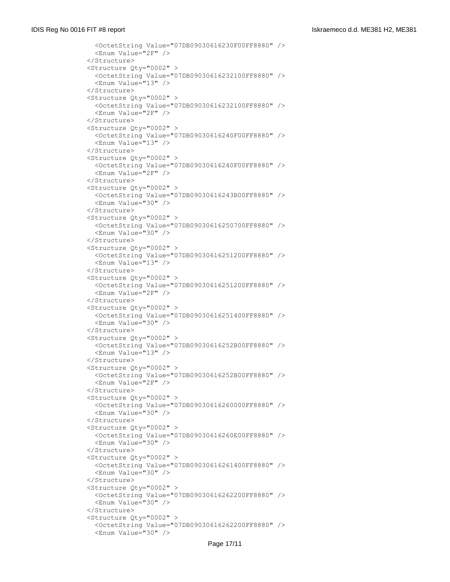```
 <OctetString Value="07DB09030616230F00FF8880" />
   <Enum Value="2F" />
 </Structure>
 <Structure Qty="0002" >
   <OctetString Value="07DB09030616232100FF8880" />
   <Enum Value="13" />
 </Structure>
 <Structure Qty="0002" >
   <OctetString Value="07DB09030616232100FF8880" />
   <Enum Value="2F" />
 </Structure>
 <Structure Qty="0002" >
   <OctetString Value="07DB09030616240F00FF8880" />
   <Enum Value="13" />
 </Structure>
 <Structure Qty="0002" >
   <OctetString Value="07DB09030616240F00FF8880" />
   <Enum Value="2F" />
 </Structure>
 <Structure Qty="0002" >
   <OctetString Value="07DB09030616243B00FF8880" />
   <Enum Value="30" />
 </Structure>
 <Structure Qty="0002" >
   <OctetString Value="07DB09030616250700FF8880" />
   <Enum Value="30" />
 </Structure>
 <Structure Qty="0002" >
   <OctetString Value="07DB09030616251200FF8880" />
   <Enum Value="13" />
 </Structure>
 <Structure Qty="0002" >
   <OctetString Value="07DB09030616251200FF8880" />
   <Enum Value="2F" />
 </Structure>
 <Structure Qty="0002" >
   <OctetString Value="07DB09030616251400FF8880" />
   <Enum Value="30" />
 </Structure>
 <Structure Qty="0002" >
   <OctetString Value="07DB09030616252B00FF8880" />
  <Enum Value="13" />
 </Structure>
 <Structure Qty="0002" >
   <OctetString Value="07DB09030616252B00FF8880" />
   <Enum Value="2F" />
 </Structure>
 <Structure Qty="0002" >
   <OctetString Value="07DB09030616260000FF8880" />
   <Enum Value="30" />
 </Structure>
 <Structure Qty="0002" >
   <OctetString Value="07DB09030616260E00FF8880" />
   <Enum Value="30" />
 </Structure>
 <Structure Qty="0002" >
   <OctetString Value="07DB09030616261400FF8880" />
   <Enum Value="30" />
 </Structure>
 <Structure Qty="0002" >
   <OctetString Value="07DB09030616262200FF8880" />
   <Enum Value="30" />
 </Structure>
 <Structure Qty="0002" >
   <OctetString Value="07DB09030616262200FF8880" />
   <Enum Value="30" />
```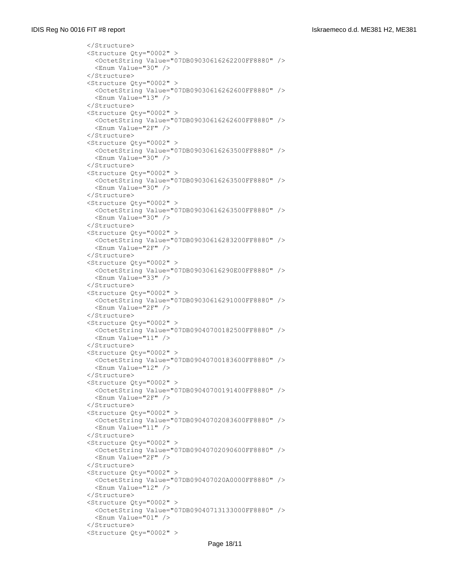```
 </Structure>
 <Structure Qty="0002" >
   <OctetString Value="07DB09030616262200FF8880" />
   <Enum Value="30" />
 </Structure>
 <Structure Qty="0002" >
   <OctetString Value="07DB09030616262600FF8880" />
   <Enum Value="13" />
 </Structure>
 <Structure Qty="0002" >
   <OctetString Value="07DB09030616262600FF8880" />
   <Enum Value="2F" />
 </Structure>
 <Structure Qty="0002" >
   <OctetString Value="07DB09030616263500FF8880" />
  <Enum Value="30" />
 </Structure>
 <Structure Qty="0002" >
   <OctetString Value="07DB09030616263500FF8880" />
   <Enum Value="30" />
 </Structure>
 <Structure Qty="0002" >
   <OctetString Value="07DB09030616263500FF8880" />
   <Enum Value="30" />
 </Structure>
 <Structure Qty="0002" >
   <OctetString Value="07DB09030616283200FF8880" />
   <Enum Value="2F" />
 </Structure>
 <Structure Qty="0002" >
   <OctetString Value="07DB09030616290E00FF8880" />
   <Enum Value="33" />
 </Structure>
 <Structure Qty="0002" >
   <OctetString Value="07DB09030616291000FF8880" />
   <Enum Value="2F" />
 </Structure>
 <Structure Qty="0002" >
   <OctetString Value="07DB09040700182500FF8880" />
   <Enum Value="11" />
 </Structure>
 <Structure Qty="0002" >
   <OctetString Value="07DB09040700183600FF8880" />
   <Enum Value="12" />
 </Structure>
 <Structure Qty="0002" >
   <OctetString Value="07DB09040700191400FF8880" />
   <Enum Value="2F" />
 </Structure>
 <Structure Qty="0002" >
   <OctetString Value="07DB09040702083600FF8880" />
   <Enum Value="11" />
 </Structure>
 <Structure Qty="0002" >
   <OctetString Value="07DB09040702090600FF8880" />
   <Enum Value="2F" />
 </Structure>
 <Structure Qty="0002" >
   <OctetString Value="07DB090407020A0000FF8880" />
   <Enum Value="12" />
 </Structure>
 <Structure Qty="0002" >
   <OctetString Value="07DB09040713133000FF8880" />
   <Enum Value="01" />
 </Structure>
 <Structure Qty="0002" >
```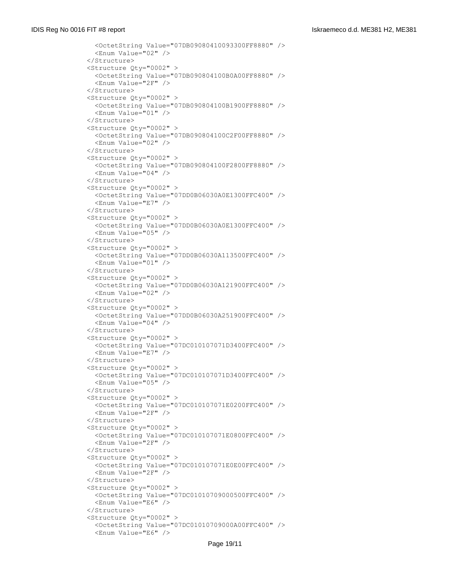```
 <OctetString Value="07DB09080410093300FF8880" />
   <Enum Value="02" />
 </Structure>
 <Structure Qty="0002" >
   <OctetString Value="07DB090804100B0A00FF8880" />
   <Enum Value="2F" />
 </Structure>
 <Structure Qty="0002" >
   <OctetString Value="07DB090804100B1900FF8880" />
   <Enum Value="01" />
 </Structure>
 <Structure Qty="0002" >
   <OctetString Value="07DB090804100C2F00FF8880" />
   <Enum Value="02" />
 </Structure>
 <Structure Qty="0002" >
   <OctetString Value="07DB090804100F2800FF8880" />
   <Enum Value="04" />
 </Structure>
 <Structure Qty="0002" >
   <OctetString Value="07DD0B06030A0E1300FFC400" />
   <Enum Value="E7" />
 </Structure>
 <Structure Qty="0002" >
   <OctetString Value="07DD0B06030A0E1300FFC400" />
   <Enum Value="05" />
 </Structure>
 <Structure Qty="0002" >
   <OctetString Value="07DD0B06030A113500FFC400" />
   <Enum Value="01" />
 </Structure>
 <Structure Qty="0002" >
   <OctetString Value="07DD0B06030A121900FFC400" />
   <Enum Value="02" />
 </Structure>
 <Structure Qty="0002" >
   <OctetString Value="07DD0B06030A251900FFC400" />
   <Enum Value="04" />
 </Structure>
 <Structure Qty="0002" >
   <OctetString Value="07DC010107071D3400FFC400" />
  <Enum Value="E7" />
 </Structure>
 <Structure Qty="0002" >
   <OctetString Value="07DC010107071D3400FFC400" />
   <Enum Value="05" />
 </Structure>
 <Structure Qty="0002" >
   <OctetString Value="07DC010107071E0200FFC400" />
   <Enum Value="2F" />
 </Structure>
 <Structure Qty="0002" >
   <OctetString Value="07DC010107071E0800FFC400" />
   <Enum Value="2F" />
 </Structure>
 <Structure Qty="0002" >
   <OctetString Value="07DC010107071E0E00FFC400" />
   <Enum Value="2F" />
 </Structure>
 <Structure Qty="0002" >
   <OctetString Value="07DC01010709000500FFC400" />
   <Enum Value="E6" />
 </Structure>
 <Structure Qty="0002" >
   <OctetString Value="07DC01010709000A00FFC400" />
   <Enum Value="E6" />
```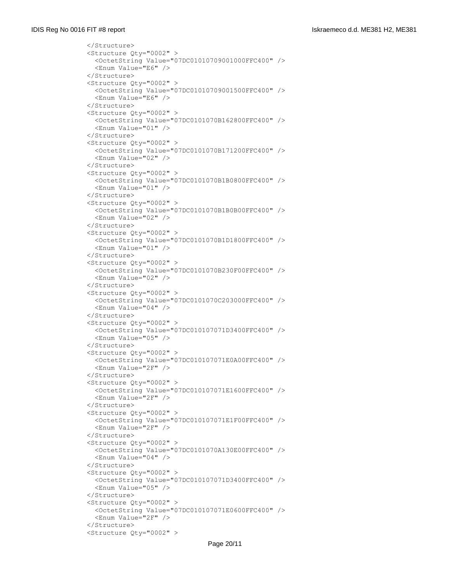```
 </Structure>
 <Structure Qty="0002" >
   <OctetString Value="07DC01010709001000FFC400" />
   <Enum Value="E6" />
 </Structure>
 <Structure Qty="0002" >
   <OctetString Value="07DC01010709001500FFC400" />
   <Enum Value="E6" />
 </Structure>
 <Structure Qty="0002" >
   <OctetString Value="07DC0101070B162800FFC400" />
   <Enum Value="01" />
 </Structure>
 <Structure Qty="0002" >
   <OctetString Value="07DC0101070B171200FFC400" />
  <Enum Value="02" />
 </Structure>
 <Structure Qty="0002" >
   <OctetString Value="07DC0101070B1B0800FFC400" />
   <Enum Value="01" />
 </Structure>
 <Structure Qty="0002" >
   <OctetString Value="07DC0101070B1B0B00FFC400" />
   <Enum Value="02" />
 </Structure>
 <Structure Qty="0002" >
   <OctetString Value="07DC0101070B1D1800FFC400" />
   <Enum Value="01" />
 </Structure>
 <Structure Qty="0002" >
   <OctetString Value="07DC0101070B230F00FFC400" />
   <Enum Value="02" />
 </Structure>
 <Structure Qty="0002" >
   <OctetString Value="07DC0101070C203000FFC400" />
   <Enum Value="04" />
 </Structure>
 <Structure Qty="0002" >
   <OctetString Value="07DC010107071D3400FFC400" />
   <Enum Value="05" />
 </Structure>
 <Structure Qty="0002" >
   <OctetString Value="07DC010107071E0A00FFC400" />
   <Enum Value="2F" />
 </Structure>
 <Structure Qty="0002" >
   <OctetString Value="07DC010107071E1600FFC400" />
   <Enum Value="2F" />
 </Structure>
 <Structure Qty="0002" >
   <OctetString Value="07DC010107071E1F00FFC400" />
   <Enum Value="2F" />
 </Structure>
 <Structure Qty="0002" >
   <OctetString Value="07DC0101070A130E00FFC400" />
   <Enum Value="04" />
 </Structure>
 <Structure Qty="0002" >
   <OctetString Value="07DC010107071D3400FFC400" />
   <Enum Value="05" />
 </Structure>
 <Structure Qty="0002" >
   <OctetString Value="07DC010107071E0600FFC400" />
   <Enum Value="2F" />
 </Structure>
 <Structure Qty="0002" >
```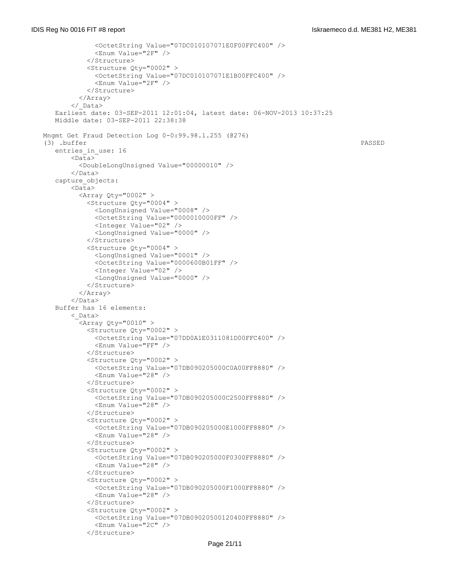```
 <OctetString Value="07DC010107071E0F00FFC400" />
              <Enum Value="2F" />
            </Structure>
            <Structure Qty="0002" >
              <OctetString Value="07DC010107071E1B00FFC400" />
              <Enum Value="2F" />
            </Structure>
          </Array>
        </_Data>
    Earliest date: 03-SEP-2011 12:01:04, latest date: 06-NOV-2013 10:37:25
    Middle date: 03-SEP-2011 22:38:38
 Mngmt Get Fraud Detection Log 0-0:99.98.1.255 (@276)
 (3) .buffer PASSED
   entries in use: 16
       \overline{\text{L}} <DoubleLongUnsigned Value="00000010" />
        </Data>
    capture_objects:
        <Data>
         \langleArray Qty="0002" >
            <Structure Qty="0004" >
              <LongUnsigned Value="0008" />
              <OctetString Value="0000010000FF" />
              <Integer Value="02" />
              <LongUnsigned Value="0000" />
            </Structure>
            <Structure Qty="0004" >
              <LongUnsigned Value="0001" />
              <OctetString Value="0000600B01FF" />
              <Integer Value="02" />
              <LongUnsigned Value="0000" />
            </Structure>
          </Array>
        </Data>
    Buffer has 16 elements:
        <_Data>
         \langleArray Qty="0010" >
            <Structure Qty="0002" >
              <OctetString Value="07DD0A1E0311081D00FFC400" />
              <Enum Value="FF" />
            </Structure>
            <Structure Qty="0002" >
              <OctetString Value="07DB090205000C0A00FF8880" />
              <Enum Value="28" />
            </Structure>
            <Structure Qty="0002" >
              <OctetString Value="07DB090205000C2500FF8880" />
              <Enum Value="28" />
            </Structure>
            <Structure Qty="0002" >
              <OctetString Value="07DB090205000E1000FF8880" />
              <Enum Value="28" />
            </Structure>
            <Structure Qty="0002" >
              <OctetString Value="07DB090205000F0300FF8880" />
              <Enum Value="28" />
            </Structure>
            <Structure Qty="0002" >
              <OctetString Value="07DB090205000F1000FF8880" />
              <Enum Value="28" />
            </Structure>
            <Structure Qty="0002" >
              <OctetString Value="07DB09020500120400FF8880" />
              <Enum Value="2C" />
            </Structure>
```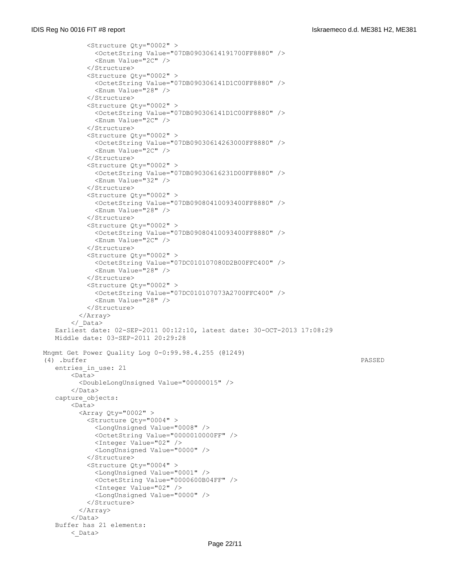```
 <Structure Qty="0002" >
              <OctetString Value="07DB09030614191700FF8880" />
              <Enum Value="2C" />
            </Structure>
            <Structure Qty="0002" >
              <OctetString Value="07DB090306141D1C00FF8880" />
              <Enum Value="28" />
            </Structure>
            <Structure Qty="0002" >
              <OctetString Value="07DB090306141D1C00FF8880" />
              <Enum Value="2C" />
            </Structure>
            <Structure Qty="0002" >
              <OctetString Value="07DB09030614263000FF8880" />
              <Enum Value="2C" />
            </Structure>
            <Structure Qty="0002" >
              <OctetString Value="07DB09030616231D00FF8880" />
              <Enum Value="32" />
            </Structure>
            <Structure Qty="0002" >
              <OctetString Value="07DB09080410093400FF8880" />
              <Enum Value="28" />
            </Structure>
            <Structure Qty="0002" >
              <OctetString Value="07DB09080410093400FF8880" />
              <Enum Value="2C" />
            </Structure>
            <Structure Qty="0002" >
              <OctetString Value="07DC010107080D2B00FFC400" />
              <Enum Value="28" />
            </Structure>
            <Structure Qty="0002" >
              <OctetString Value="07DC010107073A2700FFC400" />
              <Enum Value="28" />
            </Structure>
          </Array>
        </_Data>
   Earliest date: 02-SEP-2011 00:12:10, latest date: 30-OCT-2013 17:08:29
   Middle date: 03-SEP-2011 20:29:28
 Mngmt Get Power Quality Log 0-0:99.98.4.255 (@1249)
 (4) .buffer PASSED
   entries_in_use: 21
        <Data>
         <DoubleLongUnsigned Value="00000015" />
        </Data>
    capture_objects:
        <Data>
          <Array Qty="0002" >
            <Structure Qty="0004" >
              <LongUnsigned Value="0008" />
              <OctetString Value="0000010000FF" />
              <Integer Value="02" />
              <LongUnsigned Value="0000" />
            </Structure>
            <Structure Qty="0004" >
              <LongUnsigned Value="0001" />
              <OctetString Value="0000600B04FF" />
              <Integer Value="02" />
              <LongUnsigned Value="0000" />
            </Structure>
          </Array>
       \langleData>
    Buffer has 21 elements:
        <_Data>
```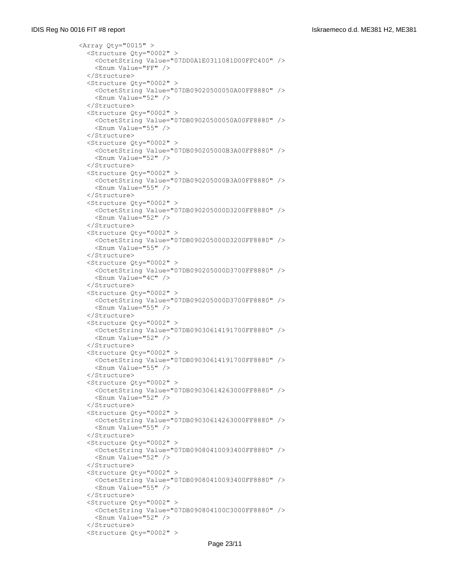```
\langleArray Qty="0015" >
   <Structure Qty="0002" >
     <OctetString Value="07DD0A1E0311081D00FFC400" />
     <Enum Value="FF" />
   </Structure>
   <Structure Qty="0002" >
     <OctetString Value="07DB09020500050A00FF8880" />
     <Enum Value="52" />
   </Structure>
   <Structure Qty="0002" >
     <OctetString Value="07DB09020500050A00FF8880" />
     <Enum Value="55" />
   </Structure>
   <Structure Qty="0002" >
     <OctetString Value="07DB090205000B3A00FF8880" />
    <Enum Value="52" />
   </Structure>
   <Structure Qty="0002" >
     <OctetString Value="07DB090205000B3A00FF8880" />
     <Enum Value="55" />
   </Structure>
   <Structure Qty="0002" >
     <OctetString Value="07DB090205000D3200FF8880" />
     <Enum Value="52" />
   </Structure>
   <Structure Qty="0002" >
     <OctetString Value="07DB090205000D3200FF8880" />
     <Enum Value="55" />
   </Structure>
   <Structure Qty="0002" >
     <OctetString Value="07DB090205000D3700FF8880" />
     <Enum Value="4C" />
   </Structure>
   <Structure Qty="0002" >
     <OctetString Value="07DB090205000D3700FF8880" />
     <Enum Value="55" />
   </Structure>
   <Structure Qty="0002" >
     <OctetString Value="07DB09030614191700FF8880" />
     <Enum Value="52" />
   </Structure>
   <Structure Qty="0002" >
     <OctetString Value="07DB09030614191700FF8880" />
     <Enum Value="55" />
   </Structure>
   <Structure Qty="0002" >
     <OctetString Value="07DB09030614263000FF8880" />
     <Enum Value="52" />
   </Structure>
   <Structure Qty="0002" >
     <OctetString Value="07DB09030614263000FF8880" />
     <Enum Value="55" />
   </Structure>
   <Structure Qty="0002" >
     <OctetString Value="07DB09080410093400FF8880" />
     <Enum Value="52" />
   </Structure>
   <Structure Qty="0002" >
     <OctetString Value="07DB09080410093400FF8880" />
     <Enum Value="55" />
   </Structure>
   <Structure Qty="0002" >
     <OctetString Value="07DB090804100C3000FF8880" />
     <Enum Value="52" />
   </Structure>
   <Structure Qty="0002" >
```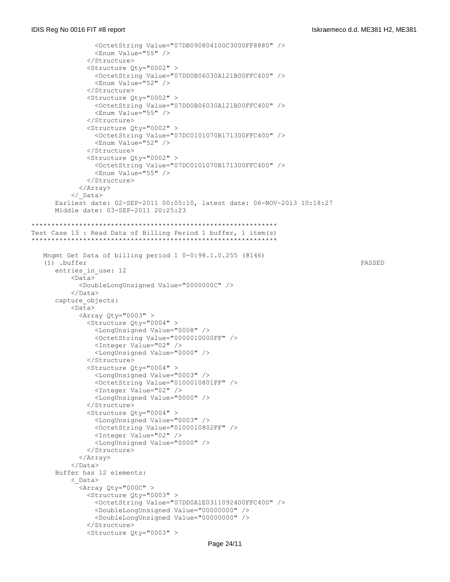```
 <OctetString Value="07DB090804100C3000FF8880" />
                 <Enum Value="55" />
               </Structure>
               <Structure Qty="0002" >
                 <OctetString Value="07DD0B06030A121B00FFC400" />
                 <Enum Value="52" />
               </Structure>
               <Structure Qty="0002" >
                 <OctetString Value="07DD0B06030A121B00FFC400" />
                 <Enum Value="55" />
               </Structure>
               <Structure Qty="0002" >
                 <OctetString Value="07DC0101070B171300FFC400" />
                 <Enum Value="52" />
               </Structure>
               <Structure Qty="0002" >
                 <OctetString Value="07DC0101070B171300FFC400" />
                 <Enum Value="55" />
               </Structure>
             </Array>
           </_Data>
      Earliest date: 02-SEP-2011 00:05:10, latest date: 06-NOV-2013 10:18:27
      Middle date: 03-SEP-2011 20:25:23
**************************************************************
Test Case 13 : Read Data of Billing Period 1 buffer, 1 item(s)
**************************************************************
   Mngmt Get Data of billing period 1 0-0:98.1.0.255 (@146)
    (1) .buffer PASSED
     entries in_use: 12
          <Data> <DoubleLongUnsigned Value="0000000C" />
           </Data>
       capture_objects:
           <Data>
            \langleArray Qty="0003" >
               <Structure Qty="0004" >
                 <LongUnsigned Value="0008" />
                 <OctetString Value="0000010000FF" />
                 <Integer Value="02" />
                <LongUnsigned Value="0000" />
               </Structure>
               <Structure Qty="0004" >
                 <LongUnsigned Value="0003" />
                 <OctetString Value="0100010801FF" />
                 <Integer Value="02" />
                 <LongUnsigned Value="0000" />
               </Structure>
               <Structure Qty="0004" >
                 <LongUnsigned Value="0003" />
                 <OctetString Value="0100010802FF" />
                 <Integer Value="02" />
                 <LongUnsigned Value="0000" />
               </Structure>
             </Array>
          \langleData>
      Buffer has 12 elements:
           <_Data>
             <Array Qty="000C" >
               <Structure Qty="0003" >
                 <OctetString Value="07DD0A1E0311092400FFC400" />
                 <DoubleLongUnsigned Value="00000000" />
                 <DoubleLongUnsigned Value="00000000" />
               </Structure>
               <Structure Qty="0003" >
```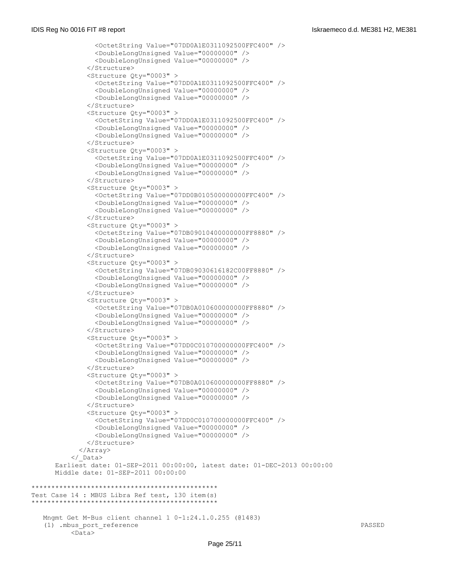```
 <OctetString Value="07DD0A1E0311092500FFC400" />
                 <DoubleLongUnsigned Value="00000000" />
                 <DoubleLongUnsigned Value="00000000" />
               </Structure>
               <Structure Qty="0003" >
                 <OctetString Value="07DD0A1E0311092500FFC400" />
                 <DoubleLongUnsigned Value="00000000" />
                 <DoubleLongUnsigned Value="00000000" />
               </Structure>
               <Structure Qty="0003" >
                 <OctetString Value="07DD0A1E0311092500FFC400" />
                 <DoubleLongUnsigned Value="00000000" />
                 <DoubleLongUnsigned Value="00000000" />
               </Structure>
               <Structure Qty="0003" >
                 <OctetString Value="07DD0A1E0311092500FFC400" />
                 <DoubleLongUnsigned Value="00000000" />
                 <DoubleLongUnsigned Value="00000000" />
               </Structure>
               <Structure Qty="0003" >
                 <OctetString Value="07DD0B010500000000FFC400" />
                 <DoubleLongUnsigned Value="00000000" />
                 <DoubleLongUnsigned Value="00000000" />
               </Structure>
               <Structure Qty="0003" >
                 <OctetString Value="07DB09010400000000FF8880" />
                 <DoubleLongUnsigned Value="00000000" />
                 <DoubleLongUnsigned Value="00000000" />
               </Structure>
               <Structure Qty="0003" >
                 <OctetString Value="07DB09030616182C00FF8880" />
                 <DoubleLongUnsigned Value="00000000" />
                 <DoubleLongUnsigned Value="00000000" />
               </Structure>
               <Structure Qty="0003" >
                 <OctetString Value="07DB0A010600000000FF8880" />
                 <DoubleLongUnsigned Value="00000000" />
                 <DoubleLongUnsigned Value="00000000" />
               </Structure>
               <Structure Qty="0003" >
                 <OctetString Value="07DD0C010700000000FFC400" />
                <DoubleLongUnsigned Value="00000000" />
                 <DoubleLongUnsigned Value="00000000" />
               </Structure>
               <Structure Qty="0003" >
                 <OctetString Value="07DB0A010600000000FF8880" />
                 <DoubleLongUnsigned Value="00000000" />
                 <DoubleLongUnsigned Value="00000000" />
               </Structure>
               <Structure Qty="0003" >
                 <OctetString Value="07DD0C010700000000FFC400" />
                 <DoubleLongUnsigned Value="00000000" />
                 <DoubleLongUnsigned Value="00000000" />
               </Structure>
             </Array>
           </_Data>
       Earliest date: 01-SEP-2011 00:00:00, latest date: 01-DEC-2013 00:00:00
      Middle date: 01-SEP-2011 00:00:00
***********************************************
Test Case 14 : MBUS Libra Ref test, 130 item(s)
***********************************************
   Mngmt Get M-Bus client channel 1 0-1:24.1.0.255 (@1483)
    (1) .mbus_port_reference PASSED
          <Data>
```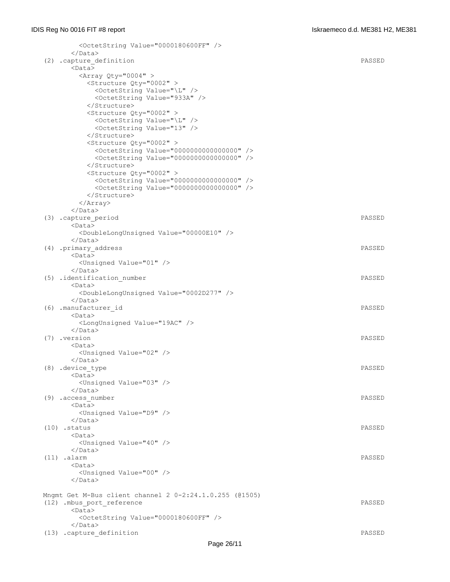| <octetstring value="0000180600FF"></octetstring>                                   |        |
|------------------------------------------------------------------------------------|--------|
| $\langle$ /Data>                                                                   |        |
| (2) .capture definition                                                            | PASSED |
| $<$ Data $>$                                                                       |        |
| <array qty="0004"></array>                                                         |        |
| <structure qty="0002"></structure>                                                 |        |
| <octetstring value="\L"></octetstring><br><octetstring value="933A"></octetstring> |        |
|                                                                                    |        |
| <structure qty="0002"></structure>                                                 |        |
| <octetstring value="\L"></octetstring>                                             |        |
| <octetstring value="13"></octetstring>                                             |        |
|                                                                                    |        |
| <structure qty="0002"></structure>                                                 |        |
| <octetstring value="0000000000000000"></octetstring>                               |        |
| <octetstring value="0000000000000000"></octetstring>                               |        |
|                                                                                    |        |
| <structure qty="0002"></structure>                                                 |        |
| <octetstring value="0000000000000000"></octetstring>                               |        |
| <octetstring value="0000000000000000"></octetstring>                               |        |
|                                                                                    |        |
| $\langle$ Array>                                                                   |        |
|                                                                                    |        |
| (3) .capture period                                                                | PASSED |
| $<$ Data $>$                                                                       |        |
| <doublelongunsigned value="00000E10"></doublelongunsigned>                         |        |
| $\langle$ /Data>                                                                   |        |
| (4) .primary address                                                               | PASSED |
| $<$ Data>                                                                          |        |
| <unsigned value="01"></unsigned>                                                   |        |
| $\langle$ /Data>                                                                   |        |
| (5) .identification_number                                                         | PASSED |
| <data></data>                                                                      |        |
| <doublelongunsigned value="0002D277"></doublelongunsigned>                         |        |
| $\langle$ /Data>                                                                   |        |
| (6) .manufacturer id                                                               | PASSED |
| <data></data>                                                                      |        |
| <longunsigned value="19AC"></longunsigned><br>$\langle$ /Data>                     |        |
| (7) .version                                                                       | PASSED |
| <data></data>                                                                      |        |
| <unsigned value="02"></unsigned>                                                   |        |
| $\langle$ /Data>                                                                   |        |
| (8) .device type                                                                   | PASSED |
| $<$ Data $>$                                                                       |        |
| <unsigned value="03"></unsigned>                                                   |        |
| $\langle$ /Data>                                                                   |        |
| (9) .access number                                                                 | PASSED |
| $<$ Data $>$                                                                       |        |
| <unsigned value="D9"></unsigned>                                                   |        |
| $\langle$ /Data>                                                                   |        |
| $(10)$ . status                                                                    | PASSED |
| <data></data>                                                                      |        |
| <unsigned value="40"></unsigned>                                                   |        |
| $\langle$ /Data>                                                                   |        |
| $(11)$ .alarm                                                                      | PASSED |
| <data></data>                                                                      |        |
| <unsigned value="00"></unsigned>                                                   |        |
|                                                                                    |        |
|                                                                                    |        |
| Mngmt Get M-Bus client channel 2 0-2:24.1.0.255 (@1505)                            |        |
| (12) .mbus port reference                                                          | PASSED |
| <data></data>                                                                      |        |
| <octetstring value="0000180600FF"></octetstring><br>$\langle$ /Data>               |        |
|                                                                                    | PASSED |
| (13) .capture definition                                                           |        |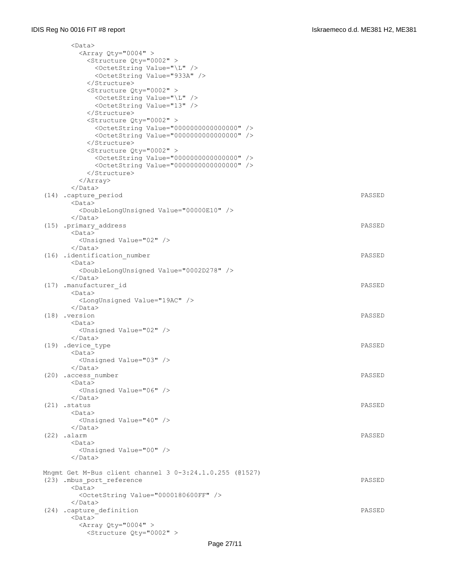| <data></data>                                                                                                |        |
|--------------------------------------------------------------------------------------------------------------|--------|
| <array qty="0004"></array>                                                                                   |        |
| <structure qty="0002"></structure>                                                                           |        |
| <octetstring value="\L"></octetstring>                                                                       |        |
| <octetstring value="933A"></octetstring>                                                                     |        |
|                                                                                                              |        |
| <structure qty="0002"></structure>                                                                           |        |
| <octetstring value="\L"></octetstring>                                                                       |        |
| <octetstring value="13"></octetstring>                                                                       |        |
|                                                                                                              |        |
| <structure qty="0002"></structure>                                                                           |        |
| <octetstring value="0000000000000000"></octetstring>                                                         |        |
| <octetstring value="0000000000000000"></octetstring>                                                         |        |
|                                                                                                              |        |
| <structure oty="0002"></structure>                                                                           |        |
| <octetstring value="0000000000000000"></octetstring><br><octetstring value="0000000000000000"></octetstring> |        |
|                                                                                                              |        |
| $\langle$ Array>                                                                                             |        |
| $\langle$ /Data>                                                                                             |        |
| (14) .capture period                                                                                         | PASSED |
| $<$ Data $>$                                                                                                 |        |
| <doublelongunsigned value="00000E10"></doublelongunsigned>                                                   |        |
| $\langle$ /Data>                                                                                             |        |
| (15) .primary address                                                                                        | PASSED |
| <data></data>                                                                                                |        |
| <unsigned value="02"></unsigned>                                                                             |        |
| $\langle$ /Data>                                                                                             |        |
| (16) .identification number                                                                                  | PASSED |
| <data></data>                                                                                                |        |
| <doublelongunsigned value="0002D278"></doublelongunsigned>                                                   |        |
|                                                                                                              |        |
| (17) .manufacturer id                                                                                        | PASSED |
| <data></data>                                                                                                |        |
| <longunsigned value="19AC"></longunsigned>                                                                   |        |
| $\langle$ /Data>                                                                                             |        |
| $(18)$ . version                                                                                             | PASSED |
| <data><br/><unsigned value="02"></unsigned></data>                                                           |        |
| $\langle$ /Data>                                                                                             |        |
| (19) .device type                                                                                            | PASSED |
| $<$ Data $>$                                                                                                 |        |
| <unsigned value="03"></unsigned>                                                                             |        |
| $\langle$ /Data>                                                                                             |        |
| (20) .access number                                                                                          | PASSED |
| <data></data>                                                                                                |        |
| <unsigned value="06"></unsigned>                                                                             |        |
| $\langle$ /Data>                                                                                             |        |
| $(21)$ . status                                                                                              | PASSED |
| <data></data>                                                                                                |        |
| <unsigned value="40"></unsigned>                                                                             |        |
| $\langle$ /Data>                                                                                             |        |
| $(22)$ .alarm                                                                                                | PASSED |
| $<$ Data $>$                                                                                                 |        |
| <unsigned value="00"></unsigned>                                                                             |        |
| $\langle$ /Data>                                                                                             |        |
|                                                                                                              |        |
| Mngmt Get M-Bus client channel 3 0-3:24.1.0.255 (@1527)                                                      |        |
| (23) .mbus port reference<br><data></data>                                                                   | PASSED |
| <octetstring value="0000180600FF"></octetstring>                                                             |        |
|                                                                                                              |        |
| (24) .capture definition                                                                                     | PASSED |
| $<$ Data $>$                                                                                                 |        |
| $\langle$ Array Qty="0004" >                                                                                 |        |
| <structure qty="0002"></structure>                                                                           |        |
|                                                                                                              |        |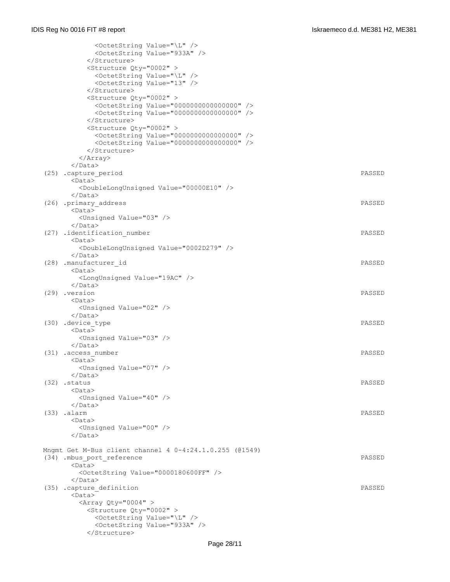| <octetstring value="\L"></octetstring>                     |               |
|------------------------------------------------------------|---------------|
| <octetstring value="933A"></octetstring>                   |               |
|                                                            |               |
| <structure qty="0002"></structure>                         |               |
| <octetstring value="\L"></octetstring>                     |               |
| <octetstring value="13"></octetstring>                     |               |
|                                                            |               |
| <structure qty="0002"></structure>                         |               |
| <octetstring value="0000000000000000"></octetstring>       |               |
| <octetstring value="0000000000000000"></octetstring>       |               |
| <br><structure qty="0002"></structure>                     |               |
| <octetstring value="0000000000000000"></octetstring>       |               |
| <octetstring value="0000000000000000"></octetstring>       |               |
|                                                            |               |
| $\langle$ Array>                                           |               |
| $\langle$ /Data>                                           |               |
| (25) .capture period                                       | PASSED        |
| $<$ Data $>$                                               |               |
| <doublelongunsigned value="00000E10"></doublelongunsigned> |               |
| $\langle$ /Data>                                           |               |
| (26) .primary address                                      | PASSED        |
| $<$ Data $>$                                               |               |
| <unsigned value="03"></unsigned>                           |               |
|                                                            |               |
| (27) .identification number                                | PASSED        |
| $<$ Data $>$                                               |               |
| <doublelongunsigned value="0002D279"></doublelongunsigned> |               |
| $\langle$ /Data>                                           |               |
| (28) .manufacturer id                                      | PASSED        |
| $<$ Data $>$                                               |               |
| <longunsigned value="19AC"></longunsigned>                 |               |
| <br>(29) .version                                          | PASSED        |
| <data></data>                                              |               |
| <unsigned value="02"></unsigned>                           |               |
| $\langle$ /Data>                                           |               |
| (30) .device type                                          | PASSED        |
| $<$ Data $>$                                               |               |
| <unsigned value="03"></unsigned>                           |               |
| $\langle$ /Data>                                           |               |
| (31) .access number                                        | PASSED        |
| <data></data>                                              |               |
| <unsigned value="07"></unsigned>                           |               |
|                                                            |               |
| $(32)$ .status                                             | PASSED        |
| $<$ Data $>$                                               |               |
| <unsigned value="40"></unsigned>                           |               |
| $\langle$ /Data>                                           |               |
| $(33)$ .alarm<br>$<$ Data $>$                              | PASSED        |
| <unsigned value="00"></unsigned>                           |               |
| $\langle$ /Data>                                           |               |
|                                                            |               |
| Mngmt Get M-Bus client channel 4 0-4:24.1.0.255 (@1549)    |               |
| (34) .mbus port reference                                  | <b>PASSED</b> |
| $<$ Data $>$                                               |               |
| <octetstring value="0000180600FF"></octetstring>           |               |
|                                                            |               |
| (35) .capture definition                                   | PASSED        |
| <data></data>                                              |               |
| <array qty="0004"></array>                                 |               |
| <structure qty="0002"></structure>                         |               |
| <octetstring value="\L"></octetstring>                     |               |
| <octetstring value="933A"></octetstring>                   |               |
|                                                            |               |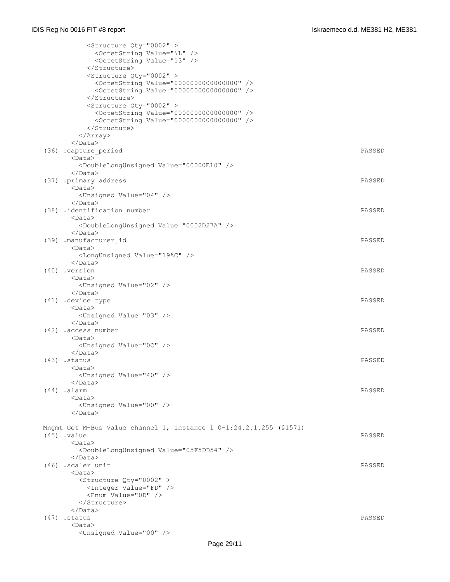| <structure qty="0002"><br/><octetstring value="\L"></octetstring><br/><octetstring value="13"></octetstring></structure>                                 |        |
|----------------------------------------------------------------------------------------------------------------------------------------------------------|--------|
| <br><structure qty="0002"><br/><octetstring value="0000000000000000"></octetstring><br/><octetstring value="0000000000000000"></octetstring></structure> |        |
| <br><structure qty="0002"><br/><octetstring value="0000000000000000"></octetstring></structure>                                                          |        |
| <octetstring value="0000000000000000"></octetstring><br><br>$\langle$ Array>                                                                             |        |
| $\langle$ /Data><br>(36) .capture period<br>$<$ Data $>$                                                                                                 | PASSED |
| <doublelongunsigned value="00000E10"></doublelongunsigned><br>$\langle$ /Data>                                                                           |        |
| (37) .primary address<br>$<$ Data $>$<br><unsigned value="04"></unsigned>                                                                                | PASSED |
| $\langle$ /Data><br>(38) .identification number<br><data></data>                                                                                         | PASSED |
| <doublelongunsigned value="0002D27A"></doublelongunsigned><br>$\langle$ /Data><br>(39) .manufacturer id                                                  | PASSED |
| <data><br/><longunsigned value="19AC"></longunsigned></data>                                                                                             |        |
| $\langle$ /Data><br>(40) .version<br><data></data>                                                                                                       | PASSED |
| <unsigned value="02"></unsigned><br>$\langle$ /Data><br>(41) .device_type                                                                                | PASSED |
| $<$ Data $>$<br><unsigned value="03"></unsigned>                                                                                                         |        |
| $\langle$ /Data><br>(42) .access number<br>$<$ Data $>$                                                                                                  | PASSED |
| <unsigned value="0C"></unsigned><br>$\langle$ /Data>                                                                                                     |        |
| (43) .status<br><data><br/><unsigned value="40"></unsigned></data>                                                                                       | PASSED |
| $\langle$ /Data><br>$(44)$ .alarm<br>$<$ Data $>$                                                                                                        | PASSED |
| <unsigned value="00"></unsigned><br>$\langle$ /Data>                                                                                                     |        |
| Mngmt Get M-Bus Value channel 1, instance $1 \t0-1:24.2.1.255$ (01571)<br>$(45)$ .value                                                                  | PASSED |
| <data><br/><doublelongunsigned value="05F5DD54"></doublelongunsigned><br/></data>                                                                        |        |
| (46) .scaler unit<br>$<$ Data $>$                                                                                                                        | PASSED |
| <structure qty="0002"><br/><integer value="FD"></integer><br/><enum value="0D"></enum></structure>                                                       |        |
| <br>$\langle$ /Data>                                                                                                                                     |        |
| $(47)$ . status                                                                                                                                          | PASSED |
| <data></data>                                                                                                                                            |        |
| <unsigned value="00"></unsigned>                                                                                                                         |        |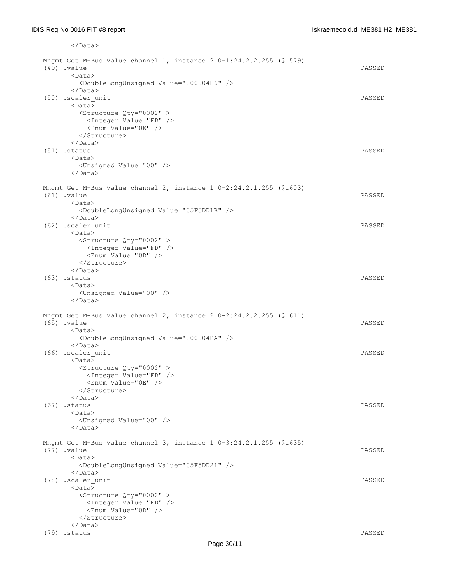</Data>

| Mngmt Get M-Bus Value channel 1, instance 2 0-1:24.2.2.255 (@1579)<br>$(49)$ . value<br><data></data> | PASSED |
|-------------------------------------------------------------------------------------------------------|--------|
| <doublelongunsigned value="000004E6"></doublelongunsigned><br>$\langle$ /Data>                        |        |
| (50) .scaler unit                                                                                     | PASSED |
| $<$ Data>                                                                                             |        |
| <structure qty="0002"><br/><integer value="FD"></integer></structure>                                 |        |
| <enum value="0E"></enum>                                                                              |        |
|                                                                                                       |        |
| $\langle$ /Data>                                                                                      |        |
| $(51)$ . status                                                                                       | PASSED |
| $<$ Data $>$                                                                                          |        |
| <unsigned value="00"></unsigned><br>$\langle$ /Data>                                                  |        |
| Mngmt Get M-Bus Value channel 2, instance 1 0-2:24.2.1.255 (@1603)                                    |        |
| $(61)$ . value                                                                                        | PASSED |
| $<$ Data $>$                                                                                          |        |
| <doublelongunsigned value="05F5DD1B"></doublelongunsigned>                                            |        |
|                                                                                                       |        |
| (62) .scaler unit                                                                                     | PASSED |
| $<$ Data $>$<br><structure qty="0002"></structure>                                                    |        |
| <integer value="FD"></integer>                                                                        |        |
| <enum value="0D"></enum>                                                                              |        |
|                                                                                                       |        |
| $\langle$ /Data>                                                                                      |        |
| $(63)$ .status                                                                                        | PASSED |
| $<$ Data $>$<br><unsigned value="00"></unsigned>                                                      |        |
| $\langle$ /Data>                                                                                      |        |
| Mngmt Get M-Bus Value channel 2, instance 2 0-2:24.2.2.255 (@1611)                                    |        |
| $(65)$ . value                                                                                        | PASSED |
| <data></data>                                                                                         |        |
| <doublelongunsigned value="000004BA"></doublelongunsigned>                                            |        |
| $\langle$ /Data>                                                                                      |        |
| (66) .scaler unit<br>$<$ Data $>$                                                                     | PASSED |
| <structure qty="0002"></structure>                                                                    |        |
| <integer value="FD"></integer>                                                                        |        |
| <enum value="0E"></enum>                                                                              |        |
|                                                                                                       |        |
| $\langle$ /Data>                                                                                      |        |
| $(67)$ .status<br>$<$ Data $>$                                                                        | PASSED |
| <unsigned value="00"></unsigned>                                                                      |        |
| $\langle$ /Data>                                                                                      |        |
| Mngmt Get M-Bus Value channel 3, instance 1 0-3:24.2.1.255 (@1635)                                    |        |
| $(77)$ . value                                                                                        | PASSED |
| <data></data>                                                                                         |        |
| <doublelongunsigned value="05F5DD21"></doublelongunsigned>                                            |        |
| $\langle$ /Data>                                                                                      |        |
| (78) .scaler unit<br>$<$ Data $>$                                                                     | PASSED |
| <structure qty="0002"></structure>                                                                    |        |
| <integer value="FD"></integer>                                                                        |        |
| <enum value="0D"></enum>                                                                              |        |
|                                                                                                       |        |
| $\langle$ /Data>                                                                                      |        |
| $(79)$ . status                                                                                       | PASSED |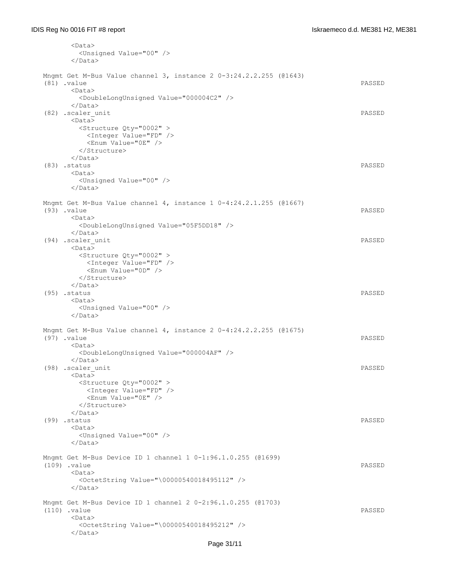| <data></data>                                                              |        |
|----------------------------------------------------------------------------|--------|
| <unsigned value="00"></unsigned>                                           |        |
| $\langle$ /Data>                                                           |        |
| Mngmt Get M-Bus Value channel 3, instance $2\ 0-3:24.2.2.255$ (@1643)      |        |
| $(81)$ . value                                                             | PASSED |
| <data></data>                                                              |        |
| <doublelongunsigned value="000004C2"></doublelongunsigned>                 |        |
| $\langle$ /Data>                                                           |        |
| (82) .scaler unit                                                          | PASSED |
| $<$ Data $>$                                                               |        |
| <structure qty="0002"></structure>                                         |        |
| <integer value="FD"></integer>                                             |        |
| <enum value="0E"></enum>                                                   |        |
| <br>$\langle$ /Data>                                                       |        |
| $(83)$ . status                                                            | PASSED |
| $<$ Data $>$                                                               |        |
| <unsigned value="00"></unsigned>                                           |        |
| $\langle$ /Data>                                                           |        |
|                                                                            |        |
| Mngmt Get M-Bus Value channel 4, instance 1 0-4:24.2.1.255 (@1667)         |        |
| $(93)$ . value                                                             | PASSED |
| $<$ Data $>$<br><doublelongunsigned value="05F5DD18"></doublelongunsigned> |        |
| $\langle$ /Data>                                                           |        |
| (94) .scaler unit                                                          | PASSED |
| $<$ Data>                                                                  |        |
| <structure qty="0002"></structure>                                         |        |
| <integer value="FD"></integer>                                             |        |
| <enum value="0D"></enum>                                                   |        |
|                                                                            |        |
| $\langle$ /Data><br>$(95)$ . status                                        | PASSED |
| <data></data>                                                              |        |
| <unsigned value="00"></unsigned>                                           |        |
| $\langle$ /Data>                                                           |        |
|                                                                            |        |
| Mngmt Get M-Bus Value channel 4, instance $2\ 0-4:24.2.2.255$ (@1675)      |        |
| $(97)$ . value                                                             | PASSED |
| $<$ Data $>$<br><doublelongunsigned value="000004AF"></doublelongunsigned> |        |
| $\langle$ /Data>                                                           |        |
| (98) .scaler unit                                                          | PASSED |
| <data></data>                                                              |        |
| <structure qty="0002"></structure>                                         |        |
| <integer value="FD"></integer>                                             |        |
| <enum value="0E"></enum>                                                   |        |
|                                                                            |        |
| $\langle$ /Data>                                                           |        |
| $(99)$ . status                                                            | PASSED |
| <data><br/><unsigned value="00"></unsigned></data>                         |        |
| $\langle$ /Data>                                                           |        |
|                                                                            |        |
| Mngmt Get M-Bus Device ID 1 channel 1 0-1:96.1.0.255 (@1699)               |        |
| $(109)$ .value                                                             | PASSED |
| <data></data>                                                              |        |
| <octetstring value="\00000540018495112"></octetstring>                     |        |
| $\langle$ /Data>                                                           |        |
| Mngmt Get M-Bus Device ID 1 channel 2 0-2:96.1.0.255 (@1703)               |        |
| $(110)$ .value                                                             | PASSED |
| <data></data>                                                              |        |
| <octetstring value="\00000540018495212"></octetstring>                     |        |
| $\langle$ /Data>                                                           |        |

### Page 31/11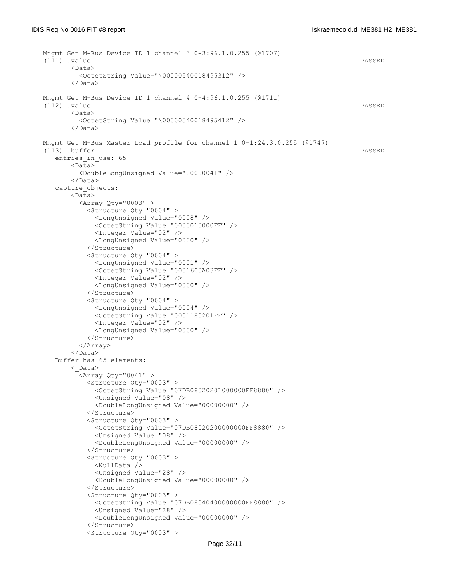```
 Mngmt Get M-Bus Device ID 1 channel 3 0-3:96.1.0.255 (@1707)
 (111) .value PASSED
      <Data>
         <OctetString Value="\00000540018495312" />
       </Data>
 Mngmt Get M-Bus Device ID 1 channel 4 0-4:96.1.0.255 (@1711)
 (112) .value PASSED
      <Data>
         <OctetString Value="\00000540018495412" />
       </Data>
 Mngmt Get M-Bus Master Load profile for channel 1 0-1:24.3.0.255 (@1747)
 (113) .buffer PASSED
  entries in use: 65
      \langleData\rangle <DoubleLongUnsigned Value="00000041" />
       </Data>
    capture_objects:
       <Data>
        \langleArray Qty="0003" >
           <Structure Qty="0004" >
             <LongUnsigned Value="0008" />
             <OctetString Value="0000010000FF" />
             <Integer Value="02" />
             <LongUnsigned Value="0000" />
           </Structure>
           <Structure Qty="0004" >
             <LongUnsigned Value="0001" />
             <OctetString Value="0001600A03FF" />
             <Integer Value="02" />
             <LongUnsigned Value="0000" />
           </Structure>
           <Structure Qty="0004" >
             <LongUnsigned Value="0004" />
             <OctetString Value="0001180201FF" />
             <Integer Value="02" />
             <LongUnsigned Value="0000" />
           </Structure>
         </Array>
      \langleData>
   Buffer has 65 elements:
       <_Data>
        \langleArray Qty="0041" >
           <Structure Qty="0003" >
             <OctetString Value="07DB08020201000000FF8880" />
             <Unsigned Value="08" />
             <DoubleLongUnsigned Value="00000000" />
           </Structure>
           <Structure Qty="0003" >
             <OctetString Value="07DB08020200000000FF8880" />
             <Unsigned Value="08" />
             <DoubleLongUnsigned Value="00000000" />
           </Structure>
           <Structure Qty="0003" >
             <NullData />
             <Unsigned Value="28" />
             <DoubleLongUnsigned Value="00000000" />
           </Structure>
           <Structure Qty="0003" >
             <OctetString Value="07DB08040400000000FF8880" />
             <Unsigned Value="28" />
             <DoubleLongUnsigned Value="00000000" />
           </Structure>
           <Structure Qty="0003" >
```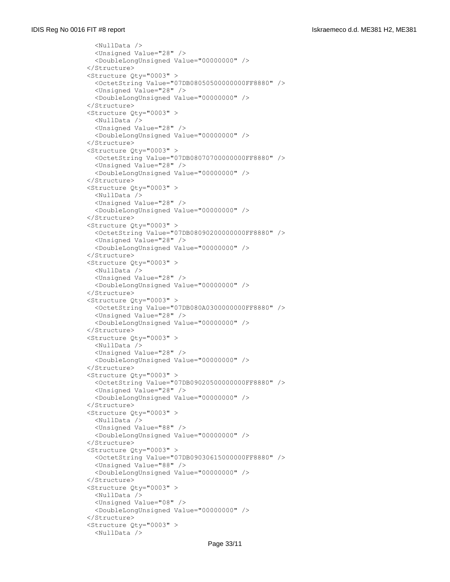```
 <NullData />
   <Unsigned Value="28" />
   <DoubleLongUnsigned Value="00000000" />
 </Structure>
 <Structure Qty="0003" >
   <OctetString Value="07DB08050500000000FF8880" />
  <Unsigned Value="28" />
   <DoubleLongUnsigned Value="00000000" />
 </Structure>
 <Structure Qty="0003" >
   <NullData />
   <Unsigned Value="28" />
   <DoubleLongUnsigned Value="00000000" />
 </Structure>
 <Structure Qty="0003" >
   <OctetString Value="07DB08070700000000FF8880" />
  <Unsigned Value="28" />
   <DoubleLongUnsigned Value="00000000" />
 </Structure>
 <Structure Qty="0003" >
   <NullData />
   <Unsigned Value="28" />
   <DoubleLongUnsigned Value="00000000" />
 </Structure>
 <Structure Qty="0003" >
   <OctetString Value="07DB08090200000000FF8880" />
   <Unsigned Value="28" />
   <DoubleLongUnsigned Value="00000000" />
 </Structure>
 <Structure Qty="0003" >
  <NullData />
  <Unsigned Value="28" />
   <DoubleLongUnsigned Value="00000000" />
 </Structure>
 <Structure Qty="0003" >
   <OctetString Value="07DB080A0300000000FF8880" />
   <Unsigned Value="28" />
   <DoubleLongUnsigned Value="00000000" />
 </Structure>
 <Structure Qty="0003" >
   <NullData />
  <Unsigned Value="28" />
   <DoubleLongUnsigned Value="00000000" />
 </Structure>
 <Structure Qty="0003" >
   <OctetString Value="07DB09020500000000FF8880" />
   <Unsigned Value="28" />
   <DoubleLongUnsigned Value="00000000" />
 </Structure>
 <Structure Qty="0003" >
   <NullData />
   <Unsigned Value="88" />
   <DoubleLongUnsigned Value="00000000" />
 </Structure>
 <Structure Qty="0003" >
   <OctetString Value="07DB09030615000000FF8880" />
   <Unsigned Value="88" />
   <DoubleLongUnsigned Value="00000000" />
 </Structure>
 <Structure Qty="0003" >
   <NullData />
   <Unsigned Value="08" />
   <DoubleLongUnsigned Value="00000000" />
 </Structure>
 <Structure Qty="0003" >
   <NullData />
```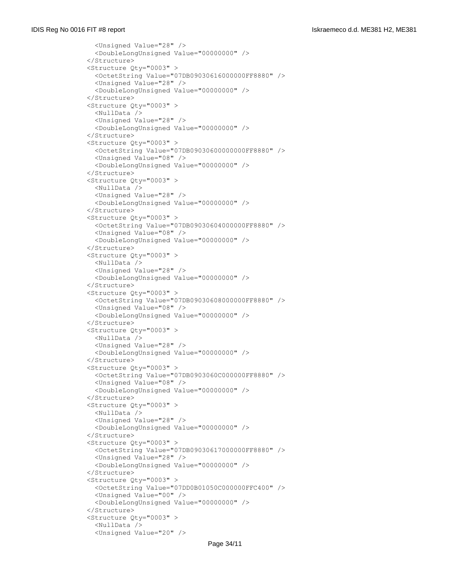```
 <Unsigned Value="28" />
   <DoubleLongUnsigned Value="00000000" />
 </Structure>
 <Structure Qty="0003" >
   <OctetString Value="07DB09030616000000FF8880" />
   <Unsigned Value="28" />
   <DoubleLongUnsigned Value="00000000" />
 </Structure>
 <Structure Qty="0003" >
   <NullData />
   <Unsigned Value="28" />
   <DoubleLongUnsigned Value="00000000" />
 </Structure>
 <Structure Qty="0003" >
   <OctetString Value="07DB09030600000000FF8880" />
   <Unsigned Value="08" />
   <DoubleLongUnsigned Value="00000000" />
 </Structure>
 <Structure Qty="0003" >
   <NullData />
   <Unsigned Value="28" />
   <DoubleLongUnsigned Value="00000000" />
 </Structure>
 <Structure Qty="0003" >
   <OctetString Value="07DB09030604000000FF8880" />
   <Unsigned Value="08" />
   <DoubleLongUnsigned Value="00000000" />
 </Structure>
 <Structure Qty="0003" >
   <NullData />
   <Unsigned Value="28" />
   <DoubleLongUnsigned Value="00000000" />
 </Structure>
 <Structure Qty="0003" >
   <OctetString Value="07DB09030608000000FF8880" />
   <Unsigned Value="08" />
   <DoubleLongUnsigned Value="00000000" />
 </Structure>
 <Structure Qty="0003" >
   <NullData />
   <Unsigned Value="28" />
  <DoubleLongUnsigned Value="00000000" />
 </Structure>
 <Structure Qty="0003" >
   <OctetString Value="07DB0903060C000000FF8880" />
  <Unsigned Value="08" />
   <DoubleLongUnsigned Value="00000000" />
 </Structure>
 <Structure Qty="0003" >
   <NullData />
   <Unsigned Value="28" />
   <DoubleLongUnsigned Value="00000000" />
 </Structure>
 <Structure Qty="0003" >
   <OctetString Value="07DB09030617000000FF8880" />
   <Unsigned Value="28" />
   <DoubleLongUnsigned Value="00000000" />
 </Structure>
 <Structure Qty="0003" >
   <OctetString Value="07DD0B01050C000000FFC400" />
   <Unsigned Value="00" />
   <DoubleLongUnsigned Value="00000000" />
 </Structure>
 <Structure Qty="0003" >
   <NullData />
   <Unsigned Value="20" />
```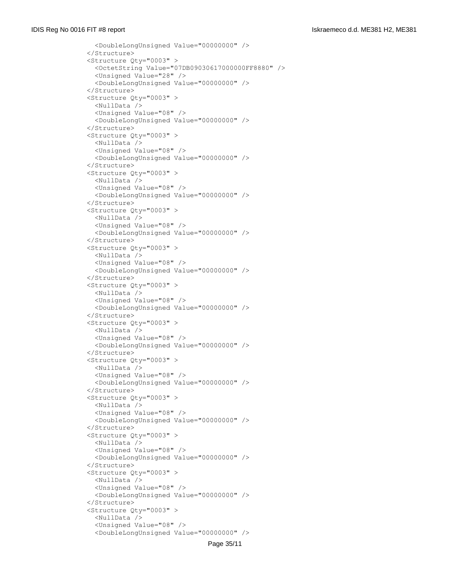```
 <DoubleLongUnsigned Value="00000000" />
 </Structure>
 <Structure Qty="0003" >
   <OctetString Value="07DB09030617000000FF8880" />
   <Unsigned Value="28" />
   <DoubleLongUnsigned Value="00000000" />
 </Structure>
 <Structure Qty="0003" >
   <NullData />
   <Unsigned Value="08" />
   <DoubleLongUnsigned Value="00000000" />
 </Structure>
 <Structure Qty="0003" >
   <NullData />
   <Unsigned Value="08" />
  <DoubleLongUnsigned Value="00000000" />
 </Structure>
 <Structure Qty="0003" >
   <NullData />
   <Unsigned Value="08" />
   <DoubleLongUnsigned Value="00000000" />
 </Structure>
 <Structure Qty="0003" >
   <NullData />
   <Unsigned Value="08" />
   <DoubleLongUnsigned Value="00000000" />
 </Structure>
 <Structure Qty="0003" >
   <NullData />
   <Unsigned Value="08" />
   <DoubleLongUnsigned Value="00000000" />
 </Structure>
 <Structure Qty="0003" >
   <NullData />
   <Unsigned Value="08" />
   <DoubleLongUnsigned Value="00000000" />
 </Structure>
 <Structure Qty="0003" >
   <NullData />
   <Unsigned Value="08" />
   <DoubleLongUnsigned Value="00000000" />
 </Structure>
 <Structure Qty="0003" >
   <NullData />
   <Unsigned Value="08" />
   <DoubleLongUnsigned Value="00000000" />
 </Structure>
 <Structure Qty="0003" >
   <NullData />
   <Unsigned Value="08" />
   <DoubleLongUnsigned Value="00000000" />
 </Structure>
 <Structure Qty="0003" >
   <NullData />
   <Unsigned Value="08" />
   <DoubleLongUnsigned Value="00000000" />
 </Structure>
 <Structure Qty="0003" >
   <NullData />
   <Unsigned Value="08" />
   <DoubleLongUnsigned Value="00000000" />
 </Structure>
 <Structure Qty="0003" >
   <NullData />
   <Unsigned Value="08" />
   <DoubleLongUnsigned Value="00000000" />
```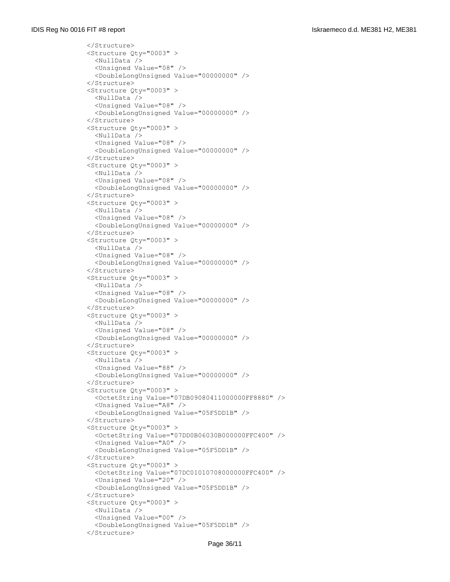```
 </Structure>
 <Structure Qty="0003" >
  <NullData />
   <Unsigned Value="08" />
   <DoubleLongUnsigned Value="00000000" />
 </Structure>
 <Structure Qty="0003" >
  <NullData />
   <Unsigned Value="08" />
   <DoubleLongUnsigned Value="00000000" />
 </Structure>
 <Structure Qty="0003" >
   <NullData />
   <Unsigned Value="08" />
   <DoubleLongUnsigned Value="00000000" />
 </Structure>
 <Structure Qty="0003" >
   <NullData />
   <Unsigned Value="08" />
   <DoubleLongUnsigned Value="00000000" />
 </Structure>
 <Structure Qty="0003" >
   <NullData />
   <Unsigned Value="08" />
   <DoubleLongUnsigned Value="00000000" />
 </Structure>
 <Structure Qty="0003" >
   <NullData />
   <Unsigned Value="08" />
   <DoubleLongUnsigned Value="00000000" />
 </Structure>
 <Structure Qty="0003" >
  <NullData />
  <Unsigned Value="08" />
   <DoubleLongUnsigned Value="00000000" />
 </Structure>
 <Structure Qty="0003" >
   <NullData />
   <Unsigned Value="08" />
   <DoubleLongUnsigned Value="00000000" />
 </Structure>
 <Structure Qty="0003" >
   <NullData />
   <Unsigned Value="88" />
   <DoubleLongUnsigned Value="00000000" />
 </Structure>
 <Structure Qty="0003" >
   <OctetString Value="07DB09080411000000FF8880" />
   <Unsigned Value="A8" />
   <DoubleLongUnsigned Value="05F5DD1B" />
 </Structure>
 <Structure Qty="0003" >
   <OctetString Value="07DD0B06030B000000FFC400" />
   <Unsigned Value="A0" />
   <DoubleLongUnsigned Value="05F5DD1B" />
 </Structure>
 <Structure Qty="0003" >
   <OctetString Value="07DC01010708000000FFC400" />
   <Unsigned Value="20" />
   <DoubleLongUnsigned Value="05F5DD1B" />
 </Structure>
 <Structure Qty="0003" >
   <NullData />
   <Unsigned Value="00" />
   <DoubleLongUnsigned Value="05F5DD1B" />
 </Structure>
```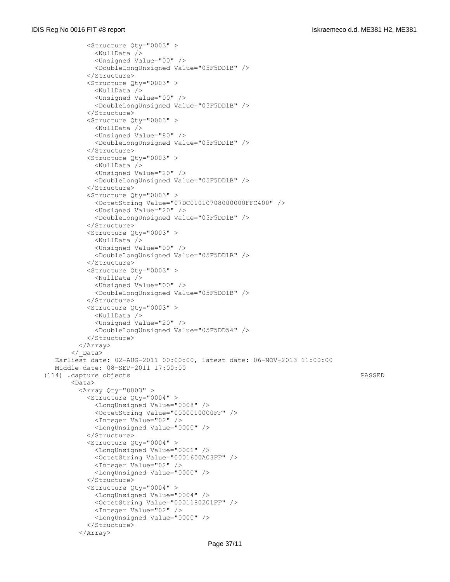```
 <Structure Qty="0003" >
             <NullData />
              <Unsigned Value="00" />
              <DoubleLongUnsigned Value="05F5DD1B" />
            </Structure>
            <Structure Qty="0003" >
              <NullData />
              <Unsigned Value="00" />
              <DoubleLongUnsigned Value="05F5DD1B" />
            </Structure>
            <Structure Qty="0003" >
              <NullData />
              <Unsigned Value="80" />
              <DoubleLongUnsigned Value="05F5DD1B" />
            </Structure>
            <Structure Qty="0003" >
              <NullData />
              <Unsigned Value="20" />
              <DoubleLongUnsigned Value="05F5DD1B" />
            </Structure>
            <Structure Qty="0003" >
             <OctetString Value="07DC01010708000000FFC400" />
              <Unsigned Value="20" />
              <DoubleLongUnsigned Value="05F5DD1B" />
            </Structure>
            <Structure Qty="0003" >
              <NullData />
              <Unsigned Value="00" />
              <DoubleLongUnsigned Value="05F5DD1B" />
            </Structure>
            <Structure Qty="0003" >
              <NullData />
              <Unsigned Value="00" />
              <DoubleLongUnsigned Value="05F5DD1B" />
            </Structure>
           <Structure Qty="0003" >
             <NullData />
              <Unsigned Value="20" />
              <DoubleLongUnsigned Value="05F5DD54" />
            </Structure>
         </Array>
        </_Data>
   Earliest date: 02-AUG-2011 00:00:00, latest date: 06-NOV-2013 11:00:00
   Middle date: 08-SEP-2011 17:00:00
 (114) .capture_objects PASSED
        <Data>
         \langleArray Qty="0003" >
            <Structure Qty="0004" >
             <LongUnsigned Value="0008" />
              <OctetString Value="0000010000FF" />
              <Integer Value="02" />
              <LongUnsigned Value="0000" />
            </Structure>
            <Structure Qty="0004" >
              <LongUnsigned Value="0001" />
              <OctetString Value="0001600A03FF" />
              <Integer Value="02" />
              <LongUnsigned Value="0000" />
            </Structure>
            <Structure Qty="0004" >
              <LongUnsigned Value="0004" />
              <OctetString Value="0001180201FF" />
              <Integer Value="02" />
              <LongUnsigned Value="0000" />
            </Structure>
          </Array>
```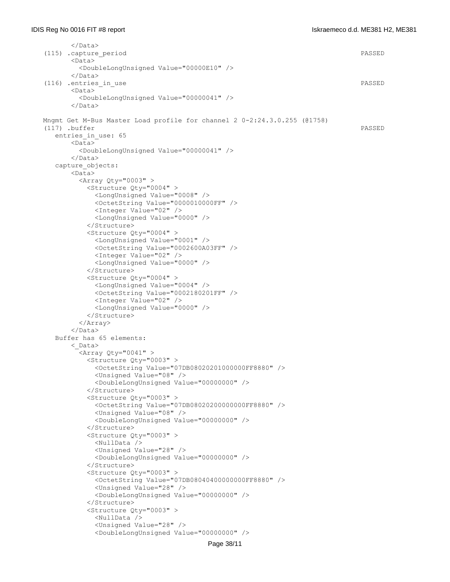```
 </Data>
 (115) .capture_period PASSED
       <Data>
         <DoubleLongUnsigned Value="00000E10" />
      \langleData>
(116) .entries in use PASSED
       <Data>
         <DoubleLongUnsigned Value="00000041" />
       </Data>
 Mngmt Get M-Bus Master Load profile for channel 2 0-2:24.3.0.255 (@1758)
 (117) .buffer PASSED
    entries_in_use: 65
       <Data>
         <DoubleLongUnsigned Value="00000041" />
       </Data>
    capture_objects:
      \overline{\text{C}_{\text{Data}}} <Array Qty="0003" >
           <Structure Qty="0004" >
             <LongUnsigned Value="0008" />
             <OctetString Value="0000010000FF" />
             <Integer Value="02" />
             <LongUnsigned Value="0000" />
           </Structure>
           <Structure Qty="0004" >
             <LongUnsigned Value="0001" />
             <OctetString Value="0002600A03FF" />
             <Integer Value="02" />
             <LongUnsigned Value="0000" />
           </Structure>
           <Structure Qty="0004" >
             <LongUnsigned Value="0004" />
             <OctetString Value="0002180201FF" />
             <Integer Value="02" />
             <LongUnsigned Value="0000" />
           </Structure>
         </Array>
       </Data>
   Buffer has 65 elements:
        <_Data>
        \langleArray Qty="0041" >
           <Structure Qty="0003" >
             <OctetString Value="07DB08020201000000FF8880" />
             <Unsigned Value="08" />
             <DoubleLongUnsigned Value="00000000" />
           </Structure>
           <Structure Qty="0003" >
             <OctetString Value="07DB08020200000000FF8880" />
             <Unsigned Value="08" />
             <DoubleLongUnsigned Value="00000000" />
           </Structure>
           <Structure Qty="0003" >
             <NullData />
             <Unsigned Value="28" />
             <DoubleLongUnsigned Value="00000000" />
           </Structure>
           <Structure Qty="0003" >
             <OctetString Value="07DB08040400000000FF8880" />
             <Unsigned Value="28" />
             <DoubleLongUnsigned Value="00000000" />
           </Structure>
           <Structure Qty="0003" >
             <NullData />
             <Unsigned Value="28" />
             <DoubleLongUnsigned Value="00000000" />
```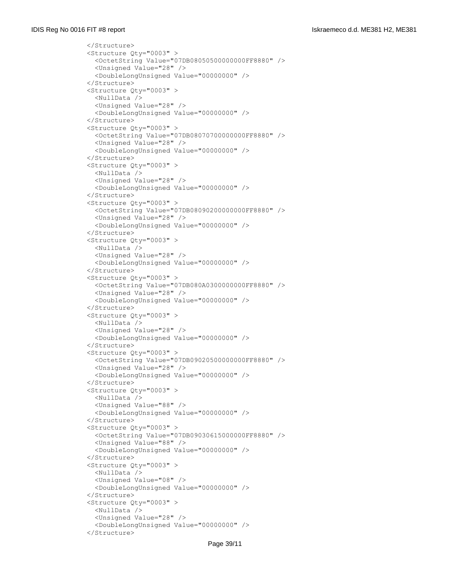```
 </Structure>
 <Structure Qty="0003" >
   <OctetString Value="07DB08050500000000FF8880" />
   <Unsigned Value="28" />
   <DoubleLongUnsigned Value="00000000" />
 </Structure>
 <Structure Qty="0003" >
   <NullData />
   <Unsigned Value="28" />
   <DoubleLongUnsigned Value="00000000" />
 </Structure>
 <Structure Qty="0003" >
   <OctetString Value="07DB08070700000000FF8880" />
   <Unsigned Value="28" />
   <DoubleLongUnsigned Value="00000000" />
 </Structure>
 <Structure Qty="0003" >
   <NullData />
   <Unsigned Value="28" />
   <DoubleLongUnsigned Value="00000000" />
 </Structure>
 <Structure Qty="0003" >
   <OctetString Value="07DB08090200000000FF8880" />
   <Unsigned Value="28" />
   <DoubleLongUnsigned Value="00000000" />
 </Structure>
 <Structure Qty="0003" >
   <NullData />
   <Unsigned Value="28" />
   <DoubleLongUnsigned Value="00000000" />
 </Structure>
 <Structure Qty="0003" >
  <OctetString Value="07DB080A0300000000FF8880" />
   <Unsigned Value="28" />
   <DoubleLongUnsigned Value="00000000" />
 </Structure>
 <Structure Qty="0003" >
   <NullData />
   <Unsigned Value="28" />
   <DoubleLongUnsigned Value="00000000" />
 </Structure>
 <Structure Qty="0003" >
   <OctetString Value="07DB09020500000000FF8880" />
   <Unsigned Value="28" />
   <DoubleLongUnsigned Value="00000000" />
 </Structure>
 <Structure Qty="0003" >
   <NullData />
   <Unsigned Value="88" />
   <DoubleLongUnsigned Value="00000000" />
 </Structure>
 <Structure Qty="0003" >
   <OctetString Value="07DB09030615000000FF8880" />
   <Unsigned Value="88" />
   <DoubleLongUnsigned Value="00000000" />
 </Structure>
 <Structure Qty="0003" >
   <NullData />
   <Unsigned Value="08" />
   <DoubleLongUnsigned Value="00000000" />
 </Structure>
 <Structure Qty="0003" >
   <NullData />
   <Unsigned Value="28" />
   <DoubleLongUnsigned Value="00000000" />
 </Structure>
```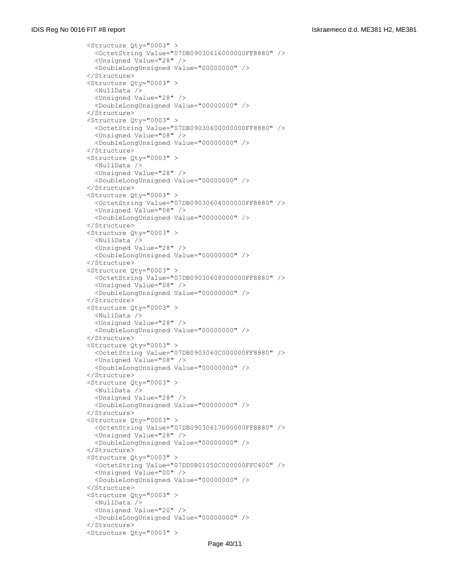```
 <Structure Qty="0003" >
   <OctetString Value="07DB09030616000000FF8880" />
   <Unsigned Value="28" />
   <DoubleLongUnsigned Value="00000000" />
 </Structure>
 <Structure Qty="0003" >
   <NullData />
   <Unsigned Value="28" />
   <DoubleLongUnsigned Value="00000000" />
 </Structure>
 <Structure Qty="0003" >
   <OctetString Value="07DB09030600000000FF8880" />
   <Unsigned Value="08" />
   <DoubleLongUnsigned Value="00000000" />
 </Structure>
 <Structure Qty="0003" >
   <NullData />
   <Unsigned Value="28" />
   <DoubleLongUnsigned Value="00000000" />
 </Structure>
 <Structure Qty="0003" >
   <OctetString Value="07DB09030604000000FF8880" />
   <Unsigned Value="08" />
   <DoubleLongUnsigned Value="00000000" />
 </Structure>
 <Structure Qty="0003" >
   <NullData />
   <Unsigned Value="28" />
   <DoubleLongUnsigned Value="00000000" />
 </Structure>
 <Structure Qty="0003" >
   <OctetString Value="07DB09030608000000FF8880" />
   <Unsigned Value="08" />
   <DoubleLongUnsigned Value="00000000" />
 </Structure>
 <Structure Qty="0003" >
  <NullData />
   <Unsigned Value="28" />
   <DoubleLongUnsigned Value="00000000" />
 </Structure>
 <Structure Qty="0003" >
   <OctetString Value="07DB0903060C000000FF8880" />
   <Unsigned Value="08" />
   <DoubleLongUnsigned Value="00000000" />
 </Structure>
 <Structure Qty="0003" >
   <NullData />
   <Unsigned Value="28" />
   <DoubleLongUnsigned Value="00000000" />
 </Structure>
 <Structure Qty="0003" >
   <OctetString Value="07DB09030617000000FF8880" />
   <Unsigned Value="28" />
   <DoubleLongUnsigned Value="00000000" />
 </Structure>
 <Structure Qty="0003" >
   <OctetString Value="07DD0B01050C000000FFC400" />
   <Unsigned Value="00" />
   <DoubleLongUnsigned Value="00000000" />
 </Structure>
 <Structure Qty="0003" >
  <NullData />
   <Unsigned Value="20" />
   <DoubleLongUnsigned Value="00000000" />
 </Structure>
 <Structure Qty="0003" >
```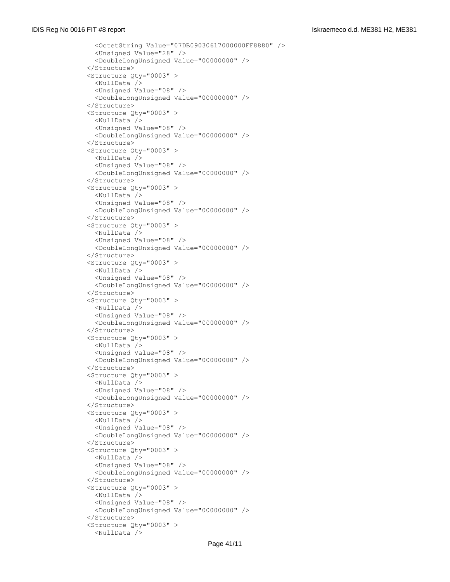```
 <OctetString Value="07DB09030617000000FF8880" />
   <Unsigned Value="28" />
   <DoubleLongUnsigned Value="00000000" />
 </Structure>
 <Structure Qty="0003" >
  <NullData />
  <Unsigned Value="08" />
   <DoubleLongUnsigned Value="00000000" />
 </Structure>
 <Structure Qty="0003" >
   <NullData />
   <Unsigned Value="08" />
   <DoubleLongUnsigned Value="00000000" />
 </Structure>
 <Structure Qty="0003" >
  <NullData />
  <Unsigned Value="08" />
  <DoubleLongUnsigned Value="00000000" />
 </Structure>
 <Structure Qty="0003" >
  <NullData />
   <Unsigned Value="08" />
   <DoubleLongUnsigned Value="00000000" />
 </Structure>
 <Structure Qty="0003" >
   <NullData />
   <Unsigned Value="08" />
   <DoubleLongUnsigned Value="00000000" />
 </Structure>
 <Structure Qty="0003" >
  <NullData />
  <Unsigned Value="08" />
   <DoubleLongUnsigned Value="00000000" />
 </Structure>
 <Structure Qty="0003" >
   <NullData />
   <Unsigned Value="08" />
   <DoubleLongUnsigned Value="00000000" />
 </Structure>
 <Structure Qty="0003" >
   <NullData />
  <Unsigned Value="08" />
   <DoubleLongUnsigned Value="00000000" />
 </Structure>
 <Structure Qty="0003" >
   <NullData />
   <Unsigned Value="08" />
   <DoubleLongUnsigned Value="00000000" />
 </Structure>
 <Structure Qty="0003" >
   <NullData />
   <Unsigned Value="08" />
   <DoubleLongUnsigned Value="00000000" />
 </Structure>
 <Structure Qty="0003" >
   <NullData />
   <Unsigned Value="08" />
   <DoubleLongUnsigned Value="00000000" />
 </Structure>
 <Structure Qty="0003" >
   <NullData />
  <Unsigned Value="08" />
   <DoubleLongUnsigned Value="00000000" />
 </Structure>
 <Structure Qty="0003" >
   <NullData />
```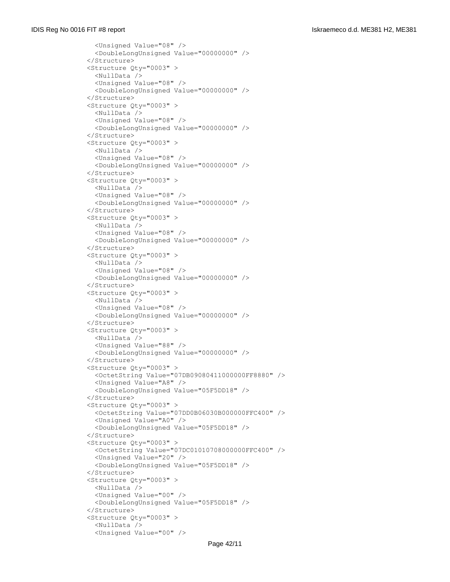```
 <Unsigned Value="08" />
   <DoubleLongUnsigned Value="00000000" />
 </Structure>
 <Structure Qty="0003" >
   <NullData />
   <Unsigned Value="08" />
   <DoubleLongUnsigned Value="00000000" />
 </Structure>
 <Structure Qty="0003" >
   <NullData />
   <Unsigned Value="08" />
   <DoubleLongUnsigned Value="00000000" />
 </Structure>
 <Structure Qty="0003" >
   <NullData />
  <Unsigned Value="08" />
   <DoubleLongUnsigned Value="00000000" />
 </Structure>
 <Structure Qty="0003" >
   <NullData />
   <Unsigned Value="08" />
   <DoubleLongUnsigned Value="00000000" />
 </Structure>
 <Structure Qty="0003" >
   <NullData />
   <Unsigned Value="08" />
   <DoubleLongUnsigned Value="00000000" />
 </Structure>
 <Structure Qty="0003" >
   <NullData />
   <Unsigned Value="08" />
   <DoubleLongUnsigned Value="00000000" />
 </Structure>
 <Structure Qty="0003" >
  <NullData />
   <Unsigned Value="08" />
   <DoubleLongUnsigned Value="00000000" />
 </Structure>
 <Structure Qty="0003" >
   <NullData />
   <Unsigned Value="88" />
  <DoubleLongUnsigned Value="00000000" />
 </Structure>
 <Structure Qty="0003" >
   <OctetString Value="07DB09080411000000FF8880" />
   <Unsigned Value="A8" />
   <DoubleLongUnsigned Value="05F5DD18" />
 </Structure>
 <Structure Qty="0003" >
   <OctetString Value="07DD0B06030B000000FFC400" />
   <Unsigned Value="A0" />
   <DoubleLongUnsigned Value="05F5DD18" />
 </Structure>
 <Structure Qty="0003" >
   <OctetString Value="07DC01010708000000FFC400" />
   <Unsigned Value="20" />
   <DoubleLongUnsigned Value="05F5DD18" />
 </Structure>
 <Structure Qty="0003" >
   <NullData />
   <Unsigned Value="00" />
   <DoubleLongUnsigned Value="05F5DD18" />
 </Structure>
 <Structure Qty="0003" >
   <NullData />
   <Unsigned Value="00" />
```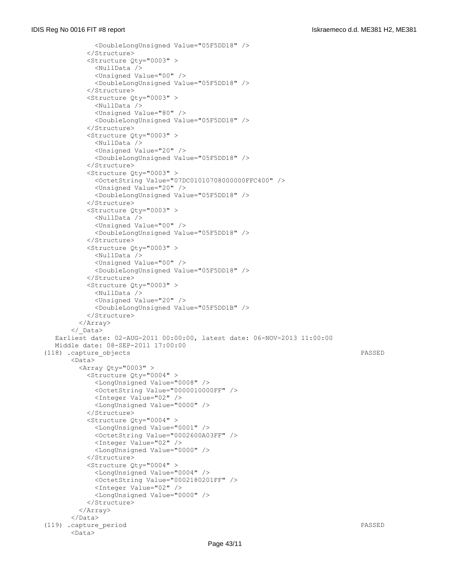```
 <DoubleLongUnsigned Value="05F5DD18" />
           </Structure>
           <Structure Qty="0003" >
             <NullData />
             <Unsigned Value="00" />
             <DoubleLongUnsigned Value="05F5DD18" />
           </Structure>
           <Structure Qty="0003" >
             <NullData />
             <Unsigned Value="80" />
             <DoubleLongUnsigned Value="05F5DD18" />
           </Structure>
           <Structure Qty="0003" >
             <NullData />
             <Unsigned Value="20" />
            <DoubleLongUnsigned Value="05F5DD18" />
           </Structure>
           <Structure Qty="0003" >
             <OctetString Value="07DC01010708000000FFC400" />
             <Unsigned Value="20" />
             <DoubleLongUnsigned Value="05F5DD18" />
           </Structure>
           <Structure Qty="0003" >
             <NullData />
             <Unsigned Value="00" />
             <DoubleLongUnsigned Value="05F5DD18" />
           </Structure>
           <Structure Qty="0003" >
             <NullData />
             <Unsigned Value="00" />
             <DoubleLongUnsigned Value="05F5DD18" />
           </Structure>
           <Structure Qty="0003" >
             <NullData />
             <Unsigned Value="20" />
             <DoubleLongUnsigned Value="05F5DD1B" />
           </Structure>
         </Array>
       </_Data>
   Earliest date: 02-AUG-2011 00:00:00, latest date: 06-NOV-2013 11:00:00
   Middle date: 08-SEP-2011 17:00:00
 (118) .capture_objects PASSED
       <Data>
        \langleArray Qty="0003" >
           <Structure Qty="0004" >
             <LongUnsigned Value="0008" />
             <OctetString Value="0000010000FF" />
             <Integer Value="02" />
             <LongUnsigned Value="0000" />
           </Structure>
           <Structure Qty="0004" >
             <LongUnsigned Value="0001" />
             <OctetString Value="0002600A03FF" />
             <Integer Value="02" />
             <LongUnsigned Value="0000" />
           </Structure>
           <Structure Qty="0004" >
             <LongUnsigned Value="0004" />
             <OctetString Value="0002180201FF" />
             <Integer Value="02" />
             <LongUnsigned Value="0000" />
           </Structure>
         </Array>
       </Data>
 (119) .capture_period PASSED
       <Data>
```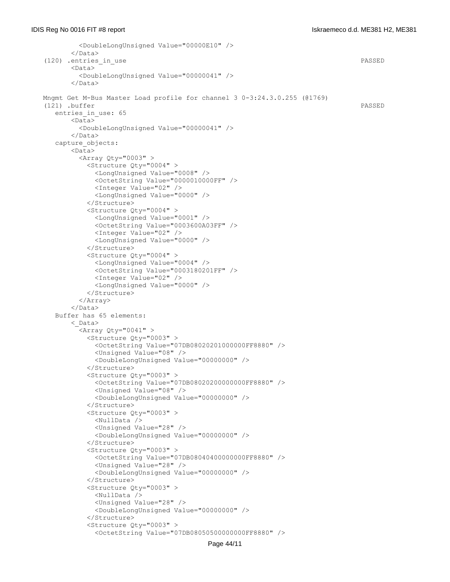```
 <DoubleLongUnsigned Value="00000E10" />
       \langleData>
 (120) .entries_in_use PASSED
       <Data>
          <DoubleLongUnsigned Value="00000041" />
        </Data>
 Mngmt Get M-Bus Master Load profile for channel 3 0-3:24.3.0.255 (@1769)
(121) .buffer PASSED
   entries_in_use: 65
       \langleData>
          <DoubleLongUnsigned Value="00000041" />
        </Data>
    capture_objects:
       <Data>
         \langleArray Qty="0003" >
           <Structure Qty="0004" >
             <LongUnsigned Value="0008" />
             <OctetString Value="0000010000FF" />
             <Integer Value="02" />
              <LongUnsigned Value="0000" />
           </Structure>
           <Structure Qty="0004" >
             <LongUnsigned Value="0001" />
              <OctetString Value="0003600A03FF" />
             <Integer Value="02" />
              <LongUnsigned Value="0000" />
            </Structure>
           <Structure Qty="0004" >
             <LongUnsigned Value="0004" />
             <OctetString Value="0003180201FF" />
             <Integer Value="02" />
             <LongUnsigned Value="0000" />
           </Structure>
          </Array>
        </Data>
   Buffer has 65 elements:
        <_Data>
         \langleArray Qty="0041" >
           <Structure Qty="0003" >
              <OctetString Value="07DB08020201000000FF8880" />
            <Unsigned Value="08" />
             <DoubleLongUnsigned Value="00000000" />
           </Structure>
            <Structure Qty="0003" >
              <OctetString Value="07DB08020200000000FF8880" />
              <Unsigned Value="08" />
              <DoubleLongUnsigned Value="00000000" />
            </Structure>
            <Structure Qty="0003" >
             <NullData />
             <Unsigned Value="28" />
              <DoubleLongUnsigned Value="00000000" />
           </Structure>
           <Structure Qty="0003" >
              <OctetString Value="07DB08040400000000FF8880" />
              <Unsigned Value="28" />
              <DoubleLongUnsigned Value="00000000" />
           </Structure>
            <Structure Qty="0003" >
             <NullData />
             <Unsigned Value="28" />
             <DoubleLongUnsigned Value="00000000" />
            </Structure>
            <Structure Qty="0003" >
              <OctetString Value="07DB08050500000000FF8880" />
```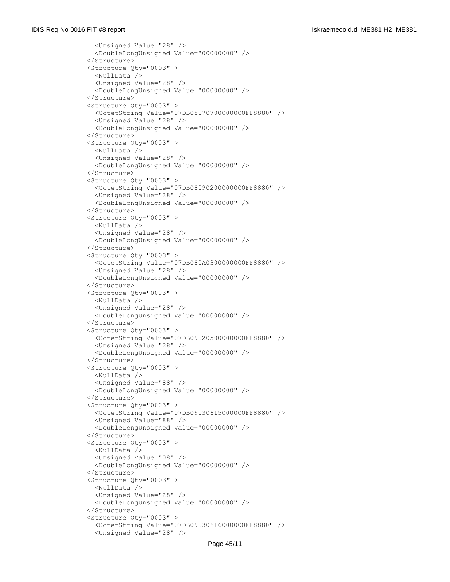```
 <Unsigned Value="28" />
   <DoubleLongUnsigned Value="00000000" />
 </Structure>
 <Structure Qty="0003" >
   <NullData />
   <Unsigned Value="28" />
   <DoubleLongUnsigned Value="00000000" />
 </Structure>
 <Structure Qty="0003" >
   <OctetString Value="07DB08070700000000FF8880" />
   <Unsigned Value="28" />
   <DoubleLongUnsigned Value="00000000" />
 </Structure>
 <Structure Qty="0003" >
   <NullData />
  <Unsigned Value="28" />
   <DoubleLongUnsigned Value="00000000" />
 </Structure>
 <Structure Qty="0003" >
   <OctetString Value="07DB08090200000000FF8880" />
   <Unsigned Value="28" />
   <DoubleLongUnsigned Value="00000000" />
 </Structure>
 <Structure Qty="0003" >
   <NullData />
   <Unsigned Value="28" />
   <DoubleLongUnsigned Value="00000000" />
 </Structure>
 <Structure Qty="0003" >
   <OctetString Value="07DB080A0300000000FF8880" />
   <Unsigned Value="28" />
   <DoubleLongUnsigned Value="00000000" />
 </Structure>
 <Structure Qty="0003" >
  <NullData />
   <Unsigned Value="28" />
   <DoubleLongUnsigned Value="00000000" />
 </Structure>
 <Structure Qty="0003" >
   <OctetString Value="07DB09020500000000FF8880" />
   <Unsigned Value="28" />
  <DoubleLongUnsigned Value="00000000" />
 </Structure>
 <Structure Qty="0003" >
   <NullData />
  <Unsigned Value="88" />
   <DoubleLongUnsigned Value="00000000" />
 </Structure>
 <Structure Qty="0003" >
   <OctetString Value="07DB09030615000000FF8880" />
   <Unsigned Value="88" />
   <DoubleLongUnsigned Value="00000000" />
 </Structure>
 <Structure Qty="0003" >
   <NullData />
   <Unsigned Value="08" />
   <DoubleLongUnsigned Value="00000000" />
 </Structure>
 <Structure Qty="0003" >
   <NullData />
   <Unsigned Value="28" />
   <DoubleLongUnsigned Value="00000000" />
 </Structure>
 <Structure Qty="0003" >
   <OctetString Value="07DB09030616000000FF8880" />
   <Unsigned Value="28" />
```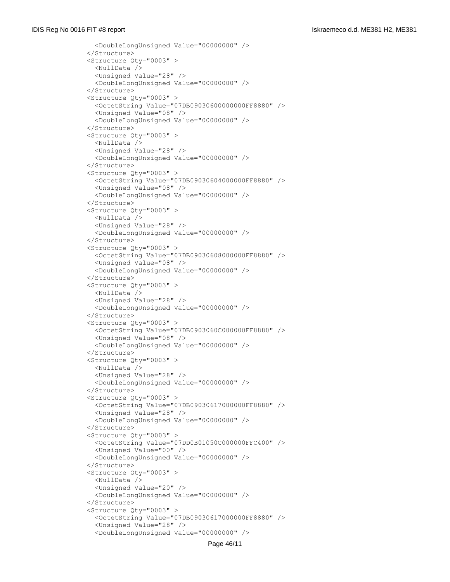```
 <DoubleLongUnsigned Value="00000000" />
 </Structure>
 <Structure Qty="0003" >
  <NullData />
  <Unsigned Value="28" />
   <DoubleLongUnsigned Value="00000000" />
 </Structure>
 <Structure Qty="0003" >
   <OctetString Value="07DB09030600000000FF8880" />
   <Unsigned Value="08" />
   <DoubleLongUnsigned Value="00000000" />
 </Structure>
 <Structure Qty="0003" >
   <NullData />
   <Unsigned Value="28" />
  <DoubleLongUnsigned Value="00000000" />
 </Structure>
 <Structure Qty="0003" >
   <OctetString Value="07DB09030604000000FF8880" />
   <Unsigned Value="08" />
   <DoubleLongUnsigned Value="00000000" />
 </Structure>
 <Structure Qty="0003" >
   <NullData />
   <Unsigned Value="28" />
   <DoubleLongUnsigned Value="00000000" />
 </Structure>
 <Structure Qty="0003" >
   <OctetString Value="07DB09030608000000FF8880" />
   <Unsigned Value="08" />
   <DoubleLongUnsigned Value="00000000" />
 </Structure>
 <Structure Qty="0003" >
   <NullData />
   <Unsigned Value="28" />
   <DoubleLongUnsigned Value="00000000" />
 </Structure>
 <Structure Qty="0003" >
   <OctetString Value="07DB0903060C000000FF8880" />
   <Unsigned Value="08" />
   <DoubleLongUnsigned Value="00000000" />
 </Structure>
 <Structure Qty="0003" >
   <NullData />
   <Unsigned Value="28" />
   <DoubleLongUnsigned Value="00000000" />
 </Structure>
 <Structure Qty="0003" >
   <OctetString Value="07DB09030617000000FF8880" />
   <Unsigned Value="28" />
   <DoubleLongUnsigned Value="00000000" />
 </Structure>
 <Structure Qty="0003" >
   <OctetString Value="07DD0B01050C000000FFC400" />
   <Unsigned Value="00" />
   <DoubleLongUnsigned Value="00000000" />
 </Structure>
 <Structure Qty="0003" >
   <NullData />
   <Unsigned Value="20" />
   <DoubleLongUnsigned Value="00000000" />
 </Structure>
 <Structure Qty="0003" >
   <OctetString Value="07DB09030617000000FF8880" />
   <Unsigned Value="28" />
   <DoubleLongUnsigned Value="00000000" />
```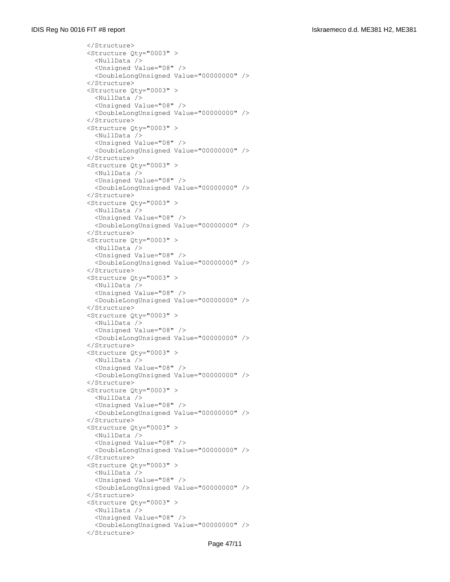```
 </Structure>
 <Structure Qty="0003" >
   <NullData />
   <Unsigned Value="08" />
   <DoubleLongUnsigned Value="00000000" />
 </Structure>
 <Structure Qty="0003" >
  <NullData />
   <Unsigned Value="08" />
   <DoubleLongUnsigned Value="00000000" />
 </Structure>
 <Structure Qty="0003" >
   <NullData />
   <Unsigned Value="08" />
   <DoubleLongUnsigned Value="00000000" />
 </Structure>
 <Structure Qty="0003" >
   <NullData />
   <Unsigned Value="08" />
   <DoubleLongUnsigned Value="00000000" />
 </Structure>
 <Structure Qty="0003" >
   <NullData />
   <Unsigned Value="08" />
   <DoubleLongUnsigned Value="00000000" />
 </Structure>
 <Structure Qty="0003" >
   <NullData />
   <Unsigned Value="08" />
   <DoubleLongUnsigned Value="00000000" />
 </Structure>
 <Structure Qty="0003" >
  <NullData />
   <Unsigned Value="08" />
   <DoubleLongUnsigned Value="00000000" />
 </Structure>
 <Structure Qty="0003" >
   <NullData />
   <Unsigned Value="08" />
   <DoubleLongUnsigned Value="00000000" />
 </Structure>
 <Structure Qty="0003" >
   <NullData />
   <Unsigned Value="08" />
   <DoubleLongUnsigned Value="00000000" />
 </Structure>
 <Structure Qty="0003" >
   <NullData />
   <Unsigned Value="08" />
   <DoubleLongUnsigned Value="00000000" />
 </Structure>
 <Structure Qty="0003" >
   <NullData />
   <Unsigned Value="08" />
   <DoubleLongUnsigned Value="00000000" />
 </Structure>
 <Structure Qty="0003" >
   <NullData />
   <Unsigned Value="08" />
   <DoubleLongUnsigned Value="00000000" />
 </Structure>
 <Structure Qty="0003" >
   <NullData />
   <Unsigned Value="08" />
   <DoubleLongUnsigned Value="00000000" />
 </Structure>
```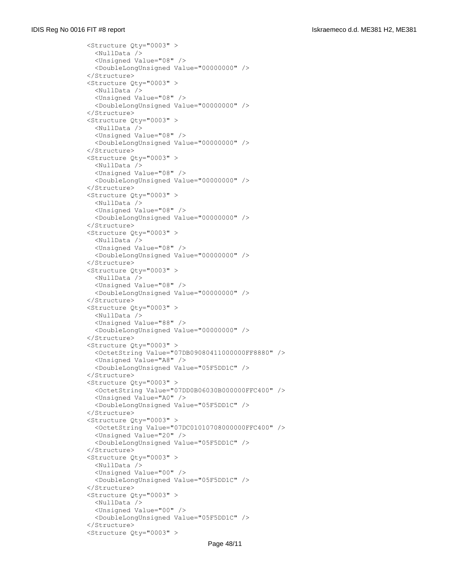```
 <Structure Qty="0003" >
  <NullData />
   <Unsigned Value="08" />
   <DoubleLongUnsigned Value="00000000" />
 </Structure>
 <Structure Qty="0003" >
   <NullData />
   <Unsigned Value="08" />
   <DoubleLongUnsigned Value="00000000" />
 </Structure>
 <Structure Qty="0003" >
   <NullData />
   <Unsigned Value="08" />
   <DoubleLongUnsigned Value="00000000" />
 </Structure>
 <Structure Qty="0003" >
   <NullData />
   <Unsigned Value="08" />
   <DoubleLongUnsigned Value="00000000" />
 </Structure>
 <Structure Qty="0003" >
  <NullData />
   <Unsigned Value="08" />
   <DoubleLongUnsigned Value="00000000" />
 </Structure>
 <Structure Qty="0003" >
   <NullData />
   <Unsigned Value="08" />
   <DoubleLongUnsigned Value="00000000" />
 </Structure>
 <Structure Qty="0003" >
  <NullData />
   <Unsigned Value="08" />
   <DoubleLongUnsigned Value="00000000" />
 </Structure>
 <Structure Qty="0003" >
  <NullData />
  <Unsigned Value="88" />
   <DoubleLongUnsigned Value="00000000" />
 </Structure>
 <Structure Qty="0003" >
   <OctetString Value="07DB09080411000000FF8880" />
   <Unsigned Value="A8" />
   <DoubleLongUnsigned Value="05F5DD1C" />
 </Structure>
 <Structure Qty="0003" >
   <OctetString Value="07DD0B06030B000000FFC400" />
   <Unsigned Value="A0" />
   <DoubleLongUnsigned Value="05F5DD1C" />
 </Structure>
 <Structure Qty="0003" >
   <OctetString Value="07DC01010708000000FFC400" />
   <Unsigned Value="20" />
   <DoubleLongUnsigned Value="05F5DD1C" />
 </Structure>
 <Structure Qty="0003" >
   <NullData />
   <Unsigned Value="00" />
   <DoubleLongUnsigned Value="05F5DD1C" />
 </Structure>
 <Structure Qty="0003" >
  <NullData />
  <Unsigned Value="00" />
   <DoubleLongUnsigned Value="05F5DD1C" />
 </Structure>
 <Structure Qty="0003" >
```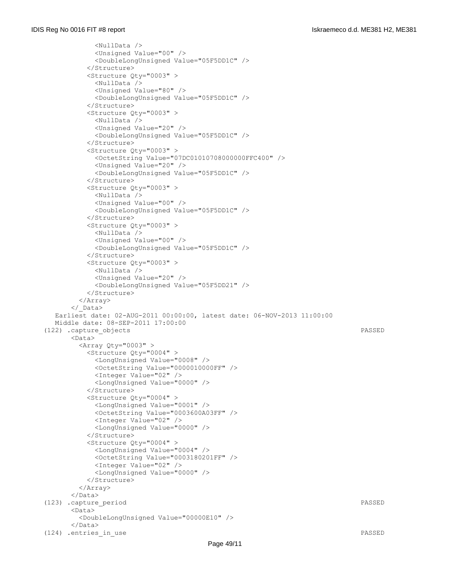```
 <NullData />
             <Unsigned Value="00" />
             <DoubleLongUnsigned Value="05F5DD1C" />
           </Structure>
           <Structure Qty="0003" >
            <NullData />
            <Unsigned Value="80" />
             <DoubleLongUnsigned Value="05F5DD1C" />
           </Structure>
           <Structure Qty="0003" >
             <NullData />
             <Unsigned Value="20" />
             <DoubleLongUnsigned Value="05F5DD1C" />
           </Structure>
           <Structure Qty="0003" >
             <OctetString Value="07DC01010708000000FFC400" />
            <Unsigned Value="20" />
            <DoubleLongUnsigned Value="05F5DD1C" />
           </Structure>
           <Structure Qty="0003" >
             <NullData />
             <Unsigned Value="00" />
             <DoubleLongUnsigned Value="05F5DD1C" />
           </Structure>
           <Structure Qty="0003" >
             <NullData />
             <Unsigned Value="00" />
             <DoubleLongUnsigned Value="05F5DD1C" />
           </Structure>
           <Structure Qty="0003" >
            <NullData />
            <Unsigned Value="20" />
             <DoubleLongUnsigned Value="05F5DD21" />
           </Structure>
         </Array>
       </_Data>
   Earliest date: 02-AUG-2011 00:00:00, latest date: 06-NOV-2013 11:00:00
   Middle date: 08-SEP-2011 17:00:00
 (122) .capture_objects PASSED
       <Data>
         <Array Qty="0003" >
           <Structure Qty="0004" >
             <LongUnsigned Value="0008" />
             <OctetString Value="0000010000FF" />
            <Integer Value="02" />
            <LongUnsigned Value="0000" />
           </Structure>
           <Structure Qty="0004" >
            <LongUnsigned Value="0001" />
             <OctetString Value="0003600A03FF" />
            <Integer Value="02" />
             <LongUnsigned Value="0000" />
           </Structure>
           <Structure Qty="0004" >
            <LongUnsigned Value="0004" />
             <OctetString Value="0003180201FF" />
             <Integer Value="02" />
             <LongUnsigned Value="0000" />
           </Structure>
         </Array>
       </Data>
 (123) .capture_period PASSED
      <Data>
         <DoubleLongUnsigned Value="00000E10" />
       </Data>
 (124) .entries_in_use PASSED
```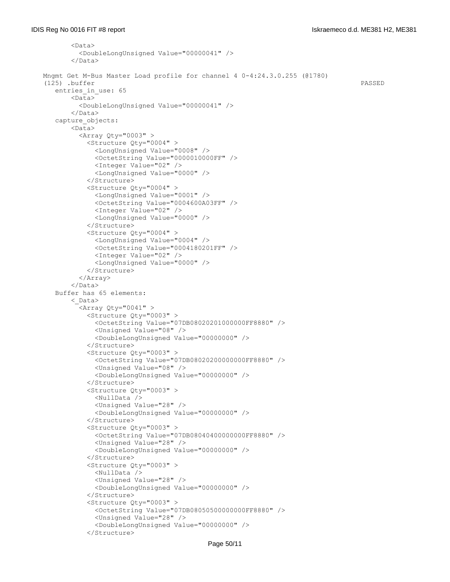```
 <Data>
          <DoubleLongUnsigned Value="00000041" />
        </Data>
 Mngmt Get M-Bus Master Load profile for channel 4 0-4:24.3.0.255 (@1780)
 (125) .buffer PASSED
   entries in use: 65
       <Data>
         <DoubleLongUnsigned Value="00000041" />
        </Data>
    capture_objects:
        <Data>
          <Array Qty="0003" >
            <Structure Qty="0004" >
              <LongUnsigned Value="0008" />
             <OctetString Value="0000010000FF" />
              <Integer Value="02" />
              <LongUnsigned Value="0000" />
            </Structure>
            <Structure Qty="0004" >
              <LongUnsigned Value="0001" />
              <OctetString Value="0004600A03FF" />
              <Integer Value="02" />
              <LongUnsigned Value="0000" />
            </Structure>
            <Structure Qty="0004" >
              <LongUnsigned Value="0004" />
              <OctetString Value="0004180201FF" />
              <Integer Value="02" />
              <LongUnsigned Value="0000" />
            </Structure>
          </Array>
        </Data>
    Buffer has 65 elements:
        <_Data>
         \langleArray Qty="0041" >
            <Structure Qty="0003" >
              <OctetString Value="07DB08020201000000FF8880" />
              <Unsigned Value="08" />
              <DoubleLongUnsigned Value="00000000" />
            </Structure>
            <Structure Qty="0003" >
              <OctetString Value="07DB08020200000000FF8880" />
              <Unsigned Value="08" />
              <DoubleLongUnsigned Value="00000000" />
            </Structure>
            <Structure Qty="0003" >
              <NullData />
              <Unsigned Value="28" />
              <DoubleLongUnsigned Value="00000000" />
            </Structure>
            <Structure Qty="0003" >
              <OctetString Value="07DB08040400000000FF8880" />
              <Unsigned Value="28" />
              <DoubleLongUnsigned Value="00000000" />
            </Structure>
            <Structure Qty="0003" >
              <NullData />
              <Unsigned Value="28" />
              <DoubleLongUnsigned Value="00000000" />
            </Structure>
            <Structure Qty="0003" >
              <OctetString Value="07DB08050500000000FF8880" />
              <Unsigned Value="28" />
              <DoubleLongUnsigned Value="00000000" />
            </Structure>
```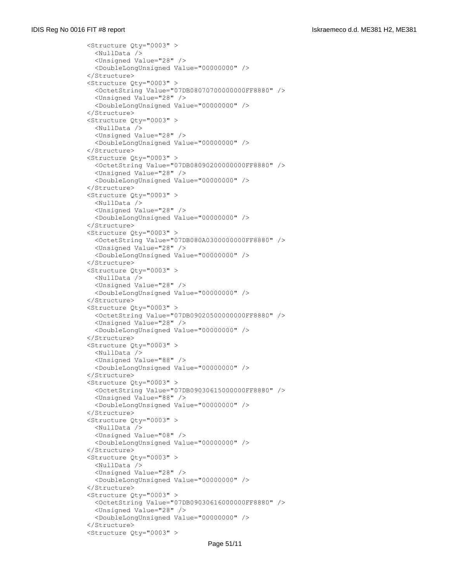```
 <Structure Qty="0003" >
  <NullData />
   <Unsigned Value="28" />
   <DoubleLongUnsigned Value="00000000" />
 </Structure>
 <Structure Qty="0003" >
   <OctetString Value="07DB08070700000000FF8880" />
   <Unsigned Value="28" />
   <DoubleLongUnsigned Value="00000000" />
 </Structure>
 <Structure Qty="0003" >
   <NullData />
   <Unsigned Value="28" />
   <DoubleLongUnsigned Value="00000000" />
 </Structure>
 <Structure Qty="0003" >
   <OctetString Value="07DB08090200000000FF8880" />
   <Unsigned Value="28" />
   <DoubleLongUnsigned Value="00000000" />
 </Structure>
 <Structure Qty="0003" >
  <NullData />
   <Unsigned Value="28" />
   <DoubleLongUnsigned Value="00000000" />
 </Structure>
 <Structure Qty="0003" >
   <OctetString Value="07DB080A0300000000FF8880" />
   <Unsigned Value="28" />
   <DoubleLongUnsigned Value="00000000" />
 </Structure>
 <Structure Qty="0003" >
   <NullData />
   <Unsigned Value="28" />
   <DoubleLongUnsigned Value="00000000" />
 </Structure>
 <Structure Qty="0003" >
   <OctetString Value="07DB09020500000000FF8880" />
   <Unsigned Value="28" />
   <DoubleLongUnsigned Value="00000000" />
 </Structure>
 <Structure Qty="0003" >
   <NullData />
   <Unsigned Value="88" />
   <DoubleLongUnsigned Value="00000000" />
 </Structure>
 <Structure Qty="0003" >
   <OctetString Value="07DB09030615000000FF8880" />
   <Unsigned Value="88" />
   <DoubleLongUnsigned Value="00000000" />
 </Structure>
 <Structure Qty="0003" >
   <NullData />
   <Unsigned Value="08" />
   <DoubleLongUnsigned Value="00000000" />
 </Structure>
 <Structure Qty="0003" >
   <NullData />
   <Unsigned Value="28" />
   <DoubleLongUnsigned Value="00000000" />
 </Structure>
 <Structure Qty="0003" >
   <OctetString Value="07DB09030616000000FF8880" />
   <Unsigned Value="28" />
   <DoubleLongUnsigned Value="00000000" />
 </Structure>
 <Structure Qty="0003" >
```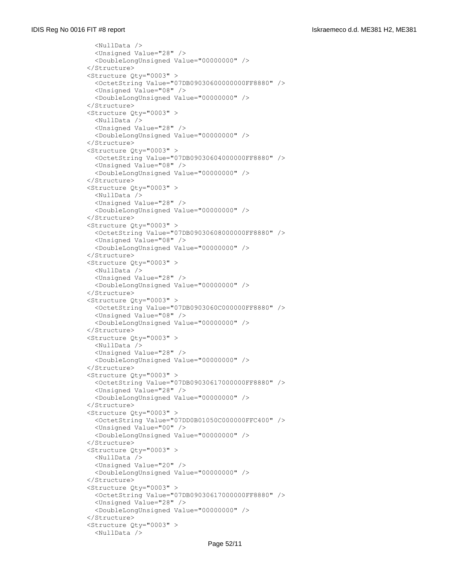```
 <NullData />
   <Unsigned Value="28" />
   <DoubleLongUnsigned Value="00000000" />
 </Structure>
 <Structure Qty="0003" >
   <OctetString Value="07DB09030600000000FF8880" />
   <Unsigned Value="08" />
   <DoubleLongUnsigned Value="00000000" />
 </Structure>
 <Structure Qty="0003" >
   <NullData />
   <Unsigned Value="28" />
   <DoubleLongUnsigned Value="00000000" />
 </Structure>
 <Structure Qty="0003" >
   <OctetString Value="07DB09030604000000FF8880" />
   <Unsigned Value="08" />
   <DoubleLongUnsigned Value="00000000" />
 </Structure>
 <Structure Qty="0003" >
   <NullData />
   <Unsigned Value="28" />
   <DoubleLongUnsigned Value="00000000" />
 </Structure>
 <Structure Qty="0003" >
   <OctetString Value="07DB09030608000000FF8880" />
   <Unsigned Value="08" />
   <DoubleLongUnsigned Value="00000000" />
 </Structure>
 <Structure Qty="0003" >
  <NullData />
   <Unsigned Value="28" />
   <DoubleLongUnsigned Value="00000000" />
 </Structure>
 <Structure Qty="0003" >
   <OctetString Value="07DB0903060C000000FF8880" />
   <Unsigned Value="08" />
   <DoubleLongUnsigned Value="00000000" />
 </Structure>
 <Structure Qty="0003" >
   <NullData />
  <Unsigned Value="28" />
   <DoubleLongUnsigned Value="00000000" />
 </Structure>
 <Structure Qty="0003" >
   <OctetString Value="07DB09030617000000FF8880" />
   <Unsigned Value="28" />
   <DoubleLongUnsigned Value="00000000" />
 </Structure>
 <Structure Qty="0003" >
   <OctetString Value="07DD0B01050C000000FFC400" />
   <Unsigned Value="00" />
   <DoubleLongUnsigned Value="00000000" />
 </Structure>
 <Structure Qty="0003" >
   <NullData />
   <Unsigned Value="20" />
   <DoubleLongUnsigned Value="00000000" />
 </Structure>
 <Structure Qty="0003" >
   <OctetString Value="07DB09030617000000FF8880" />
   <Unsigned Value="28" />
   <DoubleLongUnsigned Value="00000000" />
 </Structure>
 <Structure Qty="0003" >
   <NullData />
```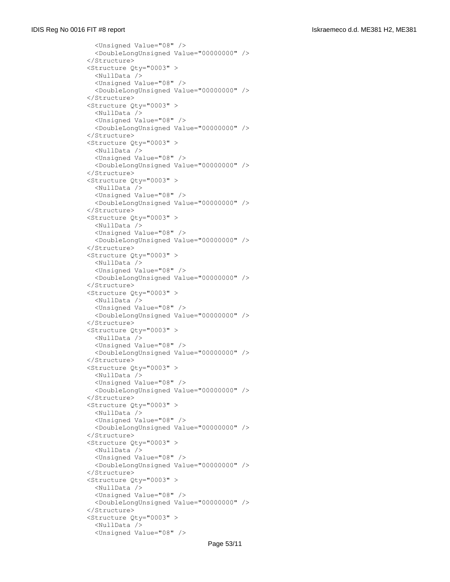```
 <Unsigned Value="08" />
   <DoubleLongUnsigned Value="00000000" />
 </Structure>
 <Structure Qty="0003" >
   <NullData />
   <Unsigned Value="08" />
   <DoubleLongUnsigned Value="00000000" />
 </Structure>
 <Structure Qty="0003" >
  <NullData />
   <Unsigned Value="08" />
   <DoubleLongUnsigned Value="00000000" />
 </Structure>
 <Structure Qty="0003" >
   <NullData />
  <Unsigned Value="08" />
   <DoubleLongUnsigned Value="00000000" />
 </Structure>
 <Structure Qty="0003" >
   <NullData />
   <Unsigned Value="08" />
   <DoubleLongUnsigned Value="00000000" />
 </Structure>
 <Structure Qty="0003" >
   <NullData />
   <Unsigned Value="08" />
   <DoubleLongUnsigned Value="00000000" />
 </Structure>
 <Structure Qty="0003" >
   <NullData />
   <Unsigned Value="08" />
   <DoubleLongUnsigned Value="00000000" />
 </Structure>
 <Structure Qty="0003" >
  <NullData />
   <Unsigned Value="08" />
   <DoubleLongUnsigned Value="00000000" />
 </Structure>
 <Structure Qty="0003" >
   <NullData />
   <Unsigned Value="08" />
  <DoubleLongUnsigned Value="00000000" />
 </Structure>
 <Structure Qty="0003" >
   <NullData />
  <Unsigned Value="08" />
   <DoubleLongUnsigned Value="00000000" />
 </Structure>
 <Structure Qty="0003" >
   <NullData />
   <Unsigned Value="08" />
   <DoubleLongUnsigned Value="00000000" />
 </Structure>
 <Structure Qty="0003" >
   <NullData />
   <Unsigned Value="08" />
   <DoubleLongUnsigned Value="00000000" />
 </Structure>
 <Structure Qty="0003" >
   <NullData />
   <Unsigned Value="08" />
   <DoubleLongUnsigned Value="00000000" />
 </Structure>
 <Structure Qty="0003" >
   <NullData />
   <Unsigned Value="08" />
```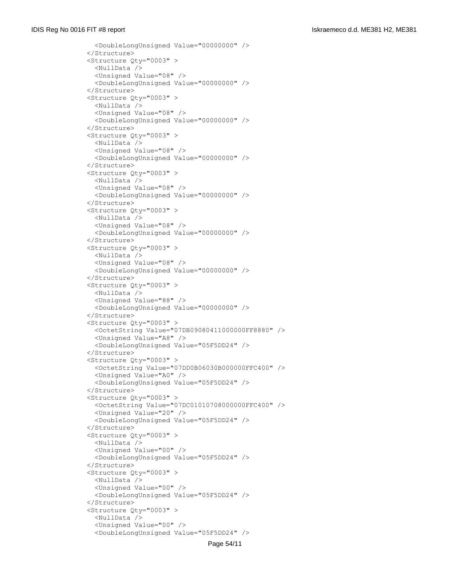```
 <DoubleLongUnsigned Value="00000000" />
 </Structure>
 <Structure Qty="0003" >
  <NullData />
  <Unsigned Value="08" />
   <DoubleLongUnsigned Value="00000000" />
 </Structure>
 <Structure Qty="0003" >
   <NullData />
   <Unsigned Value="08" />
   <DoubleLongUnsigned Value="00000000" />
 </Structure>
 <Structure Qty="0003" >
   <NullData />
   <Unsigned Value="08" />
   <DoubleLongUnsigned Value="00000000" />
 </Structure>
 <Structure Qty="0003" >
   <NullData />
   <Unsigned Value="08" />
   <DoubleLongUnsigned Value="00000000" />
 </Structure>
 <Structure Qty="0003" >
   <NullData />
   <Unsigned Value="08" />
   <DoubleLongUnsigned Value="00000000" />
 </Structure>
 <Structure Qty="0003" >
   <NullData />
   <Unsigned Value="08" />
   <DoubleLongUnsigned Value="00000000" />
 </Structure>
 <Structure Qty="0003" >
   <NullData />
   <Unsigned Value="88" />
   <DoubleLongUnsigned Value="00000000" />
 </Structure>
 <Structure Qty="0003" >
   <OctetString Value="07DB09080411000000FF8880" />
   <Unsigned Value="A8" />
   <DoubleLongUnsigned Value="05F5DD24" />
 </Structure>
 <Structure Qty="0003" >
   <OctetString Value="07DD0B06030B000000FFC400" />
   <Unsigned Value="A0" />
   <DoubleLongUnsigned Value="05F5DD24" />
 </Structure>
 <Structure Qty="0003" >
   <OctetString Value="07DC01010708000000FFC400" />
   <Unsigned Value="20" />
   <DoubleLongUnsigned Value="05F5DD24" />
 </Structure>
 <Structure Qty="0003" >
  <NullData />
   <Unsigned Value="00" />
   <DoubleLongUnsigned Value="05F5DD24" />
 </Structure>
 <Structure Qty="0003" >
   <NullData />
   <Unsigned Value="00" />
   <DoubleLongUnsigned Value="05F5DD24" />
 </Structure>
 <Structure Qty="0003" >
   <NullData />
   <Unsigned Value="00" />
   <DoubleLongUnsigned Value="05F5DD24" />
```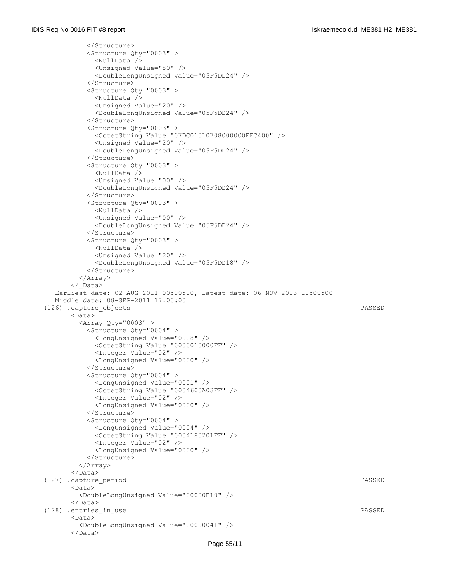```
 </Structure>
           <Structure Qty="0003" >
             <NullData />
             <Unsigned Value="80" />
             <DoubleLongUnsigned Value="05F5DD24" />
           </Structure>
           <Structure Qty="0003" >
             <NullData />
             <Unsigned Value="20" />
             <DoubleLongUnsigned Value="05F5DD24" />
           </Structure>
           <Structure Qty="0003" >
             <OctetString Value="07DC01010708000000FFC400" />
             <Unsigned Value="20" />
             <DoubleLongUnsigned Value="05F5DD24" />
           </Structure>
           <Structure Qty="0003" >
             <NullData />
             <Unsigned Value="00" />
             <DoubleLongUnsigned Value="05F5DD24" />
           </Structure>
           <Structure Qty="0003" >
             <NullData />
             <Unsigned Value="00" />
             <DoubleLongUnsigned Value="05F5DD24" />
           </Structure>
           <Structure Qty="0003" >
             <NullData />
             <Unsigned Value="20" />
             <DoubleLongUnsigned Value="05F5DD18" />
           </Structure>
         </Array>
       </_Data>
   Earliest date: 02-AUG-2011 00:00:00, latest date: 06-NOV-2013 11:00:00
   Middle date: 08-SEP-2011 17:00:00
 (126) .capture_objects PASSED
       <Data>
        \langleArray Qty="0003" >
           <Structure Qty="0004" >
             <LongUnsigned Value="0008" />
             <OctetString Value="0000010000FF" />
            <Integer Value="02" />
             <LongUnsigned Value="0000" />
           </Structure>
           <Structure Qty="0004" >
             <LongUnsigned Value="0001" />
             <OctetString Value="0004600A03FF" />
             <Integer Value="02" />
             <LongUnsigned Value="0000" />
           </Structure>
           <Structure Qty="0004" >
             <LongUnsigned Value="0004" />
             <OctetString Value="0004180201FF" />
             <Integer Value="02" />
             <LongUnsigned Value="0000" />
           </Structure>
         </Array>
      \langleData>
(127) .capture period PASSED
       <Data>
         <DoubleLongUnsigned Value="00000E10" />
       </Data>
(128) .entries in use PASSED
       <Data>
         <DoubleLongUnsigned Value="00000041" />
      \langleData>
```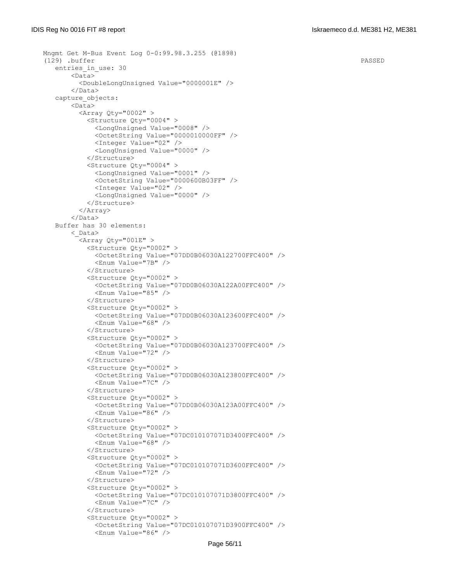```
 Mngmt Get M-Bus Event Log 0-0:99.98.3.255 (@1898)
(129) .buffer PASSED
  entries in use: 30
        <Data>
          <DoubleLongUnsigned Value="0000001E" />
        </Data>
    capture_objects:
        <Data>
         \langleArray Qty="0002" >
            <Structure Qty="0004" >
              <LongUnsigned Value="0008" />
              <OctetString Value="0000010000FF" />
              <Integer Value="02" />
              <LongUnsigned Value="0000" />
            </Structure>
            <Structure Qty="0004" >
              <LongUnsigned Value="0001" />
              <OctetString Value="0000600B03FF" />
              <Integer Value="02" />
              <LongUnsigned Value="0000" />
            </Structure>
          </Array>
       \langleData>
   Buffer has 30 elements:
        <_Data>
          <Array Qty="001E" >
            <Structure Qty="0002" >
              <OctetString Value="07DD0B06030A122700FFC400" />
              <Enum Value="7B" />
            </Structure>
            <Structure Qty="0002" >
              <OctetString Value="07DD0B06030A122A00FFC400" />
              <Enum Value="85" />
            </Structure>
            <Structure Qty="0002" >
              <OctetString Value="07DD0B06030A123600FFC400" />
              <Enum Value="68" />
            </Structure>
            <Structure Qty="0002" >
              <OctetString Value="07DD0B06030A123700FFC400" />
             <Enum Value="72" />
            </Structure>
            <Structure Qty="0002" >
              <OctetString Value="07DD0B06030A123800FFC400" />
              <Enum Value="7C" />
            </Structure>
            <Structure Qty="0002" >
              <OctetString Value="07DD0B06030A123A00FFC400" />
              <Enum Value="86" />
            </Structure>
            <Structure Qty="0002" >
              <OctetString Value="07DC010107071D3400FFC400" />
              <Enum Value="68" />
            </Structure>
            <Structure Qty="0002" >
              <OctetString Value="07DC010107071D3600FFC400" />
              <Enum Value="72" />
            </Structure>
            <Structure Qty="0002" >
              <OctetString Value="07DC010107071D3800FFC400" />
              <Enum Value="7C" />
            </Structure>
            <Structure Qty="0002" >
              <OctetString Value="07DC010107071D3900FFC400" />
              <Enum Value="86" />
```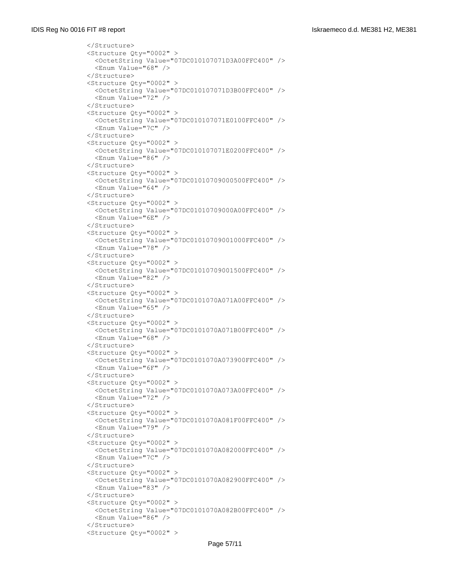```
 </Structure>
 <Structure Qty="0002" >
   <OctetString Value="07DC010107071D3A00FFC400" />
   <Enum Value="68" />
 </Structure>
 <Structure Qty="0002" >
   <OctetString Value="07DC010107071D3B00FFC400" />
   <Enum Value="72" />
 </Structure>
 <Structure Qty="0002" >
   <OctetString Value="07DC010107071E0100FFC400" />
   <Enum Value="7C" />
 </Structure>
 <Structure Qty="0002" >
   <OctetString Value="07DC010107071E0200FFC400" />
  <Enum Value="86" />
 </Structure>
 <Structure Qty="0002" >
   <OctetString Value="07DC01010709000500FFC400" />
   <Enum Value="64" />
 </Structure>
 <Structure Qty="0002" >
   <OctetString Value="07DC01010709000A00FFC400" />
   <Enum Value="6E" />
 </Structure>
 <Structure Qty="0002" >
   <OctetString Value="07DC01010709001000FFC400" />
   <Enum Value="78" />
 </Structure>
 <Structure Qty="0002" >
   <OctetString Value="07DC01010709001500FFC400" />
   <Enum Value="82" />
 </Structure>
 <Structure Qty="0002" >
   <OctetString Value="07DC0101070A071A00FFC400" />
   <Enum Value="65" />
 </Structure>
 <Structure Qty="0002" >
   <OctetString Value="07DC0101070A071B00FFC400" />
   <Enum Value="68" />
 </Structure>
 <Structure Qty="0002" >
   <OctetString Value="07DC0101070A073900FFC400" />
   <Enum Value="6F" />
 </Structure>
 <Structure Qty="0002" >
   <OctetString Value="07DC0101070A073A00FFC400" />
   <Enum Value="72" />
 </Structure>
 <Structure Qty="0002" >
   <OctetString Value="07DC0101070A081F00FFC400" />
   <Enum Value="79" />
 </Structure>
 <Structure Qty="0002" >
   <OctetString Value="07DC0101070A082000FFC400" />
   <Enum Value="7C" />
 </Structure>
 <Structure Qty="0002" >
   <OctetString Value="07DC0101070A082900FFC400" />
   <Enum Value="83" />
 </Structure>
 <Structure Qty="0002" >
   <OctetString Value="07DC0101070A082B00FFC400" />
   <Enum Value="86" />
 </Structure>
 <Structure Qty="0002" >
```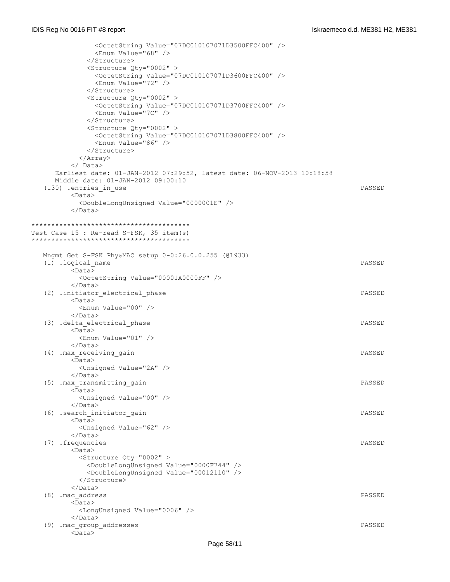<OctetString Value="07DC010107071D3500FFC400" /> <Enum Value="68" /> </Structure> <Structure Qty="0002" > <OctetString Value="07DC010107071D3600FFC400" /> <Enum Value="72" /> </Structure> <Structure Qty="0002" > <OctetString Value="07DC010107071D3700FFC400" /> <Enum Value="7C" /> </Structure> <Structure Qty="0002" > <OctetString Value="07DC010107071D3800FFC400" /> <Enum Value="86" /> </Structure> </Array> </\_Data> Earliest date: 01-JAN-2012 07:29:52, latest date: 06-NOV-2013 10:18:58 Middle date: 01-JAN-2012 09:00:10 (130) .entries in use PASSED <Data> <DoubleLongUnsigned Value="0000001E" /> </Data> \*\*\*\*\*\*\*\*\*\*\*\*\*\*\*\*\*\*\*\*\*\*\*\*\*\*\*\*\*\*\*\*\*\*\*\*\*\*\*\* Test Case 15 : Re-read S-FSK, 35 item(s) \*\*\*\*\*\*\*\*\*\*\*\*\*\*\*\*\*\*\*\*\*\*\*\*\*\*\*\*\*\*\*\*\*\*\*\*\*\*\*\* Mngmt Get S-FSK Phy&MAC setup 0-0:26.0.0.255 (@1933) (1) .logical\_name PASSED  $<sub>Data</sub>$ </sub> <OctetString Value="00001A0000FF" /> </Data> (2) .initiator electrical phase PASSED <Data> <Enum Value="00" />  $\langle$ Data> (3) .delta\_electrical\_phase PASSED <Data> <Enum Value="01" /> </Data> (4) .max receiving gain **PASSED**  <Data> <Unsigned Value="2A" /> </Data> (5) .max\_transmitting\_gain PASSED <Data> <Unsigned Value="00" /> </Data> (6) .search\_initiator\_gain PASSED <Data> <Unsigned Value="62" />  $\langle$ Data> (7) .frequencies PASSED <Data> <Structure Qty="0002" > <DoubleLongUnsigned Value="0000F744" /> <DoubleLongUnsigned Value="00012110" /> </Structure> </Data> (8) .mac\_address PASSED <Data> <LongUnsigned Value="0006" /> </Data> (9) .mac\_group\_addresses PASSED <Data>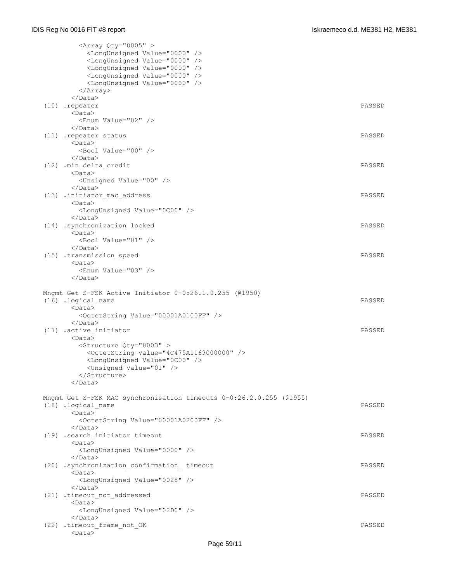| <array qty="0005"></array>                                          |        |
|---------------------------------------------------------------------|--------|
| <longunsigned value="0000"></longunsigned>                          |        |
| <longunsigned value="0000"></longunsigned>                          |        |
| <longunsigned value="0000"></longunsigned>                          |        |
| <longunsigned value="0000"></longunsigned>                          |        |
| <longunsigned value="0000"></longunsigned>                          |        |
| $\langle$ Array>                                                    |        |
| $\langle$ /Data>                                                    |        |
| (10) .repeater                                                      | PASSED |
| $<$ Data $>$                                                        |        |
| <enum value="02"></enum>                                            |        |
| $\langle$ /Data>                                                    |        |
| (11) .repeater_status                                               | PASSED |
| $<$ Data>                                                           |        |
|                                                                     |        |
| <bool value="00"></bool><br>$\langle$ /Data>                        |        |
|                                                                     |        |
| (12) .min delta credit                                              | PASSED |
| $<$ Data $>$                                                        |        |
| <unsigned value="00"></unsigned>                                    |        |
| $\langle$ /Data>                                                    |        |
| (13) .initiator mac address                                         | PASSED |
| $<$ Data $>$                                                        |        |
| <longunsigned value="0C00"></longunsigned>                          |        |
| $\langle$ /Data>                                                    |        |
| (14) .synchronization locked                                        | PASSED |
| $<$ Data $>$                                                        |        |
| <bool value="01"></bool>                                            |        |
| $\langle$ /Data>                                                    |        |
| (15) .transmission speed                                            | PASSED |
| $<$ Data $>$                                                        |        |
| <enum value="03"></enum>                                            |        |
| $\langle$ /Data>                                                    |        |
|                                                                     |        |
|                                                                     |        |
| Mngmt Get S-FSK Active Initiator 0-0:26.1.0.255 (@1950)             |        |
| (16) .logical name                                                  | PASSED |
| $<$ Data $>$                                                        |        |
| <octetstring value="00001A0100FF"></octetstring>                    |        |
| $\langle$ /Data>                                                    |        |
| (17) .active initiator                                              | PASSED |
| $<$ Data $>$                                                        |        |
| <structure qty="0003"></structure>                                  |        |
| <octetstring value="4C475A1169000000"></octetstring>                |        |
| <longunsigned value="0C00"></longunsigned>                          |        |
|                                                                     |        |
| <unsigned value="01"></unsigned><br>                                |        |
|                                                                     |        |
|                                                                     |        |
|                                                                     |        |
| Mngmt Get S-FSK MAC synchronisation timeouts 0-0:26.2.0.255 (01955) | PASSED |
| (18) .logical name                                                  |        |
| <data></data>                                                       |        |
| <octetstring value="00001A0200FF"></octetstring>                    |        |
| $\langle$ /Data>                                                    |        |
| (19) .search initiator timeout                                      | PASSED |
| $<$ Data $>$                                                        |        |
| <longunsigned value="0000"></longunsigned>                          |        |
| $\langle$ /Data>                                                    |        |
| (20) .synchronization confirmation timeout                          | PASSED |
| $<$ Data $>$                                                        |        |
| <longunsigned value="0028"></longunsigned>                          |        |
| $\langle$ /Data>                                                    |        |
| (21) .timeout not addressed                                         | PASSED |
| $<$ Data $>$                                                        |        |
| <longunsigned value="02D0"></longunsigned>                          |        |
|                                                                     |        |
| (22) .timeout frame not OK<br>$<$ Data $>$                          | PASSED |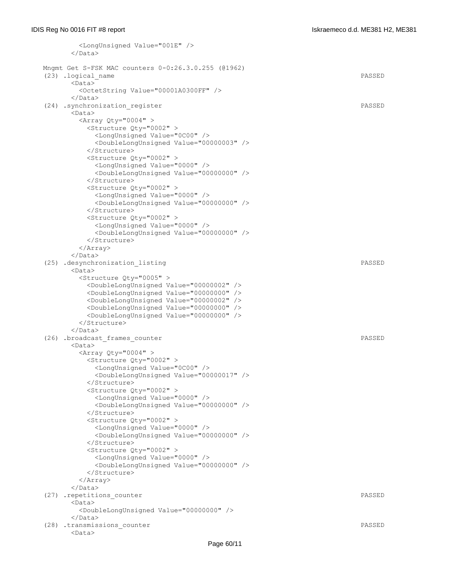```
 <LongUnsigned Value="001E" />
      \langleData>
 Mngmt Get S-FSK MAC counters 0-0:26.3.0.255 (@1962)
 (23) .logical_name PASSED
       <Data>
         <OctetString Value="00001A0300FF" />
       </Data>
 (24) .synchronization_register PASSED
       <Data>
         <Array Qty="0004" >
          <Structure Qty="0002" >
            <LongUnsigned Value="0C00" />
            <DoubleLongUnsigned Value="00000003" />
           </Structure>
          <Structure Qty="0002" >
            <LongUnsigned Value="0000" />
            <DoubleLongUnsigned Value="00000000" />
          </Structure>
          <Structure Qty="0002" >
            <LongUnsigned Value="0000" />
            <DoubleLongUnsigned Value="00000000" />
          </Structure>
          <Structure Qty="0002" >
            <LongUnsigned Value="0000" />
            <DoubleLongUnsigned Value="00000000" />
          </Structure>
         </Array>
       </Data>
 (25) .desynchronization_listing PASSED
      \langleData\rangle <Structure Qty="0005" >
          <DoubleLongUnsigned Value="00000002" />
          <DoubleLongUnsigned Value="00000000" />
          <DoubleLongUnsigned Value="00000002" />
          <DoubleLongUnsigned Value="00000000" />
          <DoubleLongUnsigned Value="00000000" />
         </Structure>
       </Data>
 (26) .broadcast_frames_counter PASSED
       <Data>
        \langleArray Qty="0004" >
          <Structure Qty="0002" >
            <LongUnsigned Value="0C00" />
            <DoubleLongUnsigned Value="00000017" />
          </Structure>
           <Structure Qty="0002" >
            <LongUnsigned Value="0000" />
            <DoubleLongUnsigned Value="00000000" />
           </Structure>
           <Structure Qty="0002" >
            <LongUnsigned Value="0000" />
            <DoubleLongUnsigned Value="00000000" />
          </Structure>
          <Structure Qty="0002" >
            <LongUnsigned Value="0000" />
            <DoubleLongUnsigned Value="00000000" />
          </Structure>
         </Array>
       </Data>
 (27) .repetitions_counter PASSED
       <Data>
         <DoubleLongUnsigned Value="00000000" />
      \langleData>
 (28) .transmissions_counter PASSED
       <Data>
```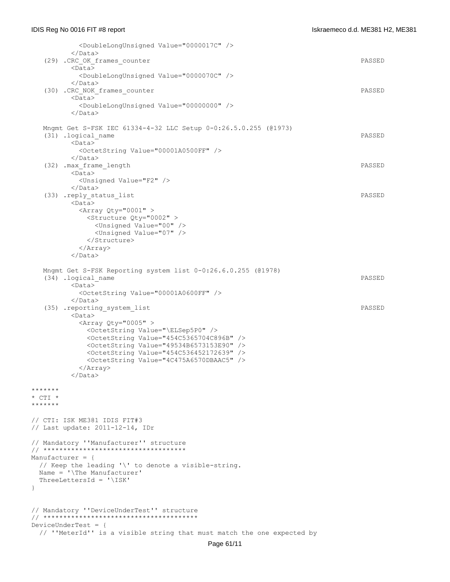<DoubleLongUnsigned Value="0000017C" /> </Data> (29) .CRC\_OK\_frames\_counter PASSED <Data> <DoubleLongUnsigned Value="0000070C" /> </Data> (30) .CRC\_NOK\_frames\_counter PASSED <Data> <DoubleLongUnsigned Value="00000000" />  $\langle$ Data> Mngmt Get S-FSK IEC 61334-4-32 LLC Setup 0-0:26.5.0.255 (@1973) (31) .logical\_name PASSED <Data> <OctetString Value="00001A0500FF" /> </Data> (32) .max\_frame\_length PASSED  $\overline{\text{C}_{\text{Data}}}$  <Unsigned Value="F2" /> </Data> (33) .reply\_status\_list PASSED <Data>  $\langle$ Array Qty="0001" > <Structure Qty="0002" > <Unsigned Value="00" /> <Unsigned Value="07" /> </Structure> </Array> </Data> Mngmt Get S-FSK Reporting system list 0-0:26.6.0.255 (@1978) (34) .logical\_name PASSED <Data> <OctetString Value="00001A0600FF" /> </Data> (35) .reporting\_system\_list PASSED <Data>  $\langle$ Array Qty="0005" > <OctetString Value="\ELSep5P0" /> <OctetString Value="454C5365704C896B" /> <OctetString Value="49534B6573153E90" /> <OctetString Value="454C536452172639" /> <OctetString Value="4C475A6570DBAAC5" /> </Array> </Data> \*\*\*\*\*\*\* \* CTI \* \*\*\*\*\*\*\* // CTI: ISK ME381 IDIS FIT#3 // Last update: 2011-12-14, IDr // Mandatory ''Manufacturer'' structure // \*\*\*\*\*\*\*\*\*\*\*\*\*\*\*\*\*\*\*\*\*\*\*\*\*\*\*\*\*\*\*\*\*\*\*\* Manufacturer = { // Keep the leading '\' to denote a visible-string. Name = '\The Manufacturer' ThreeLettersId = '\ISK' } // Mandatory ''DeviceUnderTest'' structure // \*\*\*\*\*\*\*\*\*\*\*\*\*\*\*\*\*\*\*\*\*\*\*\*\*\*\*\*\*\*\*\*\*\*\*\*\*\*\* DeviceUnderTest = { // ''MeterId'' is a visible string that must match the one expected by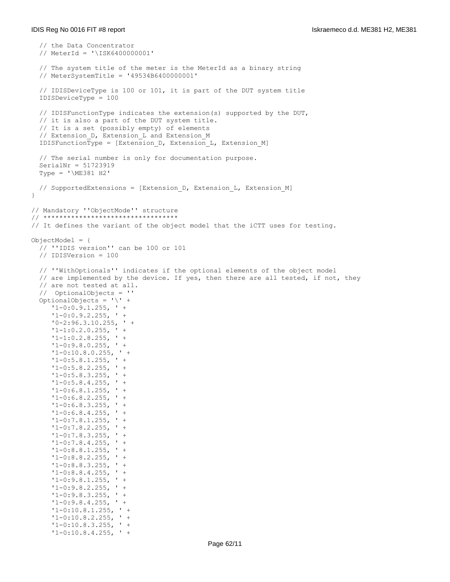```
 // the Data Concentrator
   // MeterId = '\ISK6400000001'
   // The system title of the meter is the MeterId as a binary string 
   // MeterSystemTitle = '49534B6400000001'
   // IDISDeviceType is 100 or 101, it is part of the DUT system title
   IDISDeviceType = 100
   // IDISFunctionType indicates the extension(s) supported by the DUT,
   // it is also a part of the DUT system title.
   // It is a set (possibly empty) of elements 
  // Extension D, Extension L and Extension M
   IDISFunctionType = [Extension_D, Extension_L, Extension_M]
   // The serial number is only for documentation purpose.
   SerialNr = 51723919
   Type = '\ME381 H2'
  // SupportedExtensions = [Extension D, Extension L, Extension M]
}
// Mandatory ''ObjectMode'' structure
// **********************************
// It defines the variant of the object model that the iCTT uses for testing.
ObjectModel = {
   // ''IDIS version'' can be 100 or 101
   // IDISVersion = 100
   // ''WithOptionals'' indicates if the optional elements of the object model
  // are implemented by the device. If yes, then there are all tested, if not, they
   // are not tested at all. 
   // OptionalObjects = ''
   OptionalObjects = '\' +
     '1-0:0.9.1.255, ' +
      '1-0:0.9.2.255, ' +
      '0-2:96.3.10.255, ' +
     '1-1:0.2.0.255, ' +
     '1-1:0.2.8.255, ' +
     '1-0:9.8.0.255, ' +
      '1-0:10.8.0.255, ' +
     '1-0:5.8.1.255, ' ' +'1-0:5.8.2.255, ' +'1-0:5.8.3.255, ' +
     '1-0:5.8.4.255, ' +
      '1-0:6.8.1.255, ' +
      '1-0:6.8.2.255, ' +
      '1-0:6.8.3.255, ' +
      '1-0:6.8.4.255, ' +
      '1-0:7.8.1.255, ' +
      '1-0:7.8.2.255, ' +
     '1-0:7.8.3.255, ' +
     '1-0:7.8.4.255, ' +
     '1-0:8.8.1.255, ' +
      '1-0:8.8.2.255, ' +
      '1-0:8.8.3.255, ' +
     '1-0:8.8.4.255, ' +
     '1-0:9.8.1.255, ' +
      '1-0:9.8.2.255, ' +
      '1-0:9.8.3.255, ' +
      '1-0:9.8.4.255, ' +
      '1-0:10.8.1.255, ' +
      '1-0:10.8.2.255, ' +
     '1-0:10.8.3.255, ' +
      '1-0:10.8.4.255, ' +
```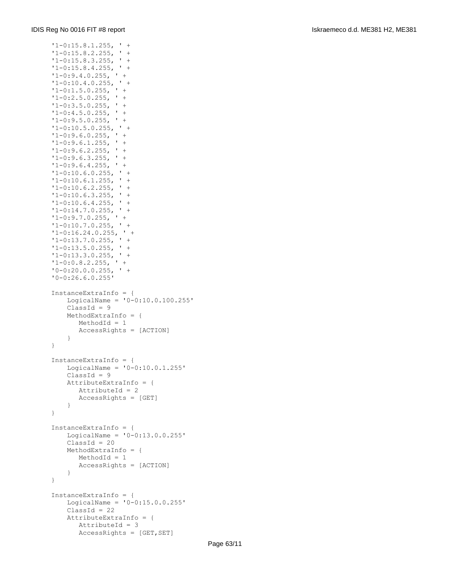```
 '1-0:15.8.1.255, ' +
 '1-0:15.8.2.255, ' +
 '1-0:15.8.3.255, ' +
'1-0:15.8.4.255, ''1-0:9.4.0.255, ' +
'1-0:10.4.0.255, ' + '1-0:1.5.0.255, ' +
 '1-0:2.5.0.255, ' +
 '1-0:3.5.0.255, ' +
'1-0:4.5.0.255, ' +
'1-0:9.5.0.255, ' +'1-0:10.5.0.255, ' +
'1-0:9.6.0.255, ' +
'1-0:9.6.1.255, ' +
'1-0:9.6.2.255, ' +
'1-0:9.6.3.255, ' +'1-0:9.6.4.255, ' +
 '1-0:10.6.0.255, ' +
'1-0:10.6.1.255, ' '1-0:10.6.2.255, ' +
 '1-0:10.6.3.255, ' +
 '1-0:10.6.4.255, ' +
'1-0:14.7.0.255, ' +<br>'1-0:9.7.0.255, ' +'1-0:9.7.0.255,
'1-0:10.7.0.255, ' +'1-0:16.24.0.255, ' +'1-0:13.7.0.255, ' ' + '1-0:13.5.0.255, ' +
'1-0:13.3.0.255, ' +'1-0:0.8.2.255, ' +
'0-0:20.0.0.255, ' +
 '0-0:26.6.0.255'
 InstanceExtraInfo = {
    LogicalName = '0-0:10.0.100.255'
   ClassId = 9 MethodExtraInfo = {
       MethodId = 1
        AccessRights = [ACTION]
     }
 }
 InstanceExtraInfo = {
   LogicalName = '0-0:10.0.1.255'ClassId = 9 AttributeExtraInfo = {
       AttributeId = 2
        AccessRights = [GET]
    }
 }
 InstanceExtraInfo = {
    LogicalName = '0-0:13.0.0.255'
   ClassId = 20 MethodExtraInfo = {
       MethodId = 1
        AccessRights = [ACTION]
     }
 }
 InstanceExtraInfo = {
   LogicalName = '0-0:15.0.0.255'ClassId = 22 AttributeExtraInfo = {
        AttributeId = 3
        AccessRights = [GET,SET]
```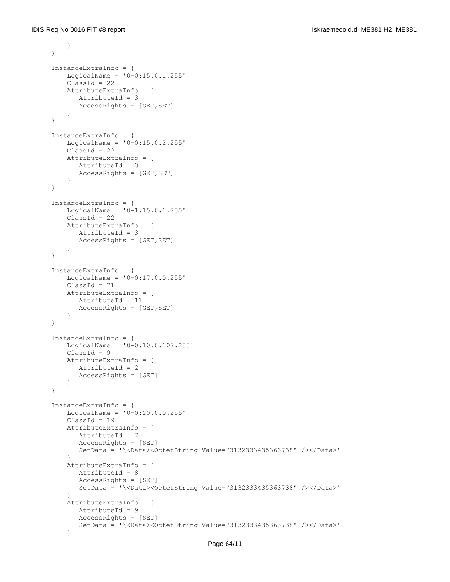```
 }
     }
     InstanceExtraInfo = {
        LogicalName = '0-0:15.0.1.255'ClassId = 22 AttributeExtraInfo = {
            AttributeId = 3
            AccessRights = [GET,SET]
         }
     }
     InstanceExtraInfo = {
         LogicalName = '0-0:15.0.2.255'
        ClassId = 22 AttributeExtraInfo = {
            AttributeId = 3
            AccessRights = [GET,SET]
         }
     }
     InstanceExtraInfo = {
         LogicalName = '0-1:15.0.1.255'
        ClassId = 22 AttributeExtraInfo = {
            AttributeId = 3
           AccessRightS = [GET, SET] }
     }
     InstanceExtraInfo = {
        LogicalName = '0-0:17.0.0.255'ClassId = 71 AttributeExtraInfo = {
            AttributeId = 11
            AccessRights = [GET,SET]
         }
     }
     InstanceExtraInfo = {
         LogicalName = '0-0:10.0.107.255'
        ClassId = 9 AttributeExtraInfo = {
            AttributeId = 2
            AccessRights = [GET]
         }
     }
     InstanceExtraInfo = {
         LogicalName = '0-0:20.0.0.255'
        ClassId = 19 AttributeExtraInfo = {
            AttributeId = 7
            AccessRights = [SET]
            SetData = '\<Data><OctetString Value="3132333435363738" /></Data>'
 }
         AttributeExtraInfo = {
            AttributeId = 8
            AccessRights = [SET]
            SetData = '\<Data><OctetString Value="3132333435363738" /></Data>'
 }
         AttributeExtraInfo = {
            AttributeId = 9
            AccessRights = [SET]
            SetData = '\<Data><OctetString Value="3132333435363738" /></Data>'
 }
```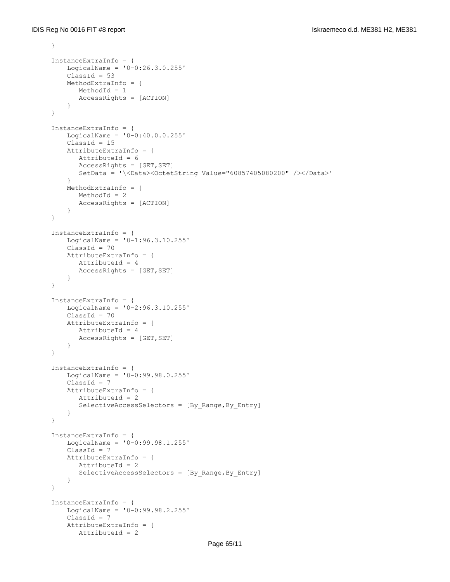```
 }
 InstanceExtraInfo = {
    LogicalName = '0-0:26.3.0.255'
   ClassId = 53 MethodExtraInfo = {
       MethodId = 1
       AccessRights = [ACTION]
     }
 }
 InstanceExtraInfo = {
     LogicalName = '0-0:40.0.0.255'
   ClassId = 15 AttributeExtraInfo = {
       AttributeId = 6
      AccessRights = [GET, SET]
       SetData = '\<Data><OctetString Value="60857405080200" /></Data>'
     }
     MethodExtraInfo = {
       MethodId = 2
       AccessRights = [ACTION]
     }
 }
 InstanceExtraInfo = {
    LogicalName = '0-1:96.3.10.255'
    ClassId = 70 AttributeExtraInfo = {
       AttributeId = 4
       AccessRights = [GET,SET]
     }
 }
 InstanceExtraInfo = {
    LogicalName = '0-2:96.3.10.255'
   ClassId = 70 AttributeExtraInfo = {
       AttributeId = 4
       AccessRightS = [GET, SET] }
 }
 InstanceExtraInfo = {
    LogicalName = '0-0:99.98.0.255'
   ClassId = 7 AttributeExtraInfo = {
       AttributeId = 2
      SelectiveAccessSelectors = [By Range, By Entry]
     }
 }
 InstanceExtraInfo = {
    LogicalName = '0-0:99.98.1.255'
   ClassId = 7 AttributeExtraInfo = {
        AttributeId = 2
        SelectiveAccessSelectors = [By_Range,By_Entry]
     }
 }
 InstanceExtraInfo = {
    LogicalName = '0-0:99.98.2.255'
    ClassId = 7
    AttributeExtraInfo = {
        AttributeId = 2
```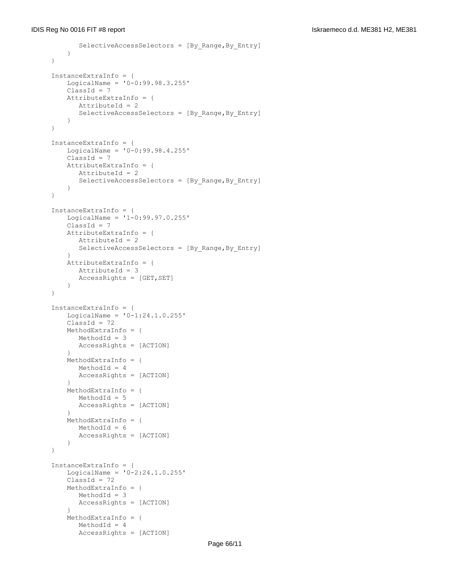```
 SelectiveAccessSelectors = [By_Range,By_Entry]
          }
     }
     InstanceExtraInfo = {
         LogicalName = '0-0:99.98.3.255'
        ClassId = 7 AttributeExtraInfo = {
            AttributeId = 2
            SelectiveAccessSelectors = [By_Range,By_Entry]
          }
     }
     InstanceExtraInfo = {
         LogicalName = '0-0:99.98.4.255'
        ClassId = 7 AttributeExtraInfo = {
            AttributeId = 2
            SelectiveAccessSelectors = [By_Range,By_Entry]
         }
     }
     InstanceExtraInfo = {
         LogicalName = '1-0:99.97.0.255'
        ClassId = 7 AttributeExtraInfo = {
            AttributeId = 2
           SelectiveAccessSelectors = [By Range, By Entry]
 }
         AttributeExtraInfo = {
           AttributeId = 3
            AccessRights = [GET,SET]
         }
     }
     InstanceExtraInfo = {
        LogicalName = '0-1:24.1.0.255'ClassId = 72 MethodExtraInfo = {
            MethodId = 3
            AccessRights = [ACTION]
 }
         MethodExtraInfo = {
            MethodId = 4
            AccessRights = [ACTION]
 }
         MethodExtraInfo = {
           MethodId = 5 AccessRights = [ACTION]
 }
         MethodExtraInfo = {
            MethodId = 6
            AccessRights = [ACTION]
         }
     }
     InstanceExtraInfo = {
         LogicalName = '0-2:24.1.0.255'
        ClassId = 72 MethodExtraInfo = {
            MethodId = 3
            AccessRights = [ACTION]
 }
         MethodExtraInfo = {
            MethodId = 4
            AccessRights = [ACTION]
```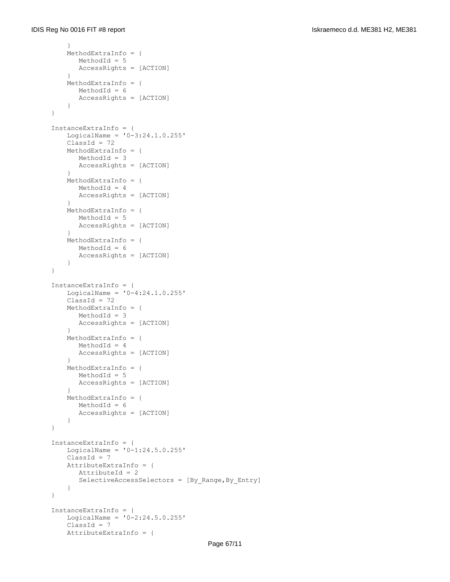```
 }
         MethodExtraInfo = {
           MethodId = 5
           AccessRights = [ACTION]
 }
         MethodExtraInfo = {
           MethodId = 6
            AccessRights = [ACTION]
         }
     }
     InstanceExtraInfo = {
         LogicalName = '0-3:24.1.0.255'
        ClassId = 72 MethodExtraInfo = {
           MethodId = 3
           AccessRights = [ACTION]
 }
         MethodExtraInfo = {
           MethodId = 4
           AccessRights = [ACTION]
 }
         MethodExtraInfo = {
           MethodId = 5
           AccessRights = [ACTION]
 }
         MethodExtraInfo = {
           MethodId = 6
            AccessRights = [ACTION]
         }
     }
     InstanceExtraInfo = {
        LogicalName = '0-4:24.1.0.255'ClassId = 72 MethodExtraInfo = {
           MethodId = 3
           AccessRights = [ACTION]
 }
         MethodExtraInfo = {
           MethodId = 4
            AccessRights = [ACTION]
 }
         MethodExtraInfo = {
           MethodId = 5
            AccessRights = [ACTION]
 }
         MethodExtraInfo = {
           MethodId = 6
            AccessRights = [ACTION]
         }
     }
     InstanceExtraInfo = {
         LogicalName = '0-1:24.5.0.255'
         ClassId = 7
         AttributeExtraInfo = {
           AttributeId = 2
            SelectiveAccessSelectors = [By_Range,By_Entry]
         }
     }
     InstanceExtraInfo = {
        LogicalName = '0-2:24.5.0.255'ClassId = 7 AttributeExtraInfo = {
```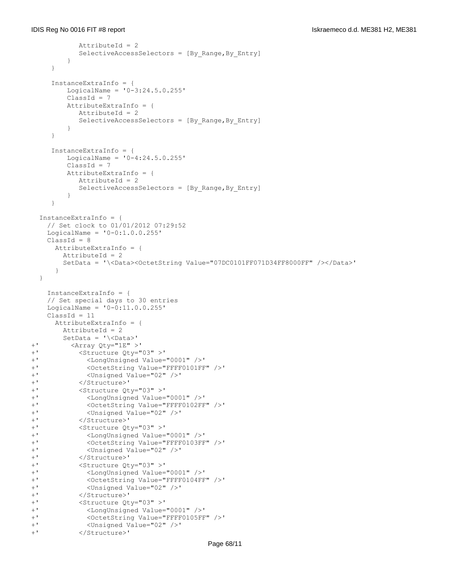```
AttributeId = 2 SelectiveAccessSelectors = [By_Range,By_Entry]
         }
     }
     InstanceExtraInfo = {
       LogicalName = '0-3:24.5.0.255' ClassId = 7
         AttributeExtraInfo = {
           AttributeId = 2
            SelectiveAccessSelectors = [By_Range,By_Entry]
         }
     }
     InstanceExtraInfo = {
        LogicalName = '0-4:24.5.0.255' ClassId = 7
         AttributeExtraInfo = {
           AttributeId = 2
            SelectiveAccessSelectors = [By_Range,By_Entry]
         }
     }
   InstanceExtraInfo = {
    // Set clock to 01/01/2012 07:29:52
   LogicalName = '0-0:1.0.0.255'ClassId = 8 AttributeExtraInfo = {
       AttributeId = 2
        SetData = '\<Data><OctetString Value="07DC0101FF071D34FF8000FF" /></Data>'
      }
   }
    InstanceExtraInfo = {
    // Set special days to 30 entries
   LogicalName = '0-0:11.0.0.255'ClassId = 11 AttributeExtraInfo = {
        AttributeId = 2
        SetData = '\<Data>'
+' <Array Qty="1E" >'
+' <Structure Qty="03" >'
+' <LongUnsigned Value="0001" />'
+' <OctetString Value="FFFF0101FF" />'
            +' <Unsigned Value="02" />'
+' </Structure>'
+' <Structure Qty="03" >'
            +' <LongUnsigned Value="0001" />'
+' <OctetString Value="FFFF0102FF" />'
+' <Unsigned Value="02" />'
          +' </Structure>'
+' <Structure Qty="03" >'
            +' <LongUnsigned Value="0001" />'
+' <OctetString Value="FFFF0103FF" />'
+' <Unsigned Value="02" />'
+' </Structure>'
+' <Structure Qty="03" >'
            +' <LongUnsigned Value="0001" />'
+' <OctetString Value="FFFF0104FF" />'
+' <Unsigned Value="02" />'
+' </Structure>'
+' <Structure Qty="03" >'
+' <LongUnsigned Value="0001" />'
+' <OctetString Value="FFFF0105FF" />'
            +' <Unsigned Value="02" />'
+' </Structure>'
```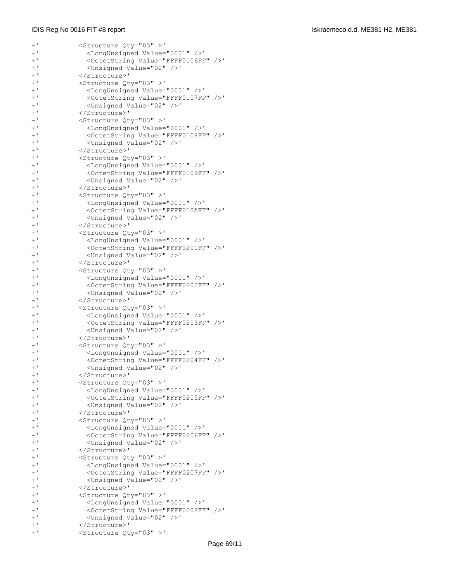| $+$ '          | <structure qty="03">'</structure>                                                                |  |
|----------------|--------------------------------------------------------------------------------------------------|--|
| $+$ '          | <longunsigned value="0001"></longunsigned> '                                                     |  |
| $+$ '          | <octetstring value="FFFF0106FF"></octetstring> '                                                 |  |
| $+$ '          | <unsigned value="02"></unsigned> '                                                               |  |
| $+$ '          | '                                                                                                |  |
| $+$ '          | <structure qty="03">'</structure>                                                                |  |
| $+$ '          | <longunsigned value="0001"></longunsigned> '                                                     |  |
| $+$ '          | <octetstring value="FFFF0107FF"></octetstring> '                                                 |  |
| $+$ '          | <unsigned value="02"></unsigned> '                                                               |  |
| $+$ '          | '                                                                                                |  |
| $+$ '          | <structure qty="03">'</structure>                                                                |  |
| $+$ '          | <longunsigned value="0001"></longunsigned> '                                                     |  |
| $+$ '<br>$+$ ' | <octetstring value="FFFF0108FF"></octetstring> '<br><unsigned value="02"></unsigned> '           |  |
| $+$ '          | '                                                                                                |  |
| $+$ '          | <structure qty="03">'</structure>                                                                |  |
| $+$ '          | <longunsigned value="0001"></longunsigned> '                                                     |  |
| $+$ '          | <octetstring value="FFFF0109FF"></octetstring> '                                                 |  |
| $+$ '          | <unsigned value="02"></unsigned> '                                                               |  |
| $+$ '          | '                                                                                                |  |
| $+$ '          | <structure qty="03">'</structure>                                                                |  |
| $+$ '          | <longunsigned value="0001"></longunsigned> '                                                     |  |
| $+$ '          | <octetstring value="FFFF010AFF"></octetstring> '                                                 |  |
| $+$ '          | <unsigned value="02"></unsigned> '                                                               |  |
| $+$ '          | '                                                                                                |  |
| $+$ '          | <structure qty="03">'</structure>                                                                |  |
| $+$ '          | <longunsigned value="0001"></longunsigned> '                                                     |  |
| $+$ '          | <octetstring value="FFFF0201FF"></octetstring> '                                                 |  |
| $+$ '          | <unsigned value="02"></unsigned> '                                                               |  |
| $+$ '          | '                                                                                                |  |
| $+$ '          | <structure qty="03">'</structure>                                                                |  |
| $+$ '          | <longunsigned value="0001"></longunsigned> '                                                     |  |
| $+$ '          | <octetstring value="FFFF0202FF"></octetstring> '                                                 |  |
| $+$ '          | <unsigned value="02"></unsigned> '                                                               |  |
| $+$ '          | '                                                                                                |  |
| $+$ '          | <structure qty="03">'</structure>                                                                |  |
| $+$ '<br>$+$ ' | <longunsigned value="0001"></longunsigned> '<br><octetstring value="FFFF0203FF"></octetstring> ' |  |
| $+$ '          | <unsigned value="02"></unsigned> '                                                               |  |
| $+$ '          | '                                                                                                |  |
| $+$ '          | <structure qty="03">'</structure>                                                                |  |
| $+$ '          | <longunsigned value="0001"></longunsigned> '                                                     |  |
| $+$ '          | <octetstring value="FFFF0204FF"></octetstring> '                                                 |  |
| $+$ '          | <unsigned value="02"></unsigned> '                                                               |  |
| $+$ '          | '                                                                                                |  |
| $+$ '          | <structure qty="03">'</structure>                                                                |  |
| $+$ '          | <longunsigned value="0001"></longunsigned> '                                                     |  |
| $+$ '          | <octetstring value="FFFF0205FF"></octetstring> '                                                 |  |
| $+$ '          | <unsigned value="02"></unsigned> '                                                               |  |
| $+$ '          | '                                                                                                |  |
| $+$ '          | <structure qty="03">'</structure>                                                                |  |
| $+$ '          | <longunsigned value="0001"></longunsigned> '                                                     |  |
| $+$ '          | <octetstring value="FFFF0206FF"></octetstring> '                                                 |  |
| $+$ '          | <unsigned value="02"></unsigned> '                                                               |  |
| $+$ '          | '                                                                                                |  |
| $+$ '          | <structure qty="03">'</structure>                                                                |  |
| $+$ '          | <longunsigned value="0001"></longunsigned> '                                                     |  |
| $+$ '          | <octetstring value="FFFF0207FF"></octetstring> '                                                 |  |
| $+$ '          | <unsigned value="02"></unsigned> '                                                               |  |
| $+$ '          | '                                                                                                |  |
| $+$ '          | <structure qty="03">'</structure>                                                                |  |
| $+$ '          | <longunsigned value="0001"></longunsigned> '                                                     |  |
| $+$ '<br>$+$ ' | <octetstring value="FFFF0208FF"></octetstring> '                                                 |  |
| $+$ '          | <unsigned value="02"></unsigned> '<br>'                                                          |  |
| $+$ '          | <structure qty="03">'</structure>                                                                |  |
|                |                                                                                                  |  |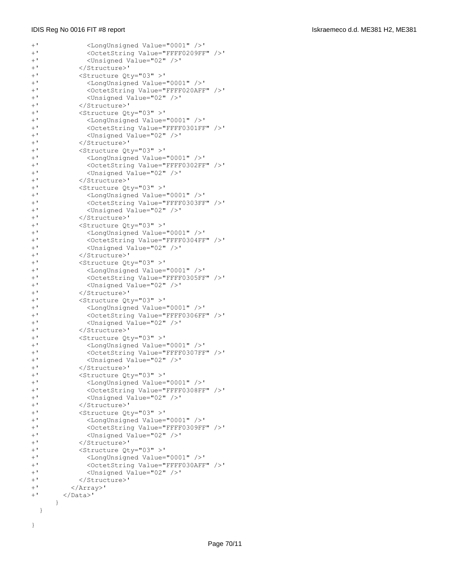}

| $+$ '          | <longunsigned value="0001"></longunsigned> '                                                     |  |
|----------------|--------------------------------------------------------------------------------------------------|--|
| $+$ '          | <octetstring value="FFFF0209FF"></octetstring> '                                                 |  |
| $+$ '          | <unsigned value="02"></unsigned> '                                                               |  |
| $+$ '          | '                                                                                                |  |
| $+$ '          | <structure qty="03">'</structure>                                                                |  |
| $+$ '          | <longunsigned value="0001"></longunsigned> '                                                     |  |
| $+$ '          | <octetstring value="FFFF020AFF"></octetstring> '                                                 |  |
| $+$ '<br>$+$ ' | <unsigned value="02"></unsigned> '<br>'                                                          |  |
| $+$ '          | <structure qty="03">'</structure>                                                                |  |
| $+$ '          | <longunsigned value="0001"></longunsigned> '                                                     |  |
| $+$ '          | <octetstring value="FFFF0301FF"></octetstring> '                                                 |  |
| $\pm$ !        | <unsigned value="02"></unsigned> '                                                               |  |
| $+$ '          | '                                                                                                |  |
| $+$ '          | <structure qty="03">'</structure>                                                                |  |
| $+$ '          | <longunsigned value="0001"></longunsigned> '                                                     |  |
| $+$ '          | <octetstring value="FFFF0302FF"></octetstring> '                                                 |  |
| $+$ '          | <unsigned value="02"></unsigned> '                                                               |  |
| $+$ '          | '                                                                                                |  |
| $+$ '          | <structure qty="03">'</structure>                                                                |  |
| $+$ '          | <longunsigned value="0001"></longunsigned> '                                                     |  |
| $+$ '          | <octetstring value="FFFF0303FF"></octetstring> '                                                 |  |
| $+$ '          | <unsigned value="02"></unsigned> '                                                               |  |
| $+$ '          | '                                                                                                |  |
| $+$ '          | <structure qty="03">'</structure>                                                                |  |
| $+$ '          | <longunsigned value="0001"></longunsigned> '                                                     |  |
| $+$ '          | <octetstring value="FFFF0304FF"></octetstring> '                                                 |  |
| $+$ '          | <unsigned value="02"></unsigned> '                                                               |  |
| $+$ '          | '                                                                                                |  |
| $+$ '          | <structure qty="03">'</structure>                                                                |  |
| $+$ '          | <longunsigned value="0001"></longunsigned> '                                                     |  |
| $+$ '<br>$+$ ' | <octetstring value="FFFF0305FF"></octetstring> '                                                 |  |
| $+$ '          | <unsigned value="02"></unsigned> '                                                               |  |
| $+$ '          | '                                                                                                |  |
| $+$ '          | <structure qty="03">'</structure>                                                                |  |
| $+$ '          | <longunsigned value="0001"></longunsigned> '<br><octetstring value="FFFF0306FF"></octetstring> ' |  |
| $+$ '          | <unsigned value="02"></unsigned> '                                                               |  |
| $+$ '          | '                                                                                                |  |
| $+$ '          | <structure qty="03">'</structure>                                                                |  |
| $+$ '          | <longunsigned value="0001"></longunsigned> '                                                     |  |
| $+$ '          | <octetstring value="FFFF0307FF"></octetstring> '                                                 |  |
| $+$ '          | <unsigned value="02"></unsigned> '                                                               |  |
| $+$ '          | '                                                                                                |  |
| $+$ '          | <structure qty="03">'</structure>                                                                |  |
| $+$ '          | <longunsigned value="0001"></longunsigned> '                                                     |  |
| $+$ '          | <octetstring value="FFFF0308FF"></octetstring> '                                                 |  |
| $+$ '          | <unsigned value="02"></unsigned> '                                                               |  |
| $+$ '          | '                                                                                                |  |
| $+$ '          | <structure qty="03">'</structure>                                                                |  |
| $+$ '          | <longunsigned value="0001"></longunsigned> '                                                     |  |
| $+$ '          | <octetstring value="FFFF0309FF"></octetstring> '                                                 |  |
| $+$ '          | <unsigned value="02"></unsigned> '                                                               |  |
| $+$ '          | '                                                                                                |  |
| $+$ '          | <structure qty="03">'</structure>                                                                |  |
| $+$ '          | <longunsigned value="0001"></longunsigned> '                                                     |  |
| $+$ '          | <octetstring value="FFFF030AFF"></octetstring> '                                                 |  |
| $+$ '          | <unsigned value="02"></unsigned> '                                                               |  |
| $+$ '          | '                                                                                                |  |
| $+$ '          | '                                                                                                |  |
| $+$ '          | '                                                                                                |  |
|                | $\}$                                                                                             |  |
| }              |                                                                                                  |  |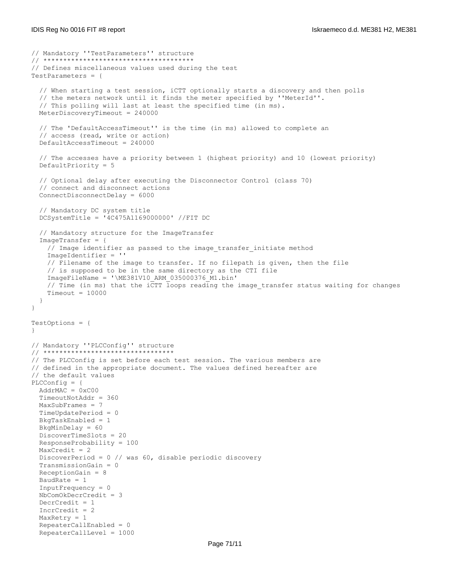```
// Mandatory ''TestParameters'' structure
// **************************************
// Defines miscellaneous values used during the test
TestParameters = {
   // When starting a test session, iCTT optionally starts a discovery and then polls
   // the meters network until it finds the meter specified by ''MeterId''.
   // This polling will last at least the specified time (in ms).
  MeterDiscoveryTimeout = 240000
   // The 'DefaultAccessTimeout'' is the time (in ms) allowed to complete an 
   // access (read, write or action)
   DefaultAccessTimeout = 240000
   // The accesses have a priority between 1 (highest priority) and 10 (lowest priority)
   DefaultPriority = 5
   // Optional delay after executing the Disconnector Control (class 70)
   // connect and disconnect actions
   ConnectDisconnectDelay = 6000
   // Mandatory DC system title
   DCSystemTitle = '4C475A1169000000' //FIT DC
   // Mandatory structure for the ImageTransfer
   ImageTransfer = {
    // Image identifier as passed to the image transfer initiate method
     ImageIdentifier = ''
     // Filename of the image to transfer. If no filepath is given, then the file
     // is supposed to be in the same directory as the CTI file
    ImageFileName = '\ME381V10_ARM_035000376_M1.bin'
    // Time (in ms) that the iCTT loops reading the image transfer status waiting for changes
    Timeout = 10000 }
}
TestOptions = {
}
// Mandatory ''PLCConfig'' structure
// *********************************
// The PLCConfig is set before each test session. The various members are
// defined in the appropriate document. The values defined hereafter are
// the default values
PLCConfig = {
 AddrMAC = 0xC00 TimeoutNotAddr = 360
  MaxSubFrames = 7
  TimeUpdatePeriod = 0
  BkgTaskEnabled = 1
  BkgMinDelay = 60 
  DiscoverTimeSlots = 20 
  ResponseProbability = 100
 MaxCredit = 2 DiscoverPeriod = 0 // was 60, disable periodic discovery
   TransmissionGain = 0 
  ReceptionGain = 8
  BaudRate = 1
   InputFrequency = 0 
  NbComOkDecrCredit = 3
  DecrCredit = 1 IncrCredit = 2
  MaxRetry = 1 RepeaterCallEnabled = 0 
   RepeaterCallLevel = 1000
```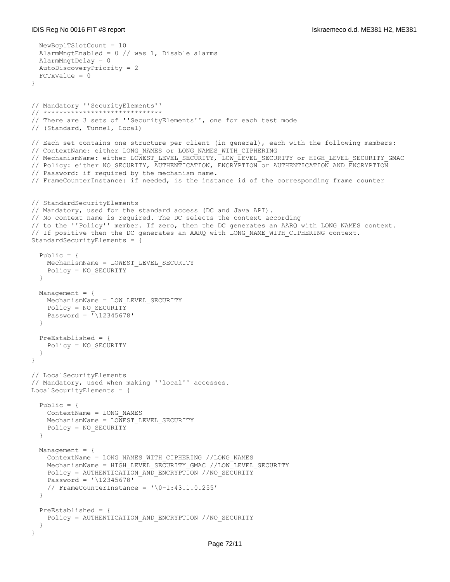```
 NewBcplTSlotCount = 10
   AlarmMngtEnabled = 0 // was 1, Disable alarms
   AlarmMngtDelay = 0
  AutoDiscoveryPriority = 2 
   FCTxValue = 0
}
// Mandatory ''SecurityElements''
// ******************************
// There are 3 sets of ''SecurityElements'', one for each test mode
// (Standard, Tunnel, Local)
// Each set contains one structure per client (in general), each with the following members:
// ContextName: either LONG NAMES or LONG NAMES WITH CIPHERING
// MechanismName: either LOWEST LEVEL SECURITY, LOW LEVEL SECURITY or HIGH LEVEL SECURITY GMAC
// Policy: either NO_SECURITY, AUTHENTICATION, ENCRYPTION Or AUTHENTICATION AND ENCRYPTION
// Password: if required by the mechanism name.
// FrameCounterInstance: if needed, is the instance id of the corresponding frame counter 
// StandardSecurityElements
// Mandatory, used for the standard access (DC and Java API).
// No context name is required. The DC selects the context according
// to the ''Policy'' member. If zero, then the DC generates an AARQ with LONG_NAMES context.
// If positive then the DC generates an AARQ with LONG NAME WITH CIPHERING context.
StandardSecurityElements = {
   Public = {
    MechanismName = LOWEST_LEVEL_SECURITY
     Policy = NO_SECURITY
   }
  Management = {
     MechanismName = LOW_LEVEL_SECURITY
     Policy = NO_SECURITY
   Password = \sqrt{12345678} }
   PreEstablished = {
     Policy = NO_SECURITY
   }
}
// LocalSecurityElements
// Mandatory, used when making ''local'' accesses.
LocalSecurityElements = {
  Public = {
     ContextName = LONG_NAMES
     MechanismName = LOWEST_LEVEL_SECURITY
     Policy = NO_SECURITY
   }
   Management = {
     ContextName = LONG_NAMES_WITH_CIPHERING //LONG_NAMES
    MechanismName = HIGH_LEVEL_SECURITY_GMAC //LOW_LEVEL_SECURITY
    Policy = AUTHENTICATION AND ENCRYPTION //NO SECURITY
     Password = '\12345678'
     // FrameCounterInstance = '\0-1:43.1.0.255'
   }
   PreEstablished = {
     Policy = AUTHENTICATION_AND_ENCRYPTION //NO_SECURITY
   }
}
```